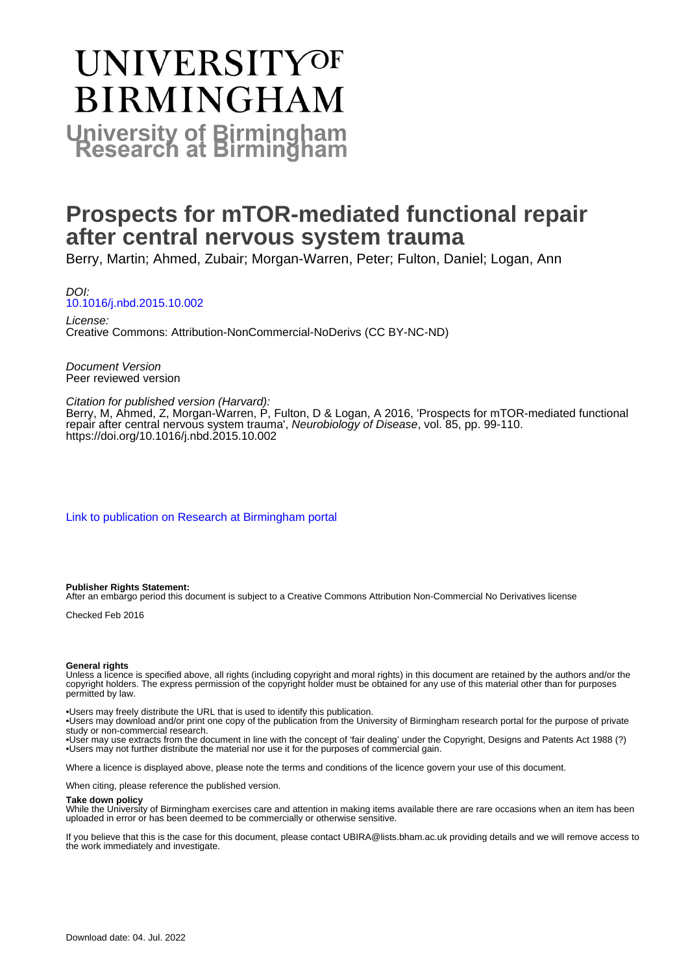# UNIVERSITYOF **BIRMINGHAM University of Birmingham**

# **Prospects for mTOR-mediated functional repair after central nervous system trauma**

Berry, Martin; Ahmed, Zubair; Morgan-Warren, Peter; Fulton, Daniel; Logan, Ann

DOI: [10.1016/j.nbd.2015.10.002](https://doi.org/10.1016/j.nbd.2015.10.002)

License: Creative Commons: Attribution-NonCommercial-NoDerivs (CC BY-NC-ND)

Document Version Peer reviewed version

#### Citation for published version (Harvard):

Berry, M, Ahmed, Z, Morgan-Warren, P, Fulton, D & Logan, A 2016, 'Prospects for mTOR-mediated functional repair after central nervous system trauma', Neurobiology of Disease, vol. 85, pp. 99-110. <https://doi.org/10.1016/j.nbd.2015.10.002>

[Link to publication on Research at Birmingham portal](https://birmingham.elsevierpure.com/en/publications/7df015ec-2db1-4aa1-833b-e60ad888d3dd)

#### **Publisher Rights Statement:**

After an embargo period this document is subject to a Creative Commons Attribution Non-Commercial No Derivatives license

Checked Feb 2016

#### **General rights**

Unless a licence is specified above, all rights (including copyright and moral rights) in this document are retained by the authors and/or the copyright holders. The express permission of the copyright holder must be obtained for any use of this material other than for purposes permitted by law.

• Users may freely distribute the URL that is used to identify this publication.

• Users may download and/or print one copy of the publication from the University of Birmingham research portal for the purpose of private study or non-commercial research.

• User may use extracts from the document in line with the concept of 'fair dealing' under the Copyright, Designs and Patents Act 1988 (?) • Users may not further distribute the material nor use it for the purposes of commercial gain.

Where a licence is displayed above, please note the terms and conditions of the licence govern your use of this document.

When citing, please reference the published version.

#### **Take down policy**

While the University of Birmingham exercises care and attention in making items available there are rare occasions when an item has been uploaded in error or has been deemed to be commercially or otherwise sensitive.

If you believe that this is the case for this document, please contact UBIRA@lists.bham.ac.uk providing details and we will remove access to the work immediately and investigate.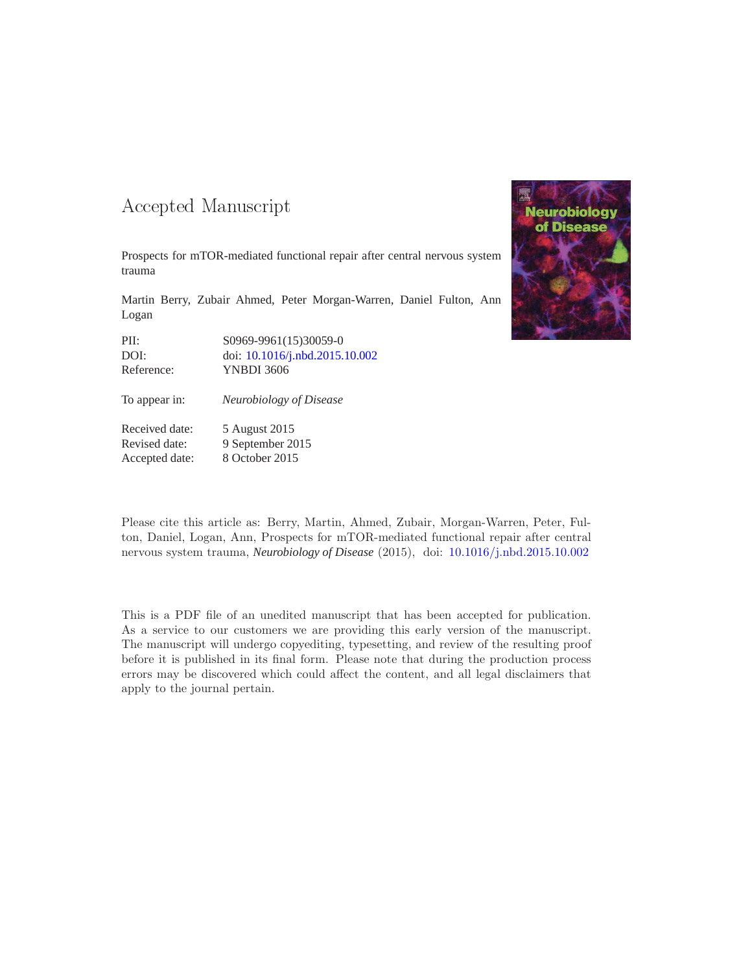### -- -

Prospects for mTOR-mediated functional repair after central nervous system trauma

Martin Berry, Zubair Ahmed, Peter Morgan-Warren, Daniel Fulton, Ann Logan

PII: S0969-9961(15)30059-0 DOI: doi: [10.1016/j.nbd.2015.10.002](http://dx.doi.org/10.1016/j.nbd.2015.10.002) Reference: YNBDI 3606

To appear in: *Neurobiology of Disease*

Received date: 5 August 2015 Revised date: 9 September 2015 Accepted date: 8 October 2015



Please cite this article as: Berry, Martin, Ahmed, Zubair, Morgan-Warren, Peter, Fulton, Daniel, Logan, Ann, Prospects for mTOR-mediated functional repair after central nervous system trauma, *Neurobiology of Disease* (2015), doi: [10.1016/j.nbd.2015.10.002](http://dx.doi.org/10.1016/j.nbd.2015.10.002)

This is a PDF file of an unedited manuscript that has been accepted for publication. As a service to our customers we are providing this early version of the manuscript. The manuscript will undergo copyediting, typesetting, and review of the resulting proof before it is published in its final form. Please note that during the production process errors may be discovered which could affect the content, and all legal disclaimers that apply to the journal pertain.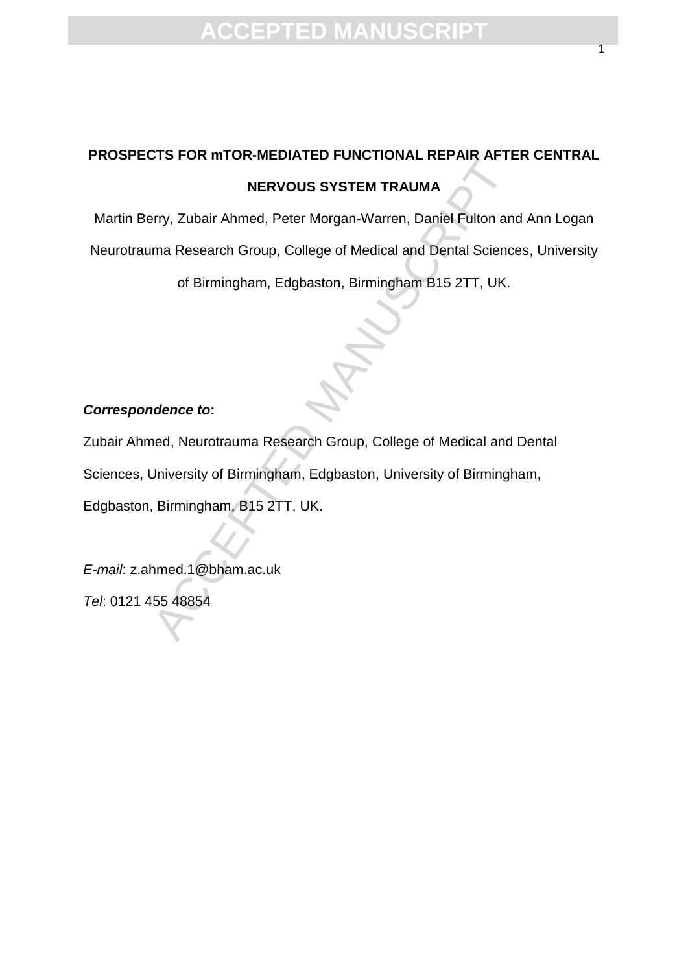# **PROSPECTS FOR mTOR-MEDIATED FUNCTIONAL REPAIR AFTER CENTRAL NERVOUS SYSTEM TRAUMA**

Martin Berry, Zubair Ahmed, Peter Morgan-Warren, Daniel Fulton and Ann Logan Neurotrauma Research Group, College of Medical and Dental Sciences, University of Birmingham, Edgbaston, Birmingham B15 2TT, UK.

### *Correspondence to***:**

NERVOUS SYSTEM TRAUMA<br>
NERVOUS SYSTEM TRAUMA<br>
Herry, Zubair Ahmed, Peter Morgan-Warren, Daniel Fulton an<br>
ma Research Group, College of Medical and Dental Science<br>
of Birmingham, Edgbaston, Birmingham B15 2TT, UK.<br>
andence Zubair Ahmed, Neurotrauma Research Group, College of Medical and Dental Sciences, University of Birmingham, Edgbaston, University of Birmingham, Edgbaston, Birmingham, B15 2TT, UK.

*E-mail*: z.ahmed.1@bham.ac.uk *Tel*: 0121 455 48854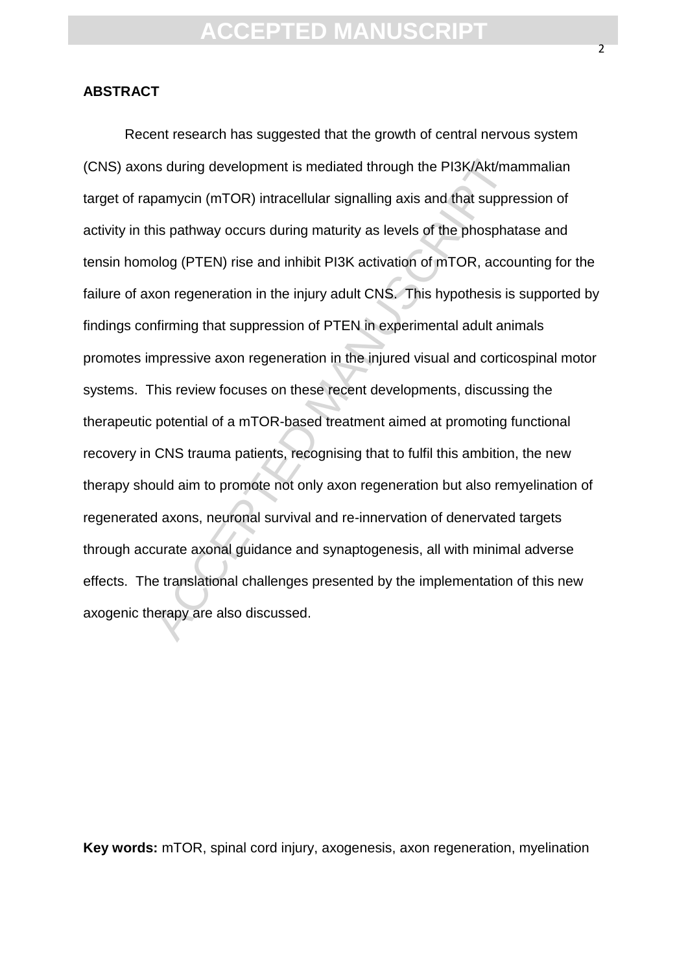### **ABSTRACT**

ns during development is mediated through the PI3K/Akt/ma<br>pamycin (mTOR) intracellular signalling axis and that suppre<br>nis pathway occurs during maturity as levels of the phospha<br>olog (PTEN) rise and inhibit PI3K activatio Recent research has suggested that the growth of central nervous system (CNS) axons during development is mediated through the PI3K/Akt/mammalian target of rapamycin (mTOR) intracellular signalling axis and that suppression of activity in this pathway occurs during maturity as levels of the phosphatase and tensin homolog (PTEN) rise and inhibit PI3K activation of mTOR, accounting for the failure of axon regeneration in the injury adult CNS. This hypothesis is supported by findings confirming that suppression of PTEN in experimental adult animals promotes impressive axon regeneration in the injured visual and corticospinal motor systems. This review focuses on these recent developments, discussing the therapeutic potential of a mTOR-based treatment aimed at promoting functional recovery in CNS trauma patients, recognising that to fulfil this ambition, the new therapy should aim to promote not only axon regeneration but also remyelination of regenerated axons, neuronal survival and re-innervation of denervated targets through accurate axonal guidance and synaptogenesis, all with minimal adverse effects. The translational challenges presented by the implementation of this new axogenic therapy are also discussed.

**Key words:** mTOR, spinal cord injury, axogenesis, axon regeneration, myelination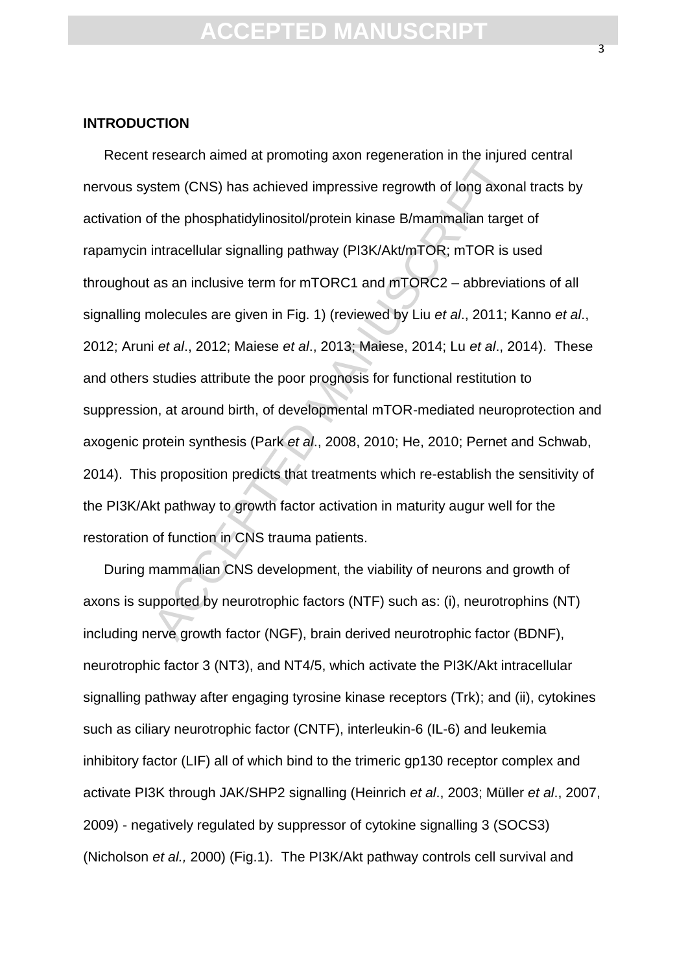### **INTRODUCTION**

besonder anned at promoting alterning generation in the injured<br>stem (CNS) has achieved impressive regrowth of long axon<br>of the phosphatidylinositol/protein kinase B/mammalian targe<br>intracellular signalling pathway (PI3K/A Recent research aimed at promoting axon regeneration in the injured central nervous system (CNS) has achieved impressive regrowth of long axonal tracts by activation of the phosphatidylinositol/protein kinase B/mammalian target of rapamycin intracellular signalling pathway (PI3K/Akt/mTOR; mTOR is used throughout as an inclusive term for mTORC1 and mTORC2 – abbreviations of all signalling molecules are given in Fig. 1) (reviewed by Liu *et al*., 2011; Kanno *et al*., 2012; Aruni *et al*., 2012; Maiese *et al*., 2013; Maiese, 2014; Lu *et al*., 2014). These and others studies attribute the poor prognosis for functional restitution to suppression, at around birth, of developmental mTOR-mediated neuroprotection and axogenic protein synthesis (Park *et al*., 2008, 2010; He, 2010; Pernet and Schwab, 2014). This proposition predicts that treatments which re-establish the sensitivity of the PI3K/Akt pathway to growth factor activation in maturity augur well for the restoration of function in CNS trauma patients.

During mammalian CNS development, the viability of neurons and growth of axons is supported by neurotrophic factors (NTF) such as: (i), neurotrophins (NT) including nerve growth factor (NGF), brain derived neurotrophic factor (BDNF), neurotrophic factor 3 (NT3), and NT4/5, which activate the PI3K/Akt intracellular signalling pathway after engaging tyrosine kinase receptors (Trk); and (ii), cytokines such as ciliary neurotrophic factor (CNTF), interleukin-6 (IL-6) and leukemia inhibitory factor (LIF) all of which bind to the trimeric gp130 receptor complex and activate PI3K through JAK/SHP2 signalling (Heinrich *et al*., 2003; Müller *et al*., 2007, 2009) - negatively regulated by suppressor of cytokine signalling 3 (SOCS3) (Nicholson *et al.,* 2000) (Fig.1). The PI3K/Akt pathway controls cell survival and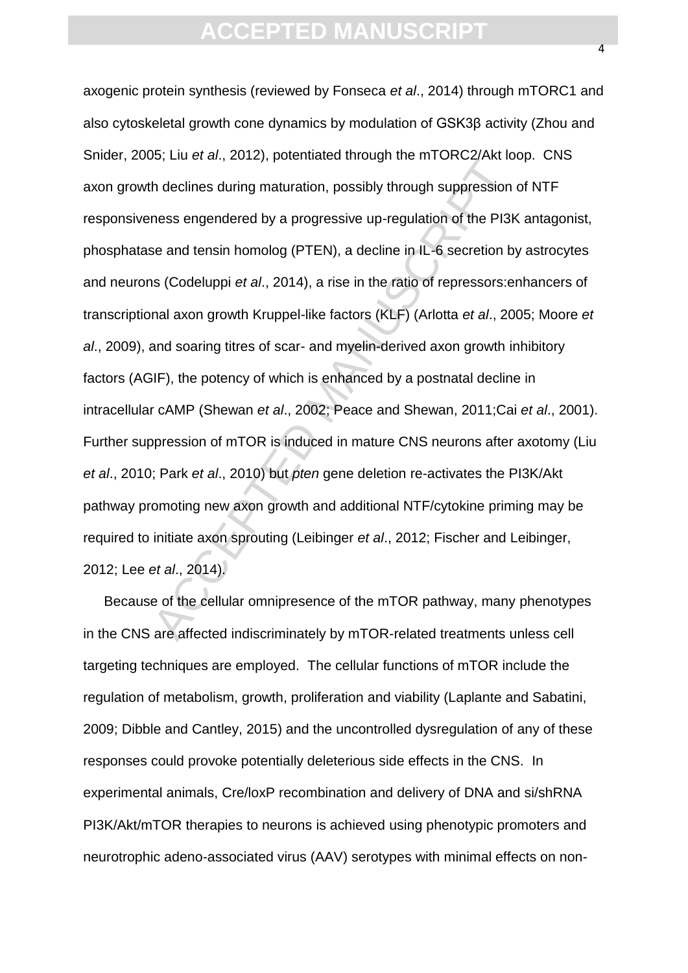b, eta et al., et al., et al., positivata unough the first of constraints<br>the declines during maturation, possibly through suppression<br>ness engendered by a progressive up-regulation of the PI3k<br>se and tensin homolog (PTEN axogenic protein synthesis (reviewed by Fonseca *et al*., 2014) through mTORC1 and also cytoskeletal growth cone dynamics by modulation of GSK3β activity (Zhou and Snider, 2005; Liu *et al*., 2012), potentiated through the mTORC2/Akt loop. CNS axon growth declines during maturation, possibly through suppression of NTF responsiveness engendered by a progressive up-regulation of the PI3K antagonist, phosphatase and tensin homolog (PTEN), a decline in IL-6 secretion by astrocytes and neurons (Codeluppi *et al*., 2014), a rise in the ratio of repressors:enhancers of transcriptional axon growth Kruppel-like factors (KLF) (Arlotta *et al*., 2005; Moore *et al*., 2009), and soaring titres of scar- and myelin-derived axon growth inhibitory factors (AGIF), the potency of which is enhanced by a postnatal decline in intracellular cAMP (Shewan *et al*., 2002; Peace and Shewan, 2011;Cai *et al*., 2001). Further suppression of mTOR is induced in mature CNS neurons after axotomy (Liu *et al*., 2010; Park *et al*., 2010) but *pten* gene deletion re-activates the PI3K/Akt pathway promoting new axon growth and additional NTF/cytokine priming may be required to initiate axon sprouting (Leibinger *et al*., 2012; Fischer and Leibinger, 2012; Lee *et al*., 2014).

Because of the cellular omnipresence of the mTOR pathway, many phenotypes in the CNS are affected indiscriminately by mTOR-related treatments unless cell targeting techniques are employed. The cellular functions of mTOR include the regulation of metabolism, growth, proliferation and viability (Laplante and Sabatini, 2009; Dibble and Cantley, 2015) and the uncontrolled dysregulation of any of these responses could provoke potentially deleterious side effects in the CNS. In experimental animals, Cre/loxP recombination and delivery of DNA and si/shRNA PI3K/Akt/mTOR therapies to neurons is achieved using phenotypic promoters and neurotrophic adeno-associated virus (AAV) serotypes with minimal effects on non-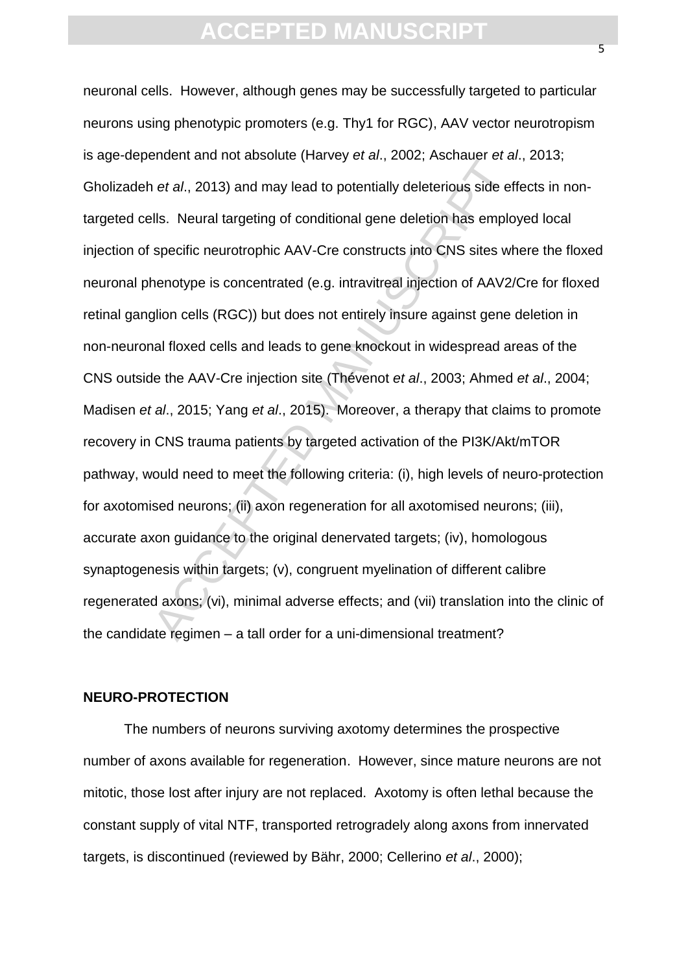and interded and may lead to potentially deleterious side of the delets. Neural targeting of conditional gene deletion has emplospecific neurotrophic AAV-Cre constructs into CNS sites whenotype is concentrated (e.g. intra neuronal cells. However, although genes may be successfully targeted to particular neurons using phenotypic promoters (e.g. Thy1 for RGC), AAV vector neurotropism is age-dependent and not absolute (Harvey *et al*., 2002; Aschauer *et al*., 2013; Gholizadeh *et al*., 2013) and may lead to potentially deleterious side effects in nontargeted cells. Neural targeting of conditional gene deletion has employed local injection of specific neurotrophic AAV-Cre constructs into CNS sites where the floxed neuronal phenotype is concentrated (e.g. intravitreal injection of AAV2/Cre for floxed retinal ganglion cells (RGC)) but does not entirely insure against gene deletion in non-neuronal floxed cells and leads to gene knockout in widespread areas of the CNS outside the AAV-Cre injection site (Thévenot *et al*., 2003; Ahmed *et al*., 2004; Madisen *et al*., 2015; Yang *et al*., 2015). Moreover, a therapy that claims to promote recovery in CNS trauma patients by targeted activation of the PI3K/Akt/mTOR pathway, would need to meet the following criteria: (i), high levels of neuro-protection for axotomised neurons; (ii) axon regeneration for all axotomised neurons; (iii), accurate axon guidance to the original denervated targets; (iv), homologous synaptogenesis within targets; (v), congruent myelination of different calibre regenerated axons; (vi), minimal adverse effects; and (vii) translation into the clinic of the candidate regimen – a tall order for a uni-dimensional treatment?

### **NEURO-PROTECTION**

The numbers of neurons surviving axotomy determines the prospective number of axons available for regeneration. However, since mature neurons are not mitotic, those lost after injury are not replaced. Axotomy is often lethal because the constant supply of vital NTF, transported retrogradely along axons from innervated targets, is discontinued (reviewed by Bähr, 2000; Cellerino *et al*., 2000);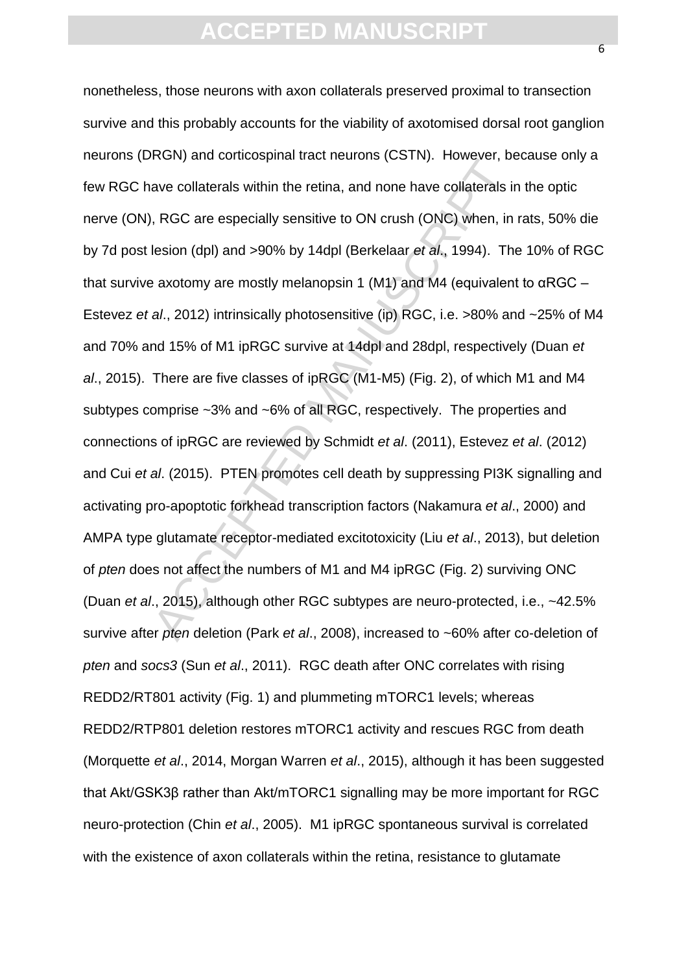Accelydate controductions (COTT). The control is a<br>we collaterals within the retina, and none have collaterals in<br>ave collaterals within the retina, and none have collaterals in<br>Resonance Manuscript (ONC) when, in<br>lesion nonetheless, those neurons with axon collaterals preserved proximal to transection survive and this probably accounts for the viability of axotomised dorsal root ganglion neurons (DRGN) and corticospinal tract neurons (CSTN). However, because only a few RGC have collaterals within the retina, and none have collaterals in the optic nerve (ON), RGC are especially sensitive to ON crush (ONC) when, in rats, 50% die by 7d post lesion (dpl) and >90% by 14dpl (Berkelaar *et al*., 1994). The 10% of RGC that survive axotomy are mostly melanopsin 1 (M1) and M4 (equivalent to αRGC – Estevez *et al*., 2012) intrinsically photosensitive (ip) RGC, i.e. >80% and ~25% of M4 and 70% and 15% of M1 ipRGC survive at 14dpl and 28dpl, respectively (Duan *et al*., 2015). There are five classes of ipRGC (M1-M5) (Fig. 2), of which M1 and M4 subtypes comprise ~3% and ~6% of all RGC, respectively. The properties and connections of ipRGC are reviewed by Schmidt *et al*. (2011), Estevez *et al*. (2012) and Cui *et al*. (2015). PTEN promotes cell death by suppressing PI3K signalling and activating pro-apoptotic forkhead transcription factors (Nakamura *et al*., 2000) and AMPA type glutamate receptor-mediated excitotoxicity (Liu *et al*., 2013), but deletion of *pten* does not affect the numbers of M1 and M4 ipRGC (Fig. 2) surviving ONC (Duan *et al*., 2015), although other RGC subtypes are neuro-protected, i.e., ~42.5% survive after *pten* deletion (Park *et al*., 2008), increased to ~60% after co-deletion of *pten* and *socs3* (Sun *et al*., 2011). RGC death after ONC correlates with rising REDD2/RT801 activity (Fig. 1) and plummeting mTORC1 levels; whereas REDD2/RTP801 deletion restores mTORC1 activity and rescues RGC from death (Morquette *et al*., 2014, Morgan Warren *et al*., 2015), although it has been suggested that Akt/GSK3β rather than Akt/mTORC1 signalling may be more important for RGC neuro-protection (Chin *et al*., 2005). M1 ipRGC spontaneous survival is correlated with the existence of axon collaterals within the retina, resistance to glutamate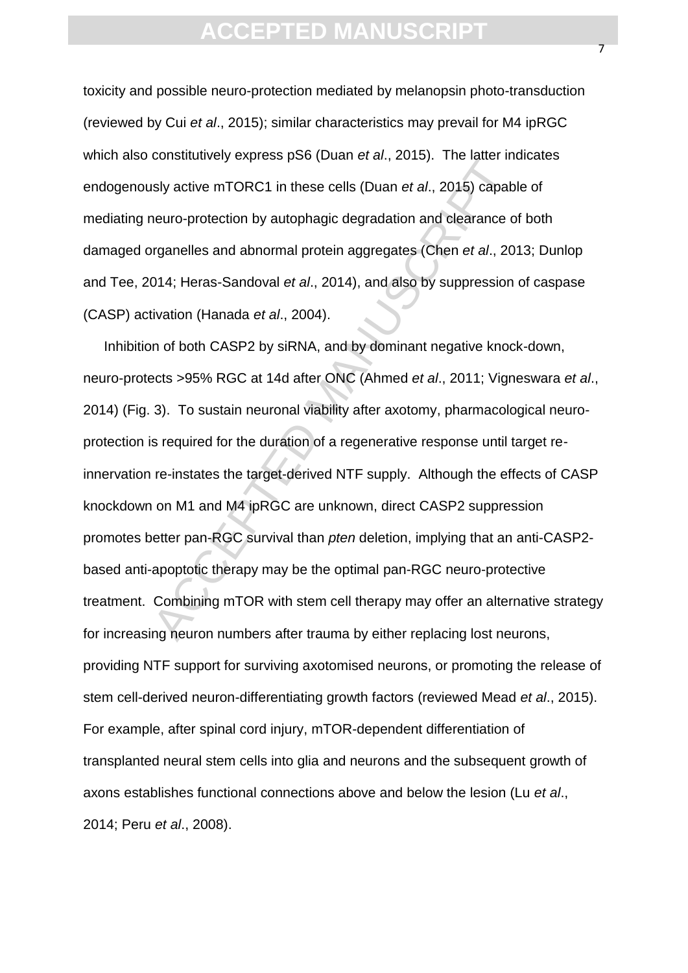toxicity and possible neuro-protection mediated by melanopsin photo-transduction (reviewed by Cui *et al*., 2015); similar characteristics may prevail for M4 ipRGC which also constitutively express pS6 (Duan *et al*., 2015). The latter indicates endogenously active mTORC1 in these cells (Duan *et al*., 2015) capable of mediating neuro-protection by autophagic degradation and clearance of both damaged organelles and abnormal protein aggregates (Chen *et al*., 2013; Dunlop and Tee, 2014; Heras-Sandoval *et al*., 2014), and also by suppression of caspase (CASP) activation (Hanada *et al*., 2004).

sly active mTORC1 in these cells (Duan et al., 2015). The iddentity<br>sly active mTORC1 in these cells (Duan et al., 2015) capable<br>neuro-protection by autophagic degradation and clearance c<br>rganelles and abnormal protein agg Inhibition of both CASP2 by siRNA, and by dominant negative knock-down, neuro-protects >95% RGC at 14d after ONC (Ahmed *et al*., 2011; Vigneswara *et al*., 2014) (Fig. 3). To sustain neuronal viability after axotomy, pharmacological neuroprotection is required for the duration of a regenerative response until target reinnervation re-instates the target-derived NTF supply. Although the effects of CASP knockdown on M1 and M4 ipRGC are unknown, direct CASP2 suppression promotes better pan-RGC survival than *pten* deletion, implying that an anti-CASP2 based anti-apoptotic therapy may be the optimal pan-RGC neuro-protective treatment. Combining mTOR with stem cell therapy may offer an alternative strategy for increasing neuron numbers after trauma by either replacing lost neurons, providing NTF support for surviving axotomised neurons, or promoting the release of stem cell-derived neuron-differentiating growth factors (reviewed Mead *et al*., 2015). For example, after spinal cord injury, mTOR-dependent differentiation of transplanted neural stem cells into glia and neurons and the subsequent growth of axons establishes functional connections above and below the lesion (Lu *et al*., 2014; Peru *et al*., 2008).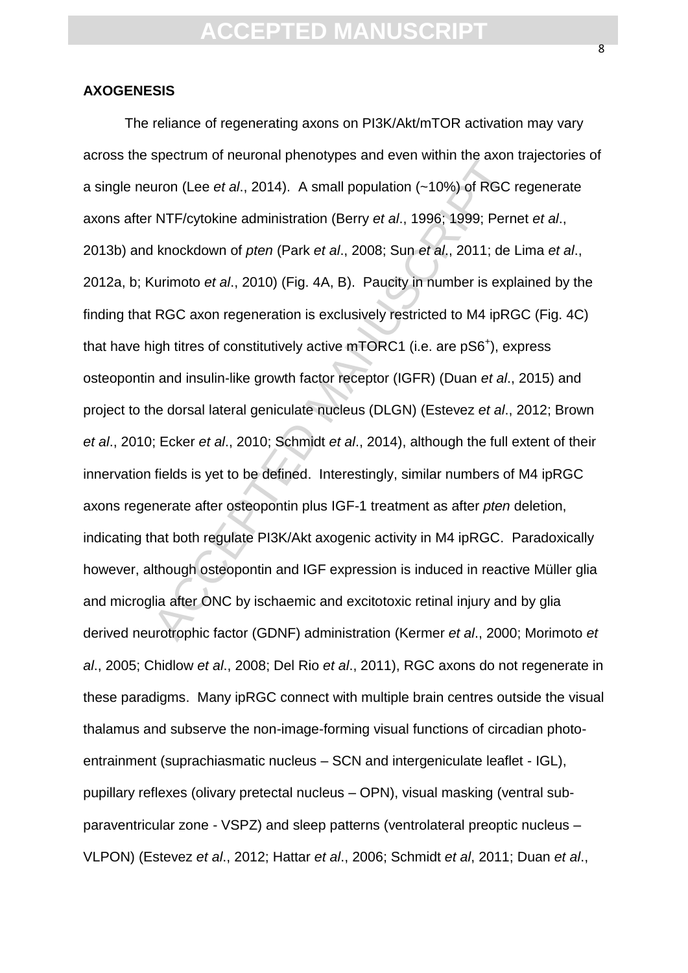#### **AXOGENESIS**

gradini of headshall phototypes and even which the disormal tries and tries in the disorder tries and tries in the disorder tries of NTF/cytokine administration (Berry *et al.*, 1996; 1999; Pern knockdown of *pten* (Park The reliance of regenerating axons on PI3K/Akt/mTOR activation may vary across the spectrum of neuronal phenotypes and even within the axon trajectories of a single neuron (Lee *et al*., 2014). A small population (~10%) of RGC regenerate axons after NTF/cytokine administration (Berry *et al*., 1996; 1999; Pernet *et al*., 2013b) and knockdown of *pten* (Park *et al*., 2008; Sun *et al*., 2011; de Lima *et al*., 2012a, b; Kurimoto *et al*., 2010) (Fig. 4A, B). Paucity in number is explained by the finding that RGC axon regeneration is exclusively restricted to M4 ipRGC (Fig. 4C) that have high titres of constitutively active  $mTORC1$  (i.e. are  $pS6<sup>+</sup>$ ), express osteopontin and insulin-like growth factor receptor (IGFR) (Duan *et al*., 2015) and project to the dorsal lateral geniculate nucleus (DLGN) (Estevez *et al*., 2012; Brown *et al*., 2010; Ecker *et al*., 2010; Schmidt *et al*., 2014), although the full extent of their innervation fields is yet to be defined. Interestingly, similar numbers of M4 ipRGC axons regenerate after osteopontin plus IGF-1 treatment as after *pten* deletion, indicating that both regulate PI3K/Akt axogenic activity in M4 ipRGC. Paradoxically however, although osteopontin and IGF expression is induced in reactive Müller glia and microglia after ONC by ischaemic and excitotoxic retinal injury and by glia derived neurotrophic factor (GDNF) administration (Kermer *et al*., 2000; Morimoto *et al*., 2005; Chidlow *et al*., 2008; Del Rio *et al*., 2011), RGC axons do not regenerate in these paradigms. Many ipRGC connect with multiple brain centres outside the visual thalamus and subserve the non-image-forming visual functions of circadian photoentrainment (suprachiasmatic nucleus – SCN and intergeniculate leaflet - IGL), pupillary reflexes (olivary pretectal nucleus – OPN), visual masking (ventral subparaventricular zone - VSPZ) and sleep patterns (ventrolateral preoptic nucleus – VLPON) (Estevez *et al*., 2012; Hattar *et al*., 2006; Schmidt *et al*, 2011; Duan *et al*.,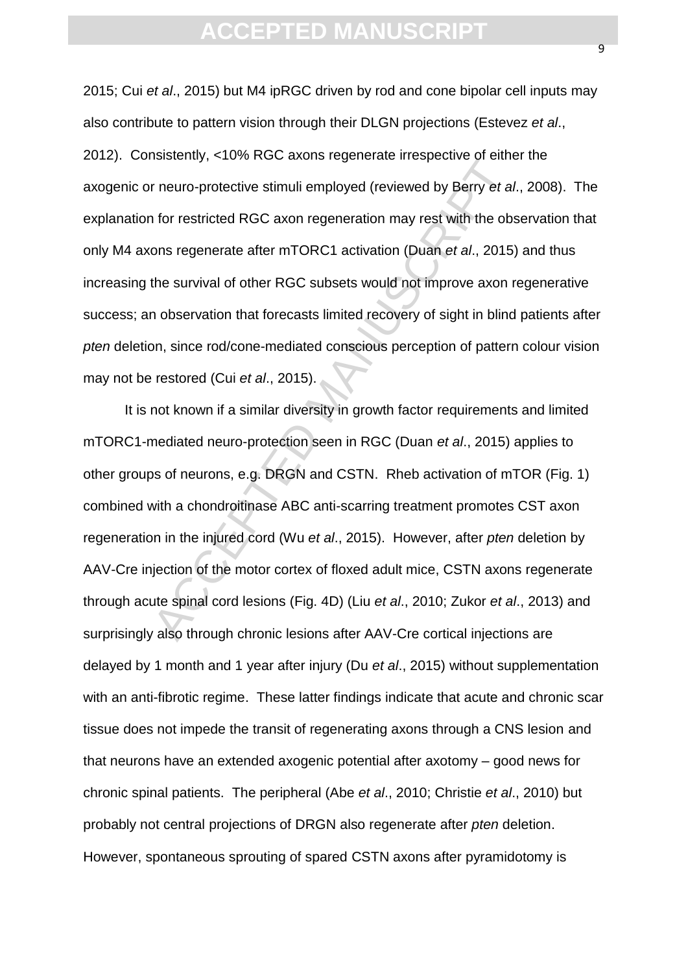2015; Cui *et al*., 2015) but M4 ipRGC driven by rod and cone bipolar cell inputs may also contribute to pattern vision through their DLGN projections (Estevez *et al*., 2012). Consistently, <10% RGC axons regenerate irrespective of either the axogenic or neuro-protective stimuli employed (reviewed by Berry *et al*., 2008). The explanation for restricted RGC axon regeneration may rest with the observation that only M4 axons regenerate after mTORC1 activation (Duan *et al*., 2015) and thus increasing the survival of other RGC subsets would not improve axon regenerative success; an observation that forecasts limited recovery of sight in blind patients after *pten* deletion, since rod/cone-mediated conscious perception of pattern colour vision may not be restored (Cui *et al*., 2015).

Fracture of the metric stimuli employed (reviewed by Berry et al., 2015)<br>The interval RGC axon regeneration may rest with the obsens regenerate after mTORC1 activation (Duan et al., 2015)<br>the survival of other RGC subsets It is not known if a similar diversity in growth factor requirements and limited mTORC1-mediated neuro-protection seen in RGC (Duan *et al*., 2015) applies to other groups of neurons, e.g. DRGN and CSTN. Rheb activation of mTOR (Fig. 1) combined with a chondroitinase ABC anti-scarring treatment promotes CST axon regeneration in the injured cord (Wu *et al*., 2015). However, after *pten* deletion by AAV-Cre injection of the motor cortex of floxed adult mice, CSTN axons regenerate through acute spinal cord lesions (Fig. 4D) (Liu *et al*., 2010; Zukor *et al*., 2013) and surprisingly also through chronic lesions after AAV-Cre cortical injections are delayed by 1 month and 1 year after injury (Du *et al*., 2015) without supplementation with an anti-fibrotic regime. These latter findings indicate that acute and chronic scar tissue does not impede the transit of regenerating axons through a CNS lesion and that neurons have an extended axogenic potential after axotomy – good news for chronic spinal patients. The peripheral (Abe *et al*., 2010; Christie *et al*., 2010) but probably not central projections of DRGN also regenerate after *pten* deletion. However, spontaneous sprouting of spared CSTN axons after pyramidotomy is

 $\overline{a}$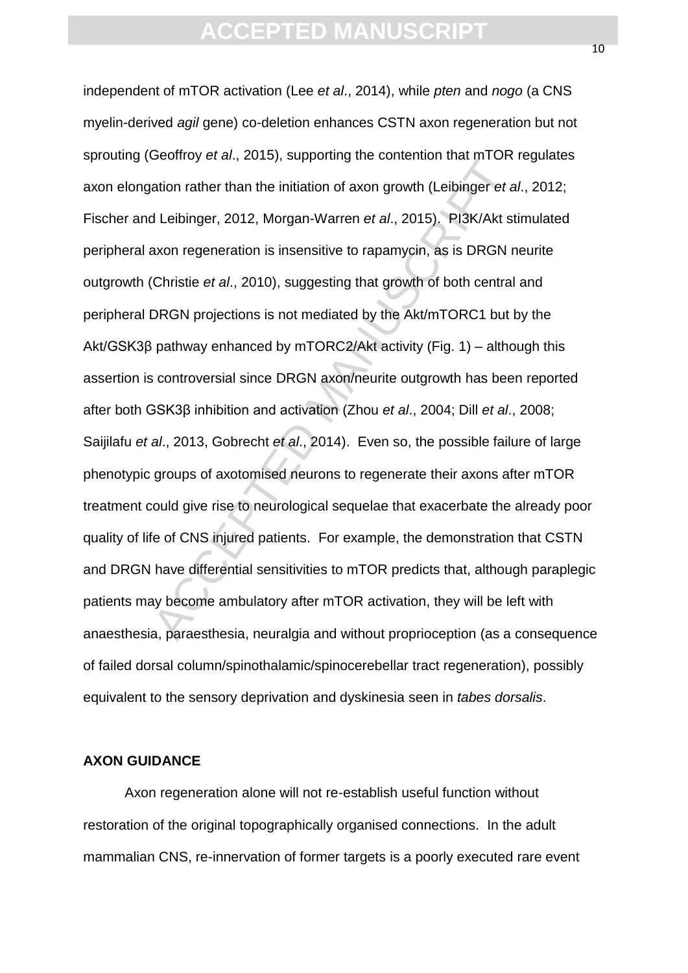becomey of an, 2010), supporting the contention that the orter<br>ation rather than the initiation of axon growth (Leibinger et a<br>dion rather than the initiation of axon growth (Leibinger et a<br>dion regeneration is insensitive independent of mTOR activation (Lee *et al*., 2014), while *pten* and *nogo* (a CNS myelin-derived *agil* gene) co-deletion enhances CSTN axon regeneration but not sprouting (Geoffroy *et al*., 2015), supporting the contention that mTOR regulates axon elongation rather than the initiation of axon growth (Leibinger *et al*., 2012; Fischer and Leibinger, 2012, Morgan-Warren *et al*., 2015). PI3K/Akt stimulated peripheral axon regeneration is insensitive to rapamycin, as is DRGN neurite outgrowth (Christie *et al*., 2010), suggesting that growth of both central and peripheral DRGN projections is not mediated by the Akt/mTORC1 but by the Akt/GSK3β pathway enhanced by mTORC2/Akt activity (Fig. 1) – although this assertion is controversial since DRGN axon/neurite outgrowth has been reported after both GSK3β inhibition and activation (Zhou *et al*., 2004; Dill *et al*., 2008; Saijilafu *et al*., 2013, Gobrecht *et al*., 2014). Even so, the possible failure of large phenotypic groups of axotomised neurons to regenerate their axons after mTOR treatment could give rise to neurological sequelae that exacerbate the already poor quality of life of CNS injured patients. For example, the demonstration that CSTN and DRGN have differential sensitivities to mTOR predicts that, although paraplegic patients may become ambulatory after mTOR activation, they will be left with anaesthesia, paraesthesia, neuralgia and without proprioception (as a consequence of failed dorsal column/spinothalamic/spinocerebellar tract regeneration), possibly equivalent to the sensory deprivation and dyskinesia seen in *tabes dorsalis*.

### **AXON GUIDANCE**

Axon regeneration alone will not re-establish useful function without restoration of the original topographically organised connections. In the adult mammalian CNS, re-innervation of former targets is a poorly executed rare event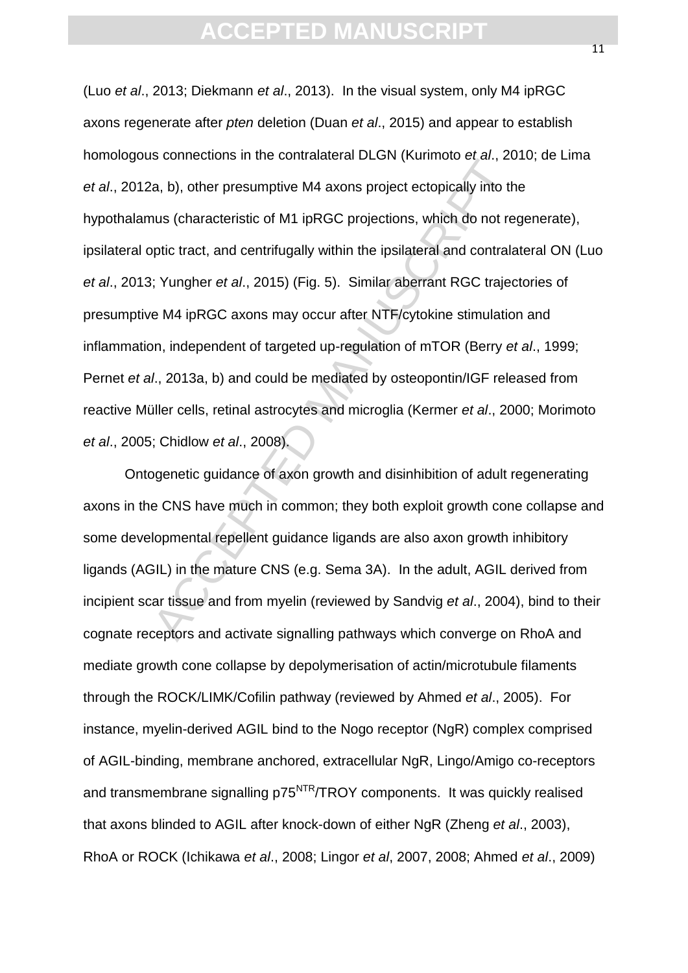a, b), other presumptive M4 axons project ectopically into thus (characteristic of M1 ipRGC projections, which do not reptic tract, and centrifugally within the ipsilateral and contralactic is Yungher *et al.*, 2015) (Fig. (Luo *et al*., 2013; Diekmann *et al*., 2013). In the visual system, only M4 ipRGC axons regenerate after *pten* deletion (Duan *et al*., 2015) and appear to establish homologous connections in the contralateral DLGN (Kurimoto *et al*., 2010; de Lima *et al*., 2012a, b), other presumptive M4 axons project ectopically into the hypothalamus (characteristic of M1 ipRGC projections, which do not regenerate), ipsilateral optic tract, and centrifugally within the ipsilateral and contralateral ON (Luo *et al*., 2013; Yungher *et al*., 2015) (Fig. 5). Similar aberrant RGC trajectories of presumptive M4 ipRGC axons may occur after NTF/cytokine stimulation and inflammation, independent of targeted up-regulation of mTOR (Berry *et al*., 1999; Pernet *et al*., 2013a, b) and could be mediated by osteopontin/IGF released from reactive Müller cells, retinal astrocytes and microglia (Kermer *et al*., 2000; Morimoto *et al*., 2005; Chidlow *et al*., 2008).

Ontogenetic guidance of axon growth and disinhibition of adult regenerating axons in the CNS have much in common; they both exploit growth cone collapse and some developmental repellent guidance ligands are also axon growth inhibitory ligands (AGIL) in the mature CNS (e.g. Sema 3A). In the adult, AGIL derived from incipient scar tissue and from myelin (reviewed by Sandvig *et al*., 2004), bind to their cognate receptors and activate signalling pathways which converge on RhoA and mediate growth cone collapse by depolymerisation of actin/microtubule filaments through the ROCK/LIMK/Cofilin pathway (reviewed by Ahmed *et al*., 2005). For instance, myelin-derived AGIL bind to the Nogo receptor (NgR) complex comprised of AGIL-binding, membrane anchored, extracellular NgR, Lingo/Amigo co-receptors and transmembrane signalling p75<sup>NTR</sup>/TROY components. It was quickly realised that axons blinded to AGIL after knock-down of either NgR (Zheng *et al*., 2003), RhoA or ROCK (Ichikawa *et al*., 2008; Lingor *et al*, 2007, 2008; Ahmed *et al*., 2009)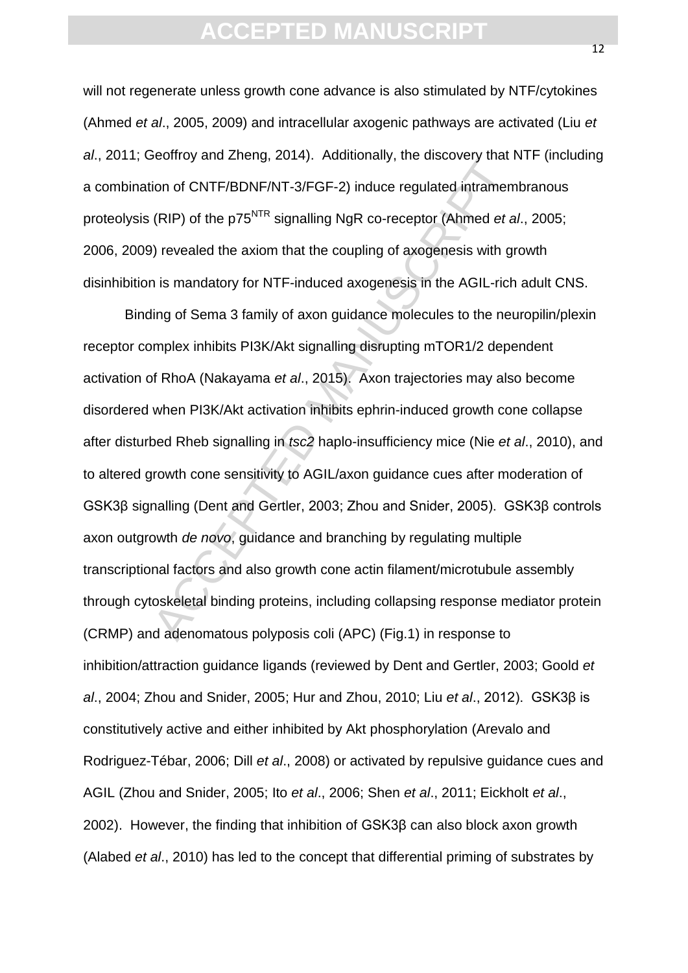will not regenerate unless growth cone advance is also stimulated by NTF/cytokines (Ahmed *et al*., 2005, 2009) and intracellular axogenic pathways are activated (Liu *et al*., 2011; Geoffroy and Zheng, 2014). Additionally, the discovery that NTF (including a combination of CNTF/BDNF/NT-3/FGF-2) induce regulated intramembranous proteolysis (RIP) of the p75NTR signalling NgR co-receptor (Ahmed *et al*., 2005; 2006, 2009) revealed the axiom that the coupling of axogenesis with growth disinhibition is mandatory for NTF-induced axogenesis in the AGIL-rich adult CNS.

boomty and Enong, Editry: Accelerating, the choosedy inter-<br>ion of CNTF/BDNF/NT-3/FGF-2) induce regulated intramem<br>(RIP) of the p75<sup>NTR</sup> signalling NgR co-receptor (Ahmed *et a*<br>i) revealed the axiom that the coupling of a Binding of Sema 3 family of axon guidance molecules to the neuropilin/plexin receptor complex inhibits PI3K/Akt signalling disrupting mTOR1/2 dependent activation of RhoA (Nakayama *et al*., 2015). Axon trajectories may also become disordered when PI3K/Akt activation inhibits ephrin-induced growth cone collapse after disturbed Rheb signalling in *tsc2* haplo-insufficiency mice (Nie *et al*., 2010), and to altered growth cone sensitivity to AGIL/axon guidance cues after moderation of GSK3β signalling (Dent and Gertler, 2003; Zhou and Snider, 2005). GSK3β controls axon outgrowth *de novo*, guidance and branching by regulating multiple transcriptional factors and also growth cone actin filament/microtubule assembly through cytoskeletal binding proteins, including collapsing response mediator protein (CRMP) and adenomatous polyposis coli (APC) (Fig.1) in response to inhibition/attraction guidance ligands (reviewed by Dent and Gertler, 2003; Goold *et al*., 2004; Zhou and Snider, 2005; Hur and Zhou, 2010; Liu *et al*., 2012). GSK3β is constitutively active and either inhibited by Akt phosphorylation (Arevalo and Rodriguez-Tébar, 2006; Dill *et al*., 2008) or activated by repulsive guidance cues and AGIL (Zhou and Snider, 2005; Ito *et al*., 2006; Shen *et al*., 2011; Eickholt *et al*., 2002). However, the finding that inhibition of GSK3β can also block axon growth (Alabed *et al*., 2010) has led to the concept that differential priming of substrates by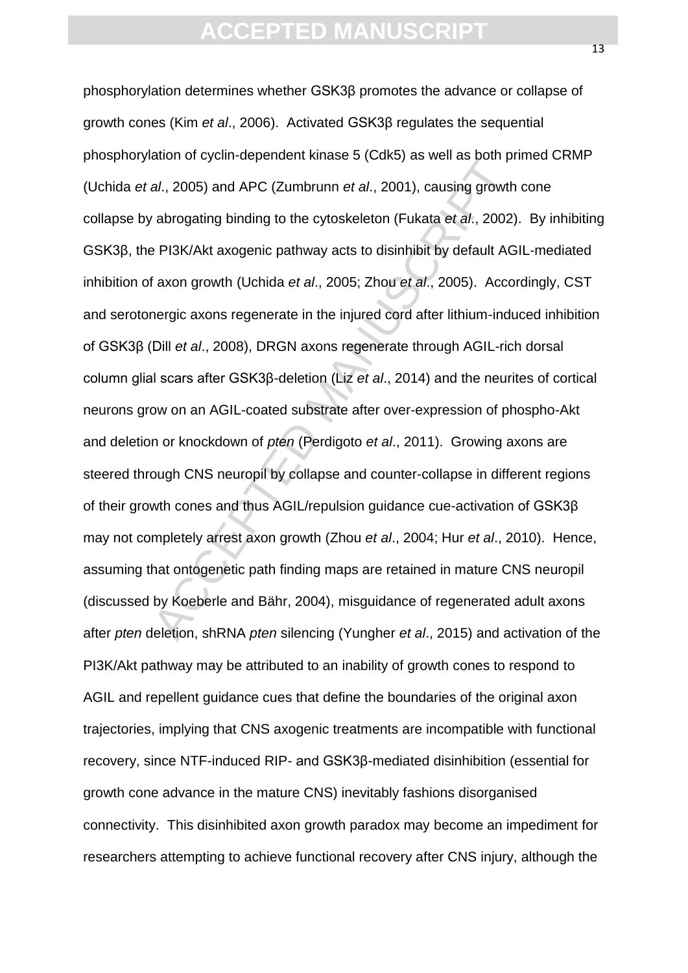al., 2005) and APC (Zumbrunn *et al.*, 2001), causing growth<br>al., 2005) and APC (Zumbrunn *et al.*, 2001), causing growth<br>abrogating binding to the cytoskeleton (Fukata *et al.*, 2002)<br>PI3K/Akt axogenic pathway acts to di phosphorylation determines whether GSK3β promotes the advance or collapse of growth cones (Kim *et al*., 2006). Activated GSK3β regulates the sequential phosphorylation of cyclin-dependent kinase 5 (Cdk5) as well as both primed CRMP (Uchida *et al*., 2005) and APC (Zumbrunn *et al*., 2001), causing growth cone collapse by abrogating binding to the cytoskeleton (Fukata *et al*., 2002). By inhibiting GSK3β, the PI3K/Akt axogenic pathway acts to disinhibit by default AGIL-mediated inhibition of axon growth (Uchida *et al*., 2005; Zhou *et al*., 2005). Accordingly, CST and serotonergic axons regenerate in the injured cord after lithium-induced inhibition of GSK3β (Dill *et al*., 2008), DRGN axons regenerate through AGIL-rich dorsal column glial scars after GSK3β-deletion (Liz *et al*., 2014) and the neurites of cortical neurons grow on an AGIL-coated substrate after over-expression of phospho-Akt and deletion or knockdown of *pten* (Perdigoto *et al*., 2011). Growing axons are steered through CNS neuropil by collapse and counter-collapse in different regions of their growth cones and thus AGIL/repulsion guidance cue-activation of GSK3β may not completely arrest axon growth (Zhou *et al*., 2004; Hur *et al*., 2010). Hence, assuming that ontogenetic path finding maps are retained in mature CNS neuropil (discussed by Koeberle and Bähr, 2004), misguidance of regenerated adult axons after *pten* deletion, shRNA *pten* silencing (Yungher *et al*., 2015) and activation of the PI3K/Akt pathway may be attributed to an inability of growth cones to respond to AGIL and repellent guidance cues that define the boundaries of the original axon trajectories, implying that CNS axogenic treatments are incompatible with functional recovery, since NTF-induced RIP- and GSK3β-mediated disinhibition (essential for growth cone advance in the mature CNS) inevitably fashions disorganised connectivity. This disinhibited axon growth paradox may become an impediment for researchers attempting to achieve functional recovery after CNS injury, although the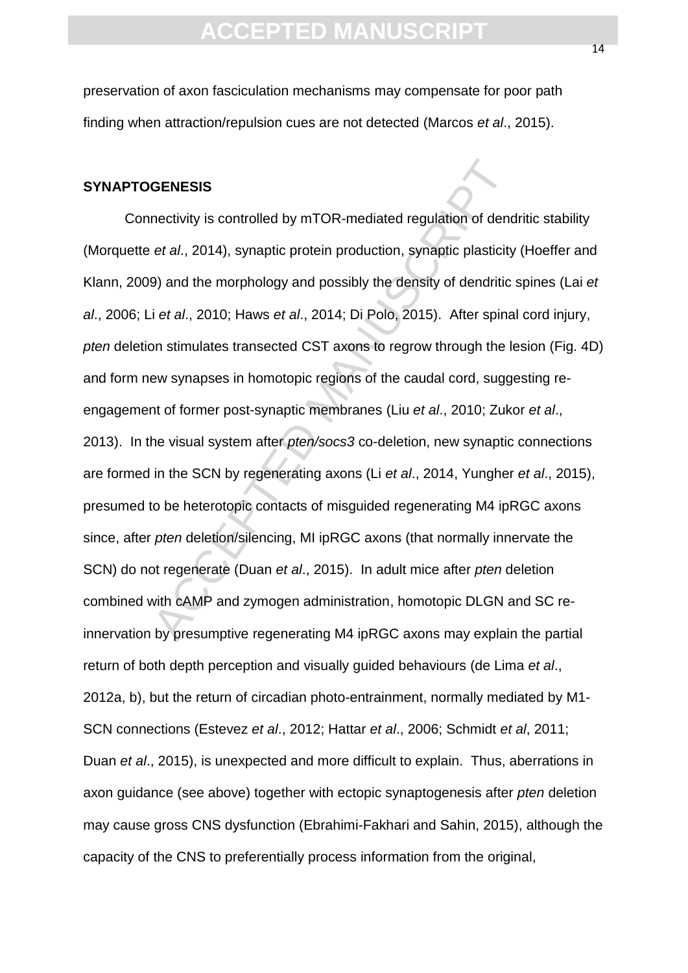preservation of axon fasciculation mechanisms may compensate for poor path finding when attraction/repulsion cues are not detected (Marcos *et al*., 2015).

#### **SYNAPTOGENESIS**

GENESIS<br>nectivity is controlled by mTOR-mediated regulation of dencetal., 2014), synaptic protein production, synaptic plasticity<br>9) and the morphology and possibly the density of dendritic<br>i et al., 2010; Haws et al., 20 Connectivity is controlled by mTOR-mediated regulation of dendritic stability (Morquette *et al*., 2014), synaptic protein production, synaptic plasticity (Hoeffer and Klann, 2009) and the morphology and possibly the density of dendritic spines (Lai *et al*., 2006; Li *et al*., 2010; Haws *et al*., 2014; Di Polo, 2015). After spinal cord injury, *pten* deletion stimulates transected CST axons to regrow through the lesion (Fig. 4D) and form new synapses in homotopic regions of the caudal cord, suggesting reengagement of former post-synaptic membranes (Liu *et al*., 2010; Zukor *et al*., 2013). In the visual system after *pten/socs3* co-deletion, new synaptic connections are formed in the SCN by regenerating axons (Li *et al*., 2014, Yungher *et al*., 2015), presumed to be heterotopic contacts of misguided regenerating M4 ipRGC axons since, after *pten* deletion/silencing, MI ipRGC axons (that normally innervate the SCN) do not regenerate (Duan *et al*., 2015). In adult mice after *pten* deletion combined with cAMP and zymogen administration, homotopic DLGN and SC reinnervation by presumptive regenerating M4 ipRGC axons may explain the partial return of both depth perception and visually guided behaviours (de Lima *et al*., 2012a, b), but the return of circadian photo-entrainment, normally mediated by M1- SCN connections (Estevez *et al*., 2012; Hattar *et al*., 2006; Schmidt *et al*, 2011; Duan *et al*., 2015), is unexpected and more difficult to explain. Thus, aberrations in axon guidance (see above) together with ectopic synaptogenesis after *pten* deletion may cause gross CNS dysfunction (Ebrahimi-Fakhari and Sahin, 2015), although the capacity of the CNS to preferentially process information from the original,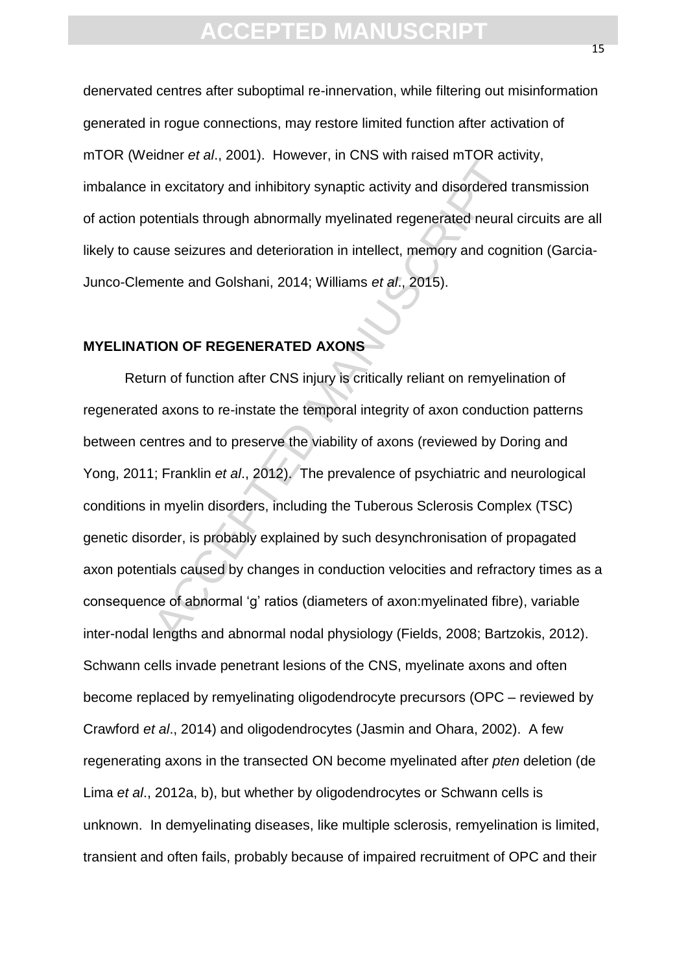denervated centres after suboptimal re-innervation, while filtering out misinformation generated in rogue connections, may restore limited function after activation of mTOR (Weidner *et al*., 2001). However, in CNS with raised mTOR activity, imbalance in excitatory and inhibitory synaptic activity and disordered transmission of action potentials through abnormally myelinated regenerated neural circuits are all likely to cause seizures and deterioration in intellect, memory and cognition (Garcia-Junco-Clemente and Golshani, 2014; Williams *et al*., 2015).

### **MYELINATION OF REGENERATED AXONS**

In excitatory and inhibitory synaptic activity and disordered tirentials through abnormally myelinated regenerated neural<br>se seizures and deterioration in intellect, memory and cogneente and Golshani, 2014; Williams *et al* Return of function after CNS injury is critically reliant on remyelination of regenerated axons to re-instate the temporal integrity of axon conduction patterns between centres and to preserve the viability of axons (reviewed by Doring and Yong, 2011; Franklin *et al*., 2012). The prevalence of psychiatric and neurological conditions in myelin disorders, including the Tuberous Sclerosis Complex (TSC) genetic disorder, is probably explained by such desynchronisation of propagated axon potentials caused by changes in conduction velocities and refractory times as a consequence of abnormal 'g' ratios (diameters of axon:myelinated fibre), variable inter-nodal lengths and abnormal nodal physiology (Fields, 2008; Bartzokis, 2012). Schwann cells invade penetrant lesions of the CNS, myelinate axons and often become replaced by remyelinating oligodendrocyte precursors (OPC – reviewed by Crawford *et al*., 2014) and oligodendrocytes (Jasmin and Ohara, 2002). A few regenerating axons in the transected ON become myelinated after *pten* deletion (de Lima *et al*., 2012a, b), but whether by oligodendrocytes or Schwann cells is unknown. In demyelinating diseases, like multiple sclerosis, remyelination is limited, transient and often fails, probably because of impaired recruitment of OPC and their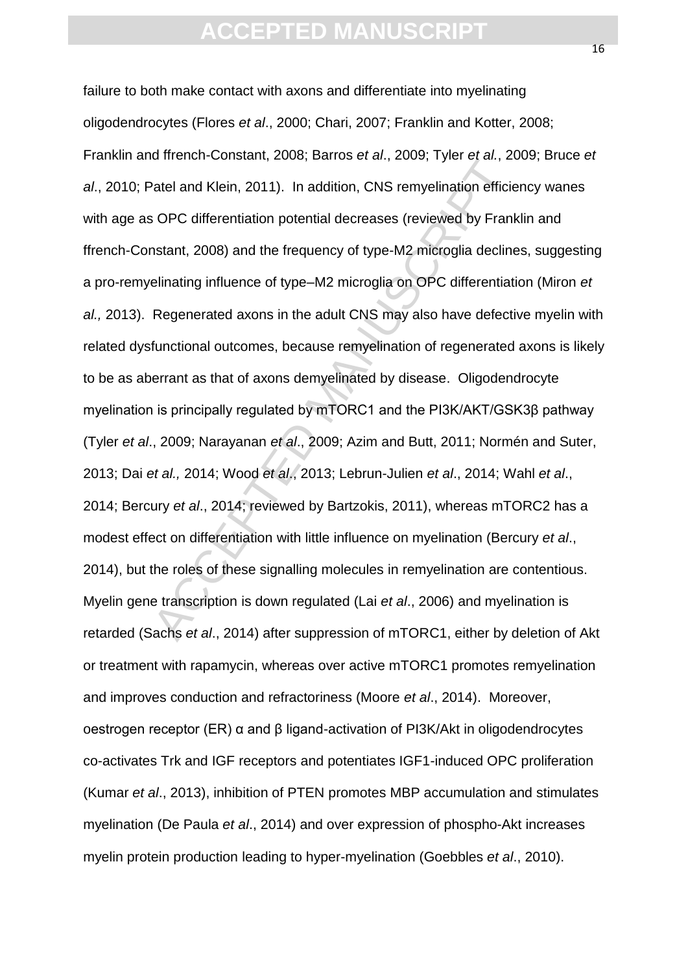and Klein, 2000; Lambuschen, Losse, 1910 of all, 2011<br>atel and Klein, 2011). In addition, CNS remyelination efficies<br>OPC differentiation potential decreases (reviewed by Frank<br>stant, 2008) and the frequency of type-M2 micr failure to both make contact with axons and differentiate into myelinating oligodendrocytes (Flores *et al*., 2000; Chari, 2007; Franklin and Kotter, 2008; Franklin and ffrench-Constant, 2008; Barros *et al*., 2009; Tyler *et al.*, 2009; Bruce *et al*., 2010; Patel and Klein, 2011). In addition, CNS remyelination efficiency wanes with age as OPC differentiation potential decreases (reviewed by Franklin and ffrench-Constant, 2008) and the frequency of type-M2 microglia declines, suggesting a pro-remyelinating influence of type–M2 microglia on OPC differentiation (Miron *et al.,* 2013). Regenerated axons in the adult CNS may also have defective myelin with related dysfunctional outcomes, because remyelination of regenerated axons is likely to be as aberrant as that of axons demyelinated by disease. Oligodendrocyte myelination is principally regulated by mTORC1 and the PI3K/AKT/GSK3β pathway (Tyler *et al*., 2009; Narayanan *et al*., 2009; Azim and Butt, 2011; Normén and Suter, 2013; Dai *et al.,* 2014; Wood *et al*., 2013; Lebrun-Julien *et al*., 2014; Wahl *et al*., 2014; Bercury *et al*., 2014; reviewed by Bartzokis, 2011), whereas mTORC2 has a modest effect on differentiation with little influence on myelination (Bercury *et al*., 2014), but the roles of these signalling molecules in remyelination are contentious. Myelin gene transcription is down regulated (Lai *et al*., 2006) and myelination is retarded (Sachs *et al*., 2014) after suppression of mTORC1, either by deletion of Akt or treatment with rapamycin, whereas over active mTORC1 promotes remyelination and improves conduction and refractoriness (Moore *et al*., 2014). Moreover, oestrogen receptor (ER) α and β ligand-activation of PI3K/Akt in oligodendrocytes co-activates Trk and IGF receptors and potentiates IGF1-induced OPC proliferation (Kumar *et al*., 2013), inhibition of PTEN promotes MBP accumulation and stimulates myelination (De Paula *et al*., 2014) and over expression of phospho-Akt increases myelin protein production leading to hyper-myelination (Goebbles *et al*., 2010).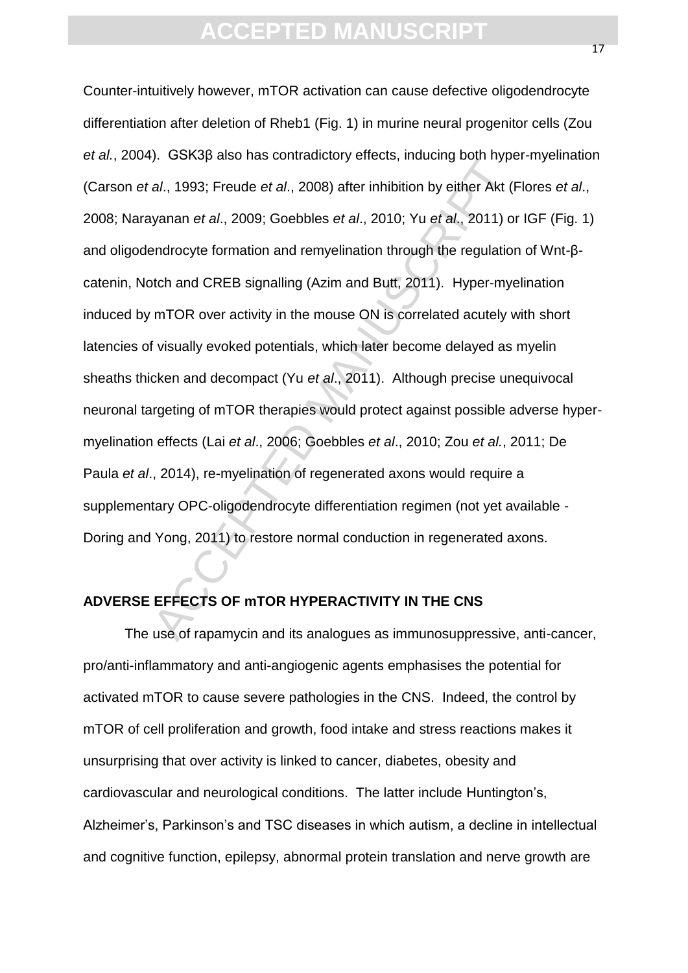al., 1993; Freude et al., 2008) after inhibition by either Akt (I<br>vanan et al., 2009; Goebbles et al., 2010; Yu et al., 2011) of<br>endrocyte formation and remyelination through the regulation<br>toth and CREB signalling (Azim Counter-intuitively however, mTOR activation can cause defective oligodendrocyte differentiation after deletion of Rheb1 (Fig. 1) in murine neural progenitor cells (Zou *et al.*, 2004). GSK3β also has contradictory effects, inducing both hyper-myelination (Carson *et al*., 1993; Freude *et al*., 2008) after inhibition by either Akt (Flores *et al*., 2008; Narayanan *et al*., 2009; Goebbles *et al*., 2010; Yu *et al*., 2011) or IGF (Fig. 1) and oligodendrocyte formation and remyelination through the regulation of Wnt-βcatenin, Notch and CREB signalling (Azim and Butt, 2011). Hyper-myelination induced by mTOR over activity in the mouse ON is correlated acutely with short latencies of visually evoked potentials, which later become delayed as myelin sheaths thicken and decompact (Yu *et al*., 2011). Although precise unequivocal neuronal targeting of mTOR therapies would protect against possible adverse hypermyelination effects (Lai *et al*., 2006; Goebbles *et al*., 2010; Zou *et al.*, 2011; De Paula *et al*., 2014), re-myelination of regenerated axons would require a supplementary OPC-oligodendrocyte differentiation regimen (not yet available - Doring and Yong, 2011) to restore normal conduction in regenerated axons.

### **ADVERSE EFFECTS OF mTOR HYPERACTIVITY IN THE CNS**

The use of rapamycin and its analogues as immunosuppressive, anti-cancer, pro/anti-inflammatory and anti-angiogenic agents emphasises the potential for activated mTOR to cause severe pathologies in the CNS. Indeed, the control by mTOR of cell proliferation and growth, food intake and stress reactions makes it unsurprising that over activity is linked to cancer, diabetes, obesity and cardiovascular and neurological conditions. The latter include Huntington's, Alzheimer's, Parkinson's and TSC diseases in which autism, a decline in intellectual and cognitive function, epilepsy, abnormal protein translation and nerve growth are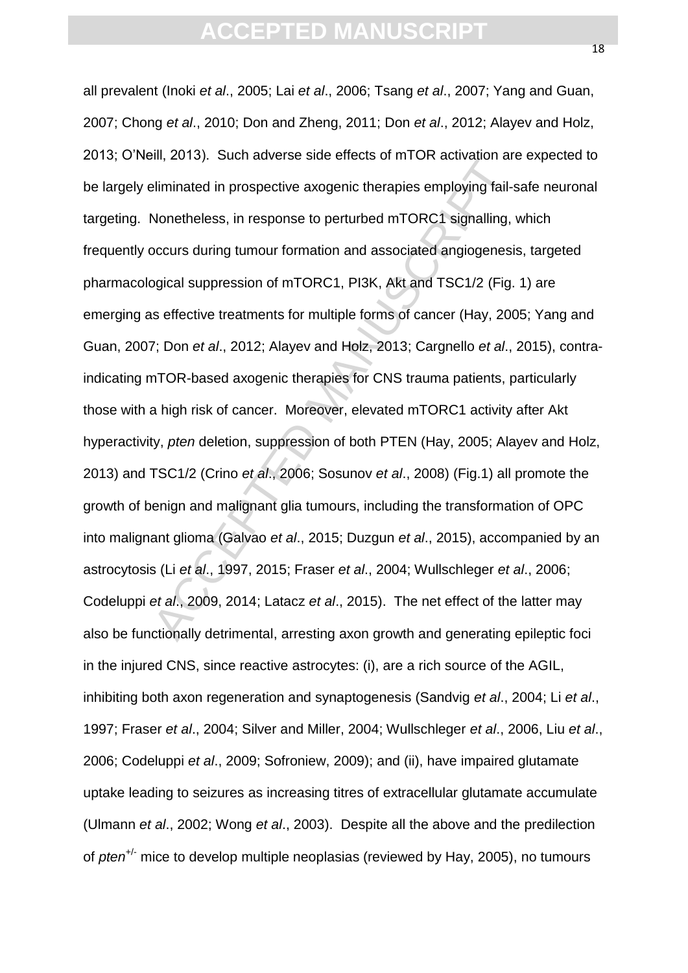mi, 2010). Soon datends once once of ministricant<br>aliminated in prospective axogenic therapies employing fail-<br>Nonetheless, in response to perturbed mTORC1 signalling,<br>occurs during tumour formation and associated angioge all prevalent (Inoki *et al*., 2005; Lai *et al*., 2006; Tsang *et al*., 2007; Yang and Guan, 2007; Chong *et al*., 2010; Don and Zheng, 2011; Don *et al*., 2012; Alayev and Holz, 2013; O'Neill, 2013). Such adverse side effects of mTOR activation are expected to be largely eliminated in prospective axogenic therapies employing fail-safe neuronal targeting. Nonetheless, in response to perturbed mTORC1 signalling, which frequently occurs during tumour formation and associated angiogenesis, targeted pharmacological suppression of mTORC1, PI3K, Akt and TSC1/2 (Fig. 1) are emerging as effective treatments for multiple forms of cancer (Hay, 2005; Yang and Guan, 2007; Don *et al*., 2012; Alayev and Holz, 2013; Cargnello *et al*., 2015), contraindicating mTOR-based axogenic therapies for CNS trauma patients, particularly those with a high risk of cancer. Moreover, elevated mTORC1 activity after Akt hyperactivity, *pten* deletion, suppression of both PTEN (Hay, 2005; Alayev and Holz, 2013) and TSC1/2 (Crino *et al*., 2006; Sosunov *et al*., 2008) (Fig.1) all promote the growth of benign and malignant glia tumours, including the transformation of OPC into malignant glioma (Galvao *et al*., 2015; Duzgun *et al*., 2015), accompanied by an astrocytosis (Li *et al*., 1997, 2015; Fraser *et al*., 2004; Wullschleger *et al*., 2006; Codeluppi *et al*., 2009, 2014; Latacz *et al*., 2015). The net effect of the latter may also be functionally detrimental, arresting axon growth and generating epileptic foci in the injured CNS, since reactive astrocytes: (i), are a rich source of the AGIL, inhibiting both axon regeneration and synaptogenesis (Sandvig *et al*., 2004; Li *et al*., 1997; Fraser *et al*., 2004; Silver and Miller, 2004; Wullschleger *et al*., 2006, Liu *et al*., 2006; Codeluppi *et al*., 2009; Sofroniew, 2009); and (ii), have impaired glutamate uptake leading to seizures as increasing titres of extracellular glutamate accumulate (Ulmann *et al*., 2002; Wong *et al*., 2003). Despite all the above and the predilection of *pten*+/- mice to develop multiple neoplasias (reviewed by Hay, 2005), no tumours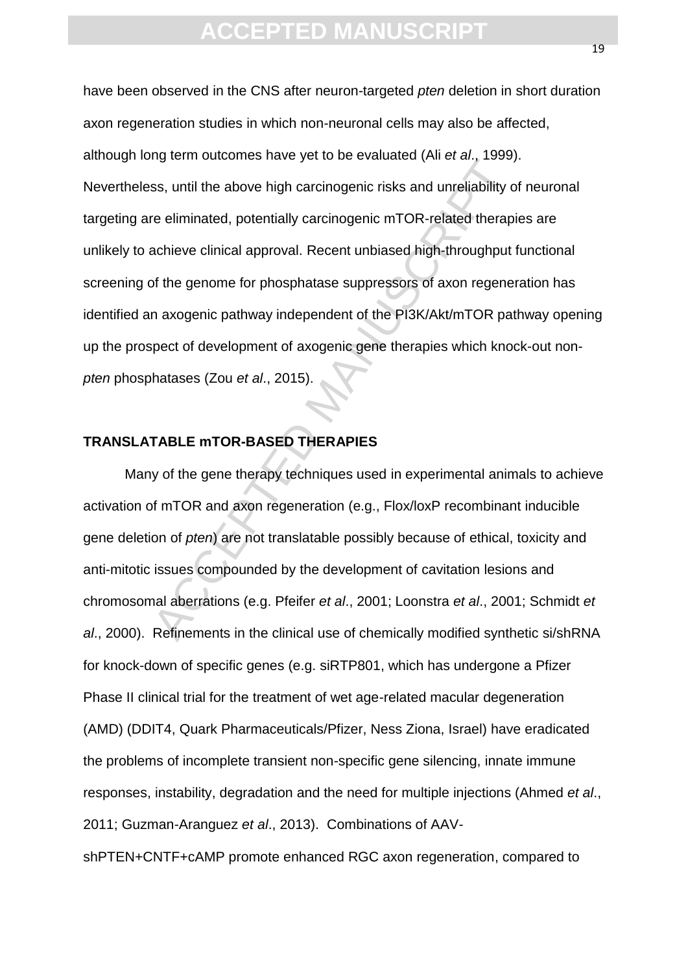rig commistance have yerts be be branched (wild car, 1555),<br>ss, until the above high carcinogenic risks and unreliability or<br>re-eliminated, potentially carcinogenic mTOR-related therap<br>achieve clinical approval. Recent unb have been observed in the CNS after neuron-targeted *pten* deletion in short duration axon regeneration studies in which non-neuronal cells may also be affected, although long term outcomes have yet to be evaluated (Ali *et al*., 1999). Nevertheless, until the above high carcinogenic risks and unreliability of neuronal targeting are eliminated, potentially carcinogenic mTOR-related therapies are unlikely to achieve clinical approval. Recent unbiased high-throughput functional screening of the genome for phosphatase suppressors of axon regeneration has identified an axogenic pathway independent of the PI3K/Akt/mTOR pathway opening up the prospect of development of axogenic gene therapies which knock-out non*pten* phosphatases (Zou *et al*., 2015).

### **TRANSLATABLE mTOR-BASED THERAPIES**

Many of the gene therapy techniques used in experimental animals to achieve activation of mTOR and axon regeneration (e.g., Flox/loxP recombinant inducible gene deletion of *pten*) are not translatable possibly because of ethical, toxicity and anti-mitotic issues compounded by the development of cavitation lesions and chromosomal aberrations (e.g. Pfeifer *et al*., 2001; Loonstra *et al*., 2001; Schmidt *et al*., 2000). Refinements in the clinical use of chemically modified synthetic si/shRNA for knock-down of specific genes (e.g. siRTP801, which has undergone a Pfizer Phase II clinical trial for the treatment of wet age-related macular degeneration (AMD) (DDIT4, Quark Pharmaceuticals/Pfizer, Ness Ziona, Israel) have eradicated the problems of incomplete transient non-specific gene silencing, innate immune responses, instability, degradation and the need for multiple injections (Ahmed *et al*., 2011; Guzman-Aranguez *et al*., 2013). Combinations of AAVshPTEN+CNTF+cAMP promote enhanced RGC axon regeneration, compared to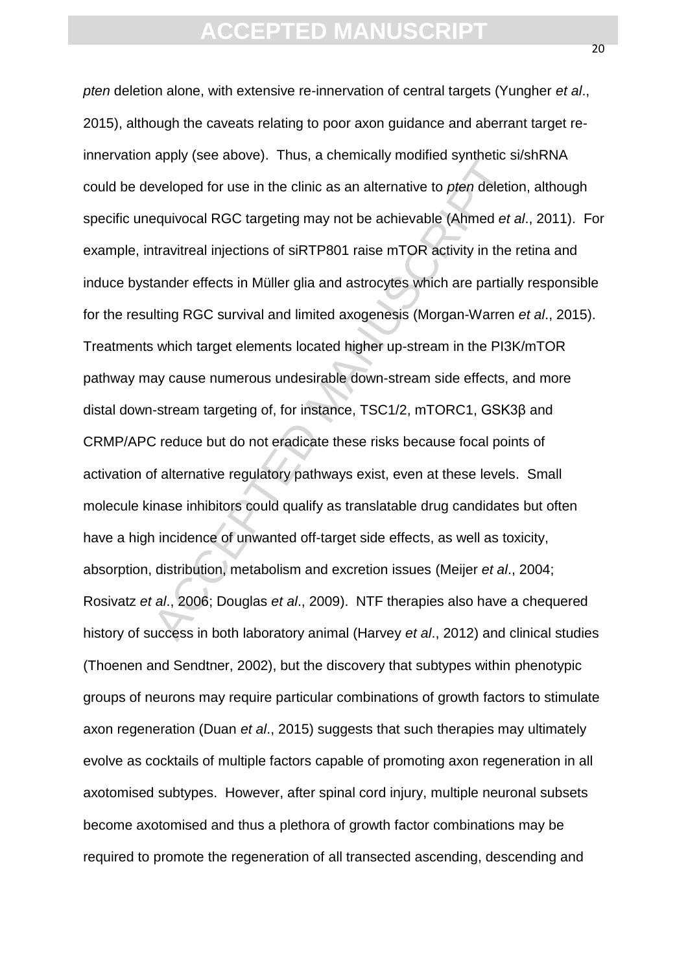apply (see above). That, a shemiloany includible synthetic seveloped for use in the clinic as an alternative to pten deletic<br>equivocal RGC targeting may not be achievable (Ahmed *et*,<br>travitreal injections of siRTP801 rais *pten* deletion alone, with extensive re-innervation of central targets (Yungher *et al*., 2015), although the caveats relating to poor axon guidance and aberrant target reinnervation apply (see above). Thus, a chemically modified synthetic si/shRNA could be developed for use in the clinic as an alternative to *pten* deletion, although specific unequivocal RGC targeting may not be achievable (Ahmed *et al*., 2011). For example, intravitreal injections of siRTP801 raise mTOR activity in the retina and induce bystander effects in Müller glia and astrocytes which are partially responsible for the resulting RGC survival and limited axogenesis (Morgan-Warren *et al*., 2015). Treatments which target elements located higher up-stream in the PI3K/mTOR pathway may cause numerous undesirable down-stream side effects, and more distal down-stream targeting of, for instance, TSC1/2, mTORC1, GSK3β and CRMP/APC reduce but do not eradicate these risks because focal points of activation of alternative regulatory pathways exist, even at these levels. Small molecule kinase inhibitors could qualify as translatable drug candidates but often have a high incidence of unwanted off-target side effects, as well as toxicity, absorption, distribution, metabolism and excretion issues (Meijer *et al*., 2004; Rosivatz *et al*., 2006; Douglas *et al*., 2009). NTF therapies also have a chequered history of success in both laboratory animal (Harvey *et al*., 2012) and clinical studies (Thoenen and Sendtner, 2002), but the discovery that subtypes within phenotypic groups of neurons may require particular combinations of growth factors to stimulate axon regeneration (Duan *et al*., 2015) suggests that such therapies may ultimately evolve as cocktails of multiple factors capable of promoting axon regeneration in all axotomised subtypes. However, after spinal cord injury, multiple neuronal subsets become axotomised and thus a plethora of growth factor combinations may be required to promote the regeneration of all transected ascending, descending and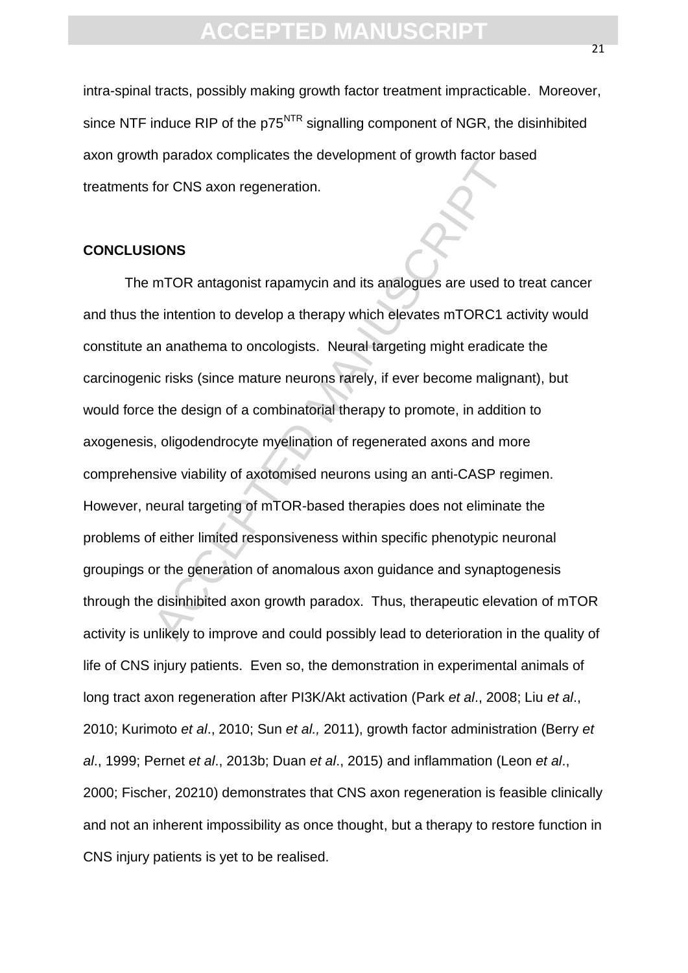intra-spinal tracts, possibly making growth factor treatment impracticable. Moreover, since NTF induce RIP of the  $p75<sup>NTR</sup>$  signalling component of NGR, the disinhibited axon growth paradox complicates the development of growth factor based treatments for CNS axon regeneration.

### **CONCLUSIONS**

The<br>accord completation the development of grown radion based for CNS axon regeneration.<br> **IONS**<br>
IONS<br>
IONS<br>
IONS<br>
IONS<br>
IONS<br>
IONS<br>
IONS<br>
IONS<br>
IONS<br>
IONS<br>
IONS<br>
IONS<br>
IONS<br>
IONS<br>
IONS<br>
IONS<br>
IONS<br>
IONS<br>
IONS<br>
IONS<br>
IONS The mTOR antagonist rapamycin and its analogues are used to treat cancer and thus the intention to develop a therapy which elevates mTORC1 activity would constitute an anathema to oncologists. Neural targeting might eradicate the carcinogenic risks (since mature neurons rarely, if ever become malignant), but would force the design of a combinatorial therapy to promote, in addition to axogenesis, oligodendrocyte myelination of regenerated axons and more comprehensive viability of axotomised neurons using an anti-CASP regimen. However, neural targeting of mTOR-based therapies does not eliminate the problems of either limited responsiveness within specific phenotypic neuronal groupings or the generation of anomalous axon guidance and synaptogenesis through the disinhibited axon growth paradox. Thus, therapeutic elevation of mTOR activity is unlikely to improve and could possibly lead to deterioration in the quality of life of CNS injury patients. Even so, the demonstration in experimental animals of long tract axon regeneration after PI3K/Akt activation (Park *et al*., 2008; Liu *et al*., 2010; Kurimoto *et al*., 2010; Sun *et al.,* 2011), growth factor administration (Berry *et al*., 1999; Pernet *et al*., 2013b; Duan *et al*., 2015) and inflammation (Leon *et al*., 2000; Fischer, 20210) demonstrates that CNS axon regeneration is feasible clinically and not an inherent impossibility as once thought, but a therapy to restore function in CNS injury patients is yet to be realised.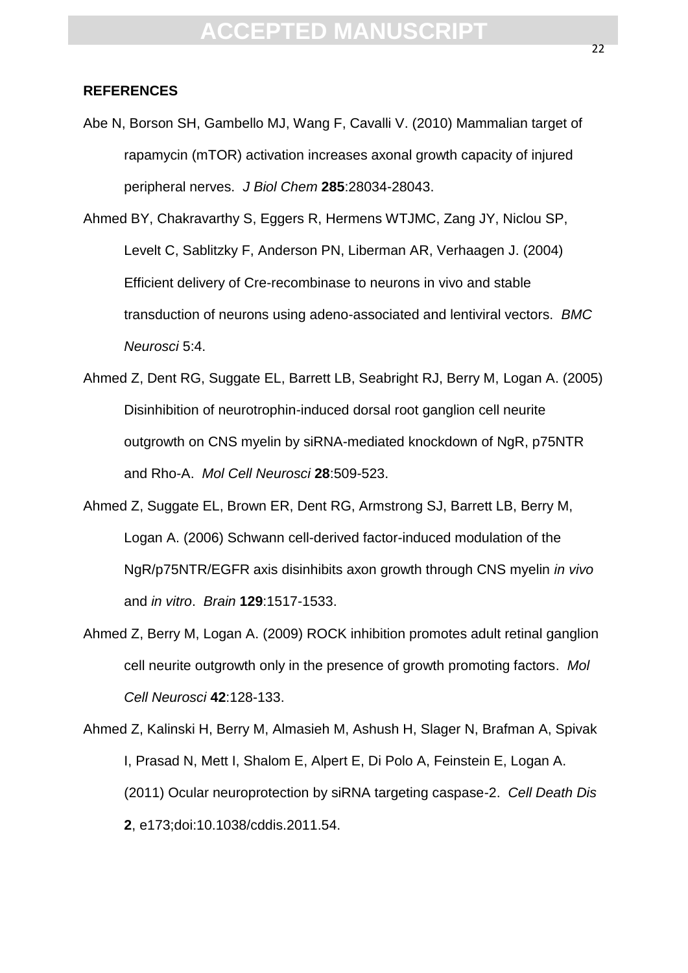### **REFERENCES**

Abe N, Borson SH, Gambello MJ, Wang F, Cavalli V. (2010) Mammalian target of rapamycin (mTOR) activation increases axonal growth capacity of injured peripheral nerves. *J Biol Chem* **285**:28034-28043.

myan (m. c.r.) databan metedees dabran grown edpact,<br>bheral nerves. J Biol Chem 285:28034-28043.<br>Chakravarthy S, Eggers R, Hermens WTJMC, Zang JY, Ni<br>elt C, Sablitzky F, Anderson PN, Liberman AR, Verhaagen J<br>ient delivery Ahmed BY, Chakravarthy S, Eggers R, Hermens WTJMC, Zang JY, Niclou SP, Levelt C, Sablitzky F, Anderson PN, Liberman AR, Verhaagen J. (2004) Efficient delivery of Cre-recombinase to neurons in vivo and stable transduction of neurons using adeno-associated and lentiviral vectors. *BMC Neurosci* 5:4.

- Ahmed Z, Dent RG, Suggate EL, Barrett LB, Seabright RJ, Berry M, Logan A. (2005) Disinhibition of neurotrophin-induced dorsal root ganglion cell neurite outgrowth on CNS myelin by siRNA-mediated knockdown of NgR, p75NTR and Rho-A. *Mol Cell Neurosci* **28**:509-523.
- Ahmed Z, Suggate EL, Brown ER, Dent RG, Armstrong SJ, Barrett LB, Berry M, Logan A. (2006) Schwann cell-derived factor-induced modulation of the NgR/p75NTR/EGFR axis disinhibits axon growth through CNS myelin *in vivo*  and *in vitro*. *Brain* **129**:1517-1533.
- Ahmed Z, Berry M, Logan A. (2009) ROCK inhibition promotes adult retinal ganglion cell neurite outgrowth only in the presence of growth promoting factors. *Mol Cell Neurosci* **42**:128-133.
- Ahmed Z, Kalinski H, Berry M, Almasieh M, Ashush H, Slager N, Brafman A, Spivak I, Prasad N, Mett I, Shalom E, Alpert E, Di Polo A, Feinstein E, Logan A. (2011) Ocular neuroprotection by siRNA targeting caspase-2. *Cell Death Dis* **2**, e173;doi:10.1038/cddis.2011.54.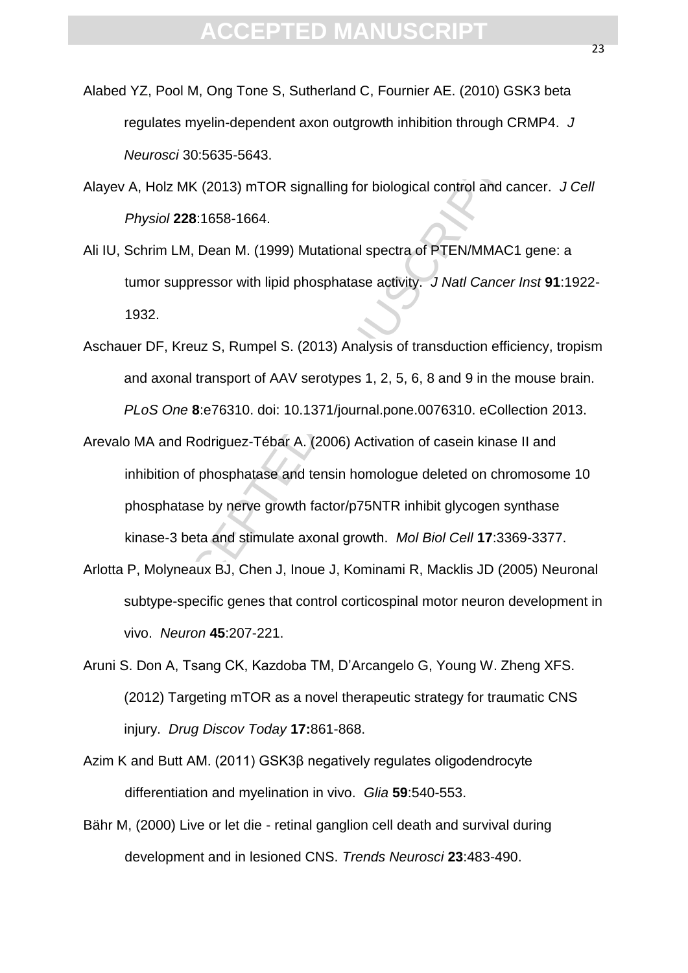- Alabed YZ, Pool M, Ong Tone S, Sutherland C, Fournier AE. (2010) GSK3 beta regulates myelin-dependent axon outgrowth inhibition through CRMP4. *J Neurosci* 30:5635-5643.
- Alayev A, Holz MK (2013) mTOR signalling for biological control and cancer. *J Cell Physiol* **228**:1658-1664.
- Ali IU, Schrim LM, Dean M. (1999) Mutational spectra of PTEN/MMAC1 gene: a tumor suppressor with lipid phosphatase activity. *J Natl Cancer Inst* **91**:1922- 1932.
- Aschauer DF, Kreuz S, Rumpel S. (2013) Analysis of transduction efficiency, tropism and axonal transport of AAV serotypes 1, 2, 5, 6, 8 and 9 in the mouse brain. *PLoS One* **8**:e76310. doi: 10.1371/journal.pone.0076310. eCollection 2013.
- Holz MK (2013) mTOR signalling for biological control and casticle 2013) mTOR signalling for biological control and casticle 228:1658-1664.<br>
Accept 1658-1664.<br>
Accept 1658-1664.<br>
Accept 1658-1664.<br>
Accept 1658-1664.<br>
The L Arevalo MA and Rodriguez-Tébar A. (2006) Activation of casein kinase II and inhibition of phosphatase and tensin homologue deleted on chromosome 10 phosphatase by nerve growth factor/p75NTR inhibit glycogen synthase kinase-3 beta and stimulate axonal growth. *Mol Biol Cell* **17**:3369-3377.
- Arlotta P, Molyneaux BJ, Chen J, Inoue J, Kominami R, Macklis JD (2005) Neuronal subtype-specific genes that control corticospinal motor neuron development in vivo. *Neuron* **45**:207-221.
- Aruni S. Don A, Tsang CK, Kazdoba TM, D'Arcangelo G, Young W. Zheng XFS. (2012) Targeting mTOR as a novel therapeutic strategy for traumatic CNS injury. *Drug Discov Today* **17:**861-868.
- Azim K and Butt AM. (2011) GSK3β negatively regulates oligodendrocyte differentiation and myelination in vivo. *Glia* **59**:540-553.
- Bähr M, (2000) Live or let die retinal ganglion cell death and survival during development and in lesioned CNS. *Trends Neurosci* **23**:483-490.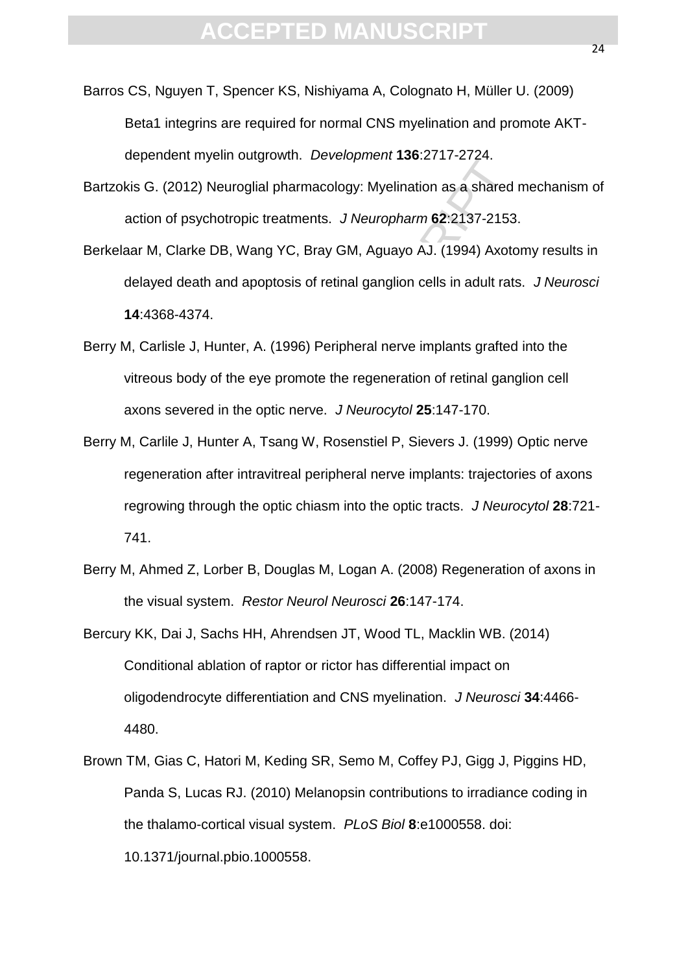- Barros CS, Nguyen T, Spencer KS, Nishiyama A, Colognato H, Müller U. (2009) Beta1 integrins are required for normal CNS myelination and promote AKTdependent myelin outgrowth. *Development* **136**:2717-2724.
- Bartzokis G. (2012) Neuroglial pharmacology: Myelination as a shared mechanism of action of psychotropic treatments. *J Neuropharm* **62**:2137-2153.
- Berkelaar M, Clarke DB, Wang YC, Bray GM, Aguayo AJ. (1994) Axotomy results in delayed death and apoptosis of retinal ganglion cells in adult rats.*J Neurosci* **14**:4368-4374.
- Berry M, Carlisle J, Hunter, A. (1996) Peripheral nerve implants grafted into the vitreous body of the eye promote the regeneration of retinal ganglion cell axons severed in the optic nerve. *J Neurocytol* **25**:147-170.
- Example Internative Detection 1991 and States Inc. 1998)<br>
A. (2012) Neuroglial pharmacology: Myelination as a shared<br>
An, Clarke DB, Wang YC, Bray GM, Aguayo AJ. (1994) Axoto<br>
yed death and apoptosis of retinal ganglion ce Berry M, Carlile J, Hunter A, Tsang W, Rosenstiel P, Sievers J. (1999) Optic nerve regeneration after intravitreal peripheral nerve implants: trajectories of axons regrowing through the optic chiasm into the optic tracts. *J Neurocytol* **28**:721- 741.
- Berry M, Ahmed Z, Lorber B, Douglas M, Logan A. (2008) Regeneration of axons in the visual system. *Restor Neurol Neurosci* **26**:147-174.
- Bercury KK, Dai J, Sachs HH, Ahrendsen JT, Wood TL, Macklin WB. (2014) Conditional ablation of raptor or rictor has differential impact on oligodendrocyte differentiation and CNS myelination. *J Neurosci* **34**:4466- 4480.
- Brown TM, Gias C, Hatori M, Keding SR, Semo M, Coffey PJ, Gigg J, Piggins HD, Panda S, Lucas RJ. (2010) Melanopsin contributions to irradiance coding in the thalamo-cortical visual system.*PLoS Biol* **8**:e1000558. doi: 10.1371/journal.pbio.1000558.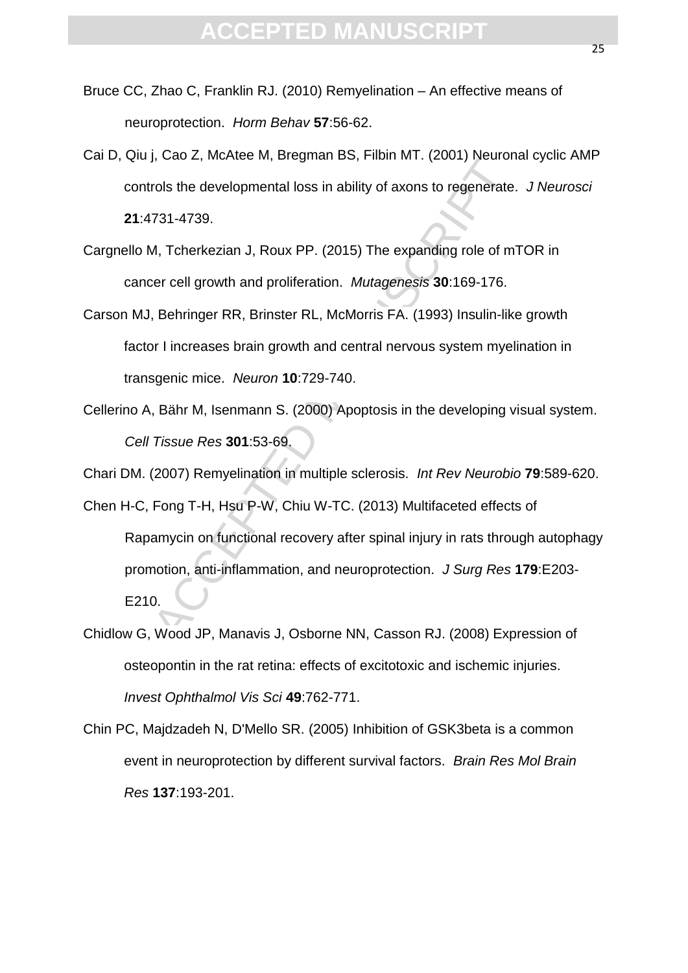- Bruce CC, Zhao C, Franklin RJ. (2010) Remyelination An effective means of neuroprotection. *Horm Behav* **57**:56-62.
- Cai D, Qiu j, Cao Z, McAtee M, Bregman BS, Filbin MT. (2001) Neuronal cyclic AMP controls the developmental loss in ability of axons to regenerate. *J Neurosci*  **21**:4731-4739.
- Cargnello M, Tcherkezian J, Roux PP. (2015) The expanding role of mTOR in cancer cell growth and proliferation. *Mutagenesis* **30**:169-176.
- Carson MJ, Behringer RR, Brinster RL, McMorris FA. (1993) Insulin-like growth factor I increases brain growth and central nervous system myelination in transgenic mice. *Neuron* **10**:729-740.
- Cellerino A, Bähr M, Isenmann S. (2000) Apoptosis in the developing visual system. *Cell Tissue Res* **301**:53-69.

Chari DM. (2007) Remyelination in multiple sclerosis. *Int Rev Neurobio* **79**:589-620.

- reader, the developmental loss in ability of axons to regenerate<br>T31-4739.<br>A, Tcherkezian J, Roux PP. (2015) The expanding role of m<br>are cell growth and proliferation. *Mutagenesis* 30:169-176.<br>Behringer RR, Brinster RL, M Chen H-C, Fong T-H, Hsu P-W, Chiu W-TC. (2013) Multifaceted effects of Rapamycin on functional recovery after spinal injury in rats through autophagy promotion, anti-inflammation, and neuroprotection. *J Surg Res* **179**:E203- E210.
- Chidlow G, Wood JP, Manavis J, Osborne NN, Casson RJ. (2008) Expression of osteopontin in the rat retina: effects of excitotoxic and ischemic injuries. *Invest Ophthalmol Vis Sci* **49**:762-771.
- Chin PC, Majdzadeh N, D'Mello SR. (2005) Inhibition of GSK3beta is a common event in neuroprotection by different survival factors. *Brain Res Mol Brain Res* **137**:193-201.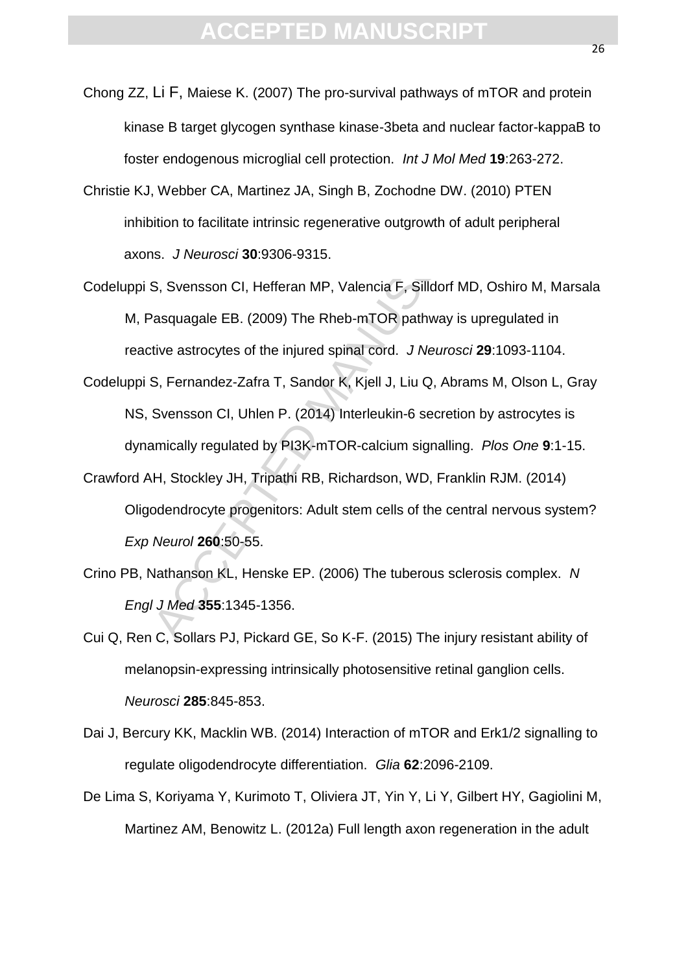- Chong ZZ, Li F, Maiese K. (2007) The pro-survival pathways of mTOR and protein kinase B target glycogen synthase kinase-3beta and nuclear factor-kappaB to foster endogenous microglial cell protection. *Int J Mol Med* **19**:263-272.
- Christie KJ, Webber CA, Martinez JA, Singh B, Zochodne DW. (2010) PTEN inhibition to facilitate intrinsic regenerative outgrowth of adult peripheral axons. *J Neurosci* **30**:9306-9315.
- If endogenous microgiial cell protection. Int J Mol Med 19:2<br>
Webber CA, Martinez JA, Singh B, Zochodne DW. (2010)<br>
Mition to facilitate intrinsic regenerative outgrowth of adult pers.<br>
I. *J Neurosci* 30:9306-9315.<br>
S, Sv Codeluppi S, Svensson CI, Hefferan MP, Valencia F, Silldorf MD, Oshiro M, Marsala M, Pasquagale EB. (2009) The Rheb-mTOR pathway is upregulated in reactive astrocytes of the injured spinal cord. *J Neurosci* **29**:1093-1104.
- Codeluppi S, Fernandez-Zafra T, Sandor K, Kjell J, Liu Q, Abrams M, Olson L, Gray NS, Svensson CI, Uhlen P. (2014) Interleukin-6 secretion by astrocytes is dynamically regulated by PI3K-mTOR-calcium signalling. *Plos One* **9**:1-15.
- Crawford AH, Stockley JH, Tripathi RB, Richardson, WD, Franklin RJM. (2014) Oligodendrocyte progenitors: Adult stem cells of the central nervous system? *Exp Neurol* **260**:50-55.
- Crino PB, Nathanson KL, Henske EP. (2006) The tuberous sclerosis complex. *N Engl J Med* **355**:1345-1356.
- Cui Q, Ren C, Sollars PJ, Pickard GE, So K-F. (2015) The injury resistant ability of melanopsin-expressing intrinsically photosensitive retinal ganglion cells. *Neurosci* **285**:845-853.
- Dai J, Bercury KK, Macklin WB. (2014) Interaction of mTOR and Erk1/2 signalling to regulate oligodendrocyte differentiation. *Glia* **62**:2096-2109.
- De Lima S, Koriyama Y, Kurimoto T, Oliviera JT, Yin Y, Li Y, Gilbert HY, Gagiolini M, Martinez AM, Benowitz L. (2012a) Full length axon regeneration in the adult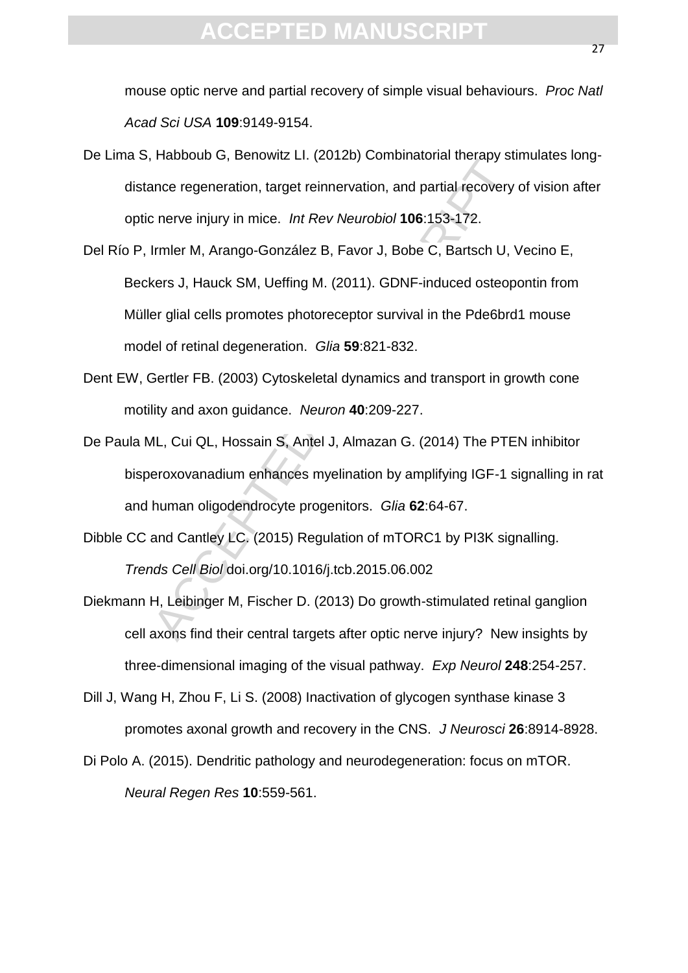mouse optic nerve and partial recovery of simple visual behaviours. *Proc Natl Acad Sci USA* **109**:9149-9154.

- De Lima S, Habboub G, Benowitz LI. (2012b) Combinatorial therapy stimulates longdistance regeneration, target reinnervation, and partial recovery of vision after optic nerve injury in mice. *Int Rev Neurobiol* **106**:153-172.
- France regeneration, target reinnervation, and partial recovery<br>nnce regeneration, target reinnervation, and partial recovery<br>nnce regeneration, target reinnervation, and partial recovery<br>nmer M, Arango-González B, Favor J Del Río P, Irmler M, Arango-González B, Favor J, Bobe C, Bartsch U, Vecino E, Beckers J, Hauck SM, Ueffing M. (2011). GDNF-induced osteopontin from Müller glial cells promotes photoreceptor survival in the Pde6brd1 mouse model of retinal degeneration. *Glia* **59**:821-832.
- Dent EW, Gertler FB. (2003) Cytoskeletal dynamics and transport in growth cone motility and axon guidance.*Neuron* **40**:209-227.
- De Paula ML, Cui QL, Hossain S, Antel J, Almazan G. (2014) The PTEN inhibitor bisperoxovanadium enhances myelination by amplifying IGF-1 signalling in rat and human oligodendrocyte progenitors. *Glia* **62**:64-67.
- Dibble CC and Cantley LC. (2015) Regulation of mTORC1 by PI3K signalling. *Trends Cell Biol* doi.org/10.1016/j.tcb.2015.06.002
- Diekmann H, Leibinger M, Fischer D. (2013) Do growth-stimulated retinal ganglion cell axons find their central targets after optic nerve injury? New insights by three-dimensional imaging of the visual pathway. *Exp Neurol* **248**:254-257.
- Dill J, Wang H, Zhou F, Li S. (2008) Inactivation of glycogen synthase kinase 3 promotes axonal growth and recovery in the CNS. *J Neurosci* **26**:8914-8928.
- Di Polo A. (2015). Dendritic pathology and neurodegeneration: focus on mTOR.

*Neural Regen Res* **10**:559-561.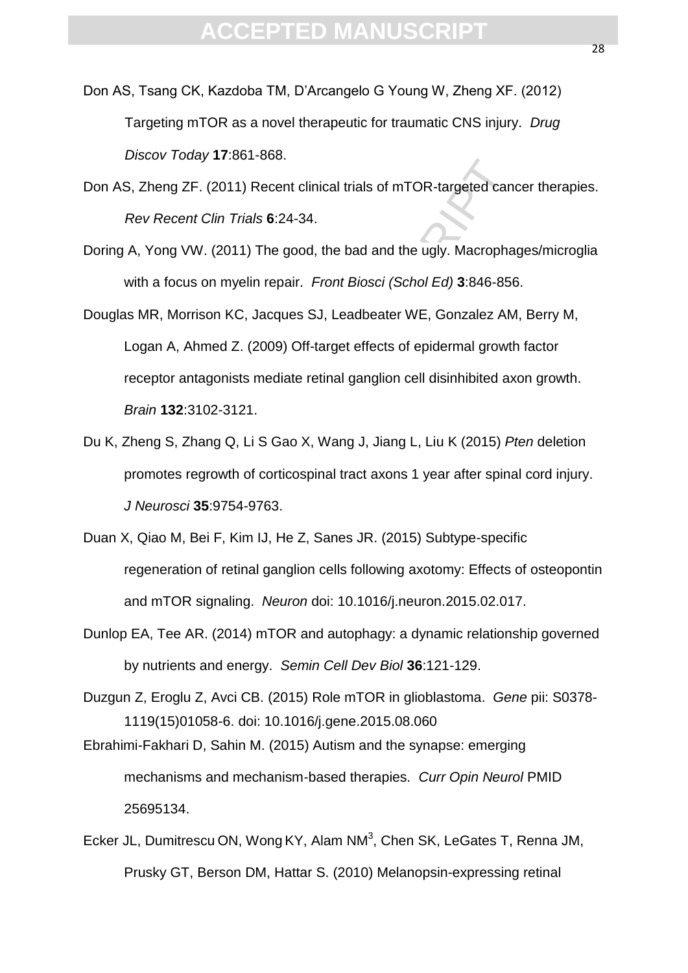- Don AS, Tsang CK, Kazdoba TM, D'Arcangelo G Young W, Zheng XF. (2012) Targeting mTOR as a novel therapeutic for traumatic CNS injury. *Drug Discov Today* **17**:861-868.
- Don AS, Zheng ZF. (2011) Recent clinical trials of mTOR-targeted cancer therapies. *Rev Recent Clin Trials* **6**:24-34.
- Doring A, Yong VW. (2011) The good, the bad and the ugly. Macrophages/microglia with a focus on myelin repair.*Front Biosci (Schol Ed)* **3**:846-856.
- ber Foday Tribut Tool.<br>
Recent Clin Trials 6:24-34.<br>
Yong WV. (2011) The good, the bad and the ugly. Macropha<br>
a focus on myelin repair. Front Biosci (Schol Ed) 3:846-856<br>
R, Morrison KC, Jacques SJ, Leadbeater WE, Gonzale Douglas MR, Morrison KC, Jacques SJ, Leadbeater WE, Gonzalez AM, Berry M, Logan A, Ahmed Z. (2009) Off-target effects of epidermal growth factor receptor antagonists mediate retinal ganglion cell disinhibited axon growth. *Brain* **132**:3102-3121.
- Du K, Zheng S, Zhang Q, Li S Gao X, Wang J, Jiang L, Liu K (2015) *Pten* deletion promotes regrowth of corticospinal tract axons 1 year after spinal cord injury. *J Neurosci* **35**:9754-9763.
- Duan X, Qiao M, Bei F, Kim IJ, He Z, Sanes JR. (2015) Subtype-specific regeneration of retinal ganglion cells following axotomy: Effects of osteopontin and mTOR signaling.*Neuron* doi: 10.1016/j.neuron.2015.02.017.
- Dunlop EA, Tee AR. (2014) mTOR and autophagy: a dynamic relationship governed by nutrients and energy. *Semin Cell Dev Biol* **36**:121-129.
- Duzgun Z, Eroglu Z, Avci CB. (2015) Role mTOR in glioblastoma. *Gene* pii: S0378- 1119(15)01058-6. doi: 10.1016/j.gene.2015.08.060
- Ebrahimi-Fakhari D, Sahin M. (2015) Autism and the synapse: emerging mechanisms and mechanism-based therapies. *Curr Opin Neurol* PMID 25695134.
- Ecker JL, Dumitrescu ON, Wong KY, Alam NM<sup>3</sup>, Chen SK, LeGates T, Renna JM, Prusky GT, Berson DM, Hattar S. (2010) Melanopsin-expressing retinal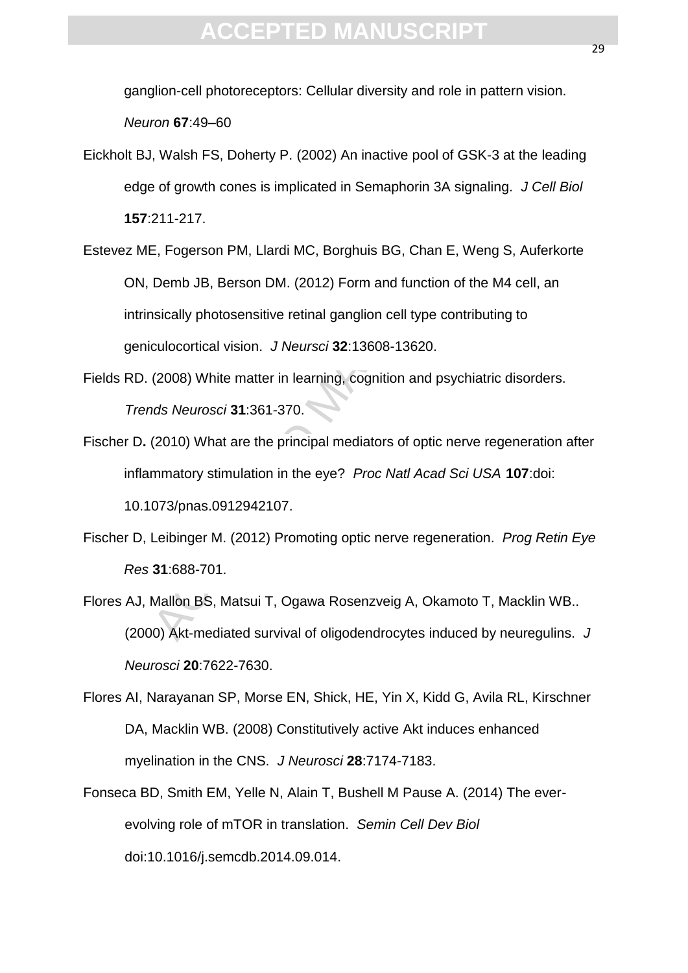ganglion-cell photoreceptors: Cellular diversity and role in pattern vision. *Neuron* **67**:49–60

- Eickholt BJ, Walsh FS, Doherty P. (2002) An inactive pool of GSK-3 at the leading edge of growth cones is implicated in Semaphorin 3A signaling. *J Cell Biol* **157**:211-217.
- (Accel) An indicated pool of Science of Science of Science of Science of Science of Science of Science of Science of Science of Science of Science of Science of Science of Science of Science of Science of Science of Scienc Estevez ME, Fogerson PM, Llardi MC, Borghuis BG, Chan E, Weng S, Auferkorte ON, Demb JB, Berson DM. (2012) Form and function of the M4 cell, an intrinsically photosensitive retinal ganglion cell type contributing to geniculocortical vision. *J Neursci* **32**:13608-13620.
- Fields RD. (2008) White matter in learning, cognition and psychiatric disorders. *Trends Neurosci* **31**:361-370.
- Fischer D**.** (2010) What are the principal mediators of optic nerve regeneration after inflammatory stimulation in the eye? *Proc Natl Acad Sci USA* **107**:doi: 10.1073/pnas.0912942107.
- Fischer D, Leibinger M. (2012) Promoting optic nerve regeneration. *Prog Retin Eye Res* **31**:688-701.
- Flores AJ, Mallon BS, Matsui T, Ogawa Rosenzveig A, Okamoto T, Macklin WB.. (2000) Akt-mediated survival of oligodendrocytes induced by neuregulins. *J Neurosci* **20**:7622-7630.
- Flores AI, Narayanan SP, Morse EN, Shick, HE, Yin X, Kidd G, Avila RL, Kirschner DA, Macklin WB. (2008) Constitutively active Akt induces enhanced myelination in the CNS. *J Neurosci* **28**:7174-7183.
- Fonseca BD, Smith EM, Yelle N, Alain T, Bushell M Pause A. (2014) The everevolving role of mTOR in translation. *Semin Cell Dev Biol* doi:10.1016/j.semcdb.2014.09.014.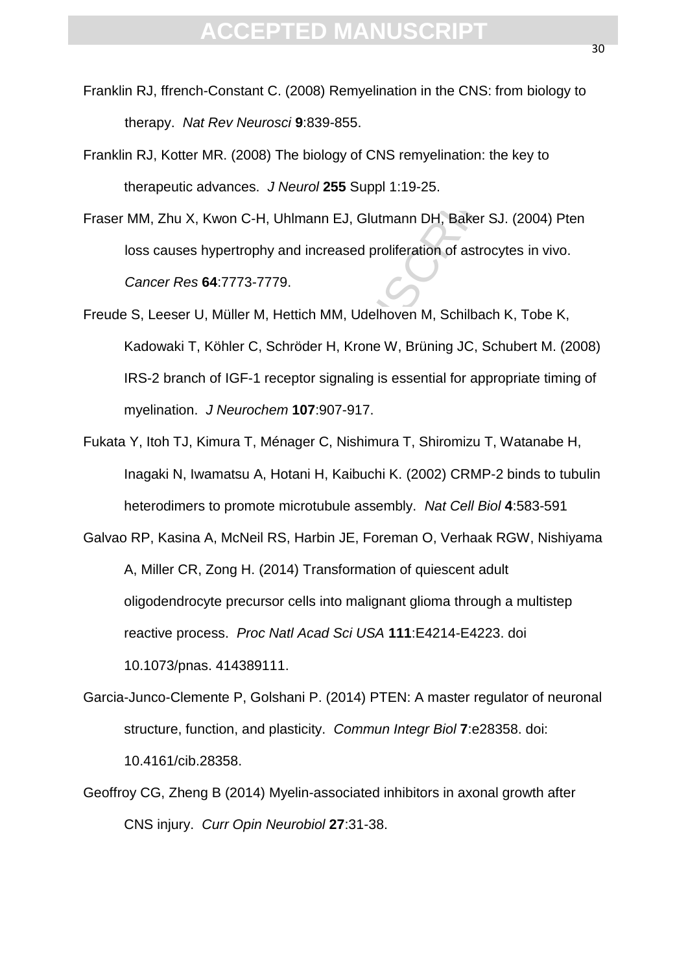- Franklin RJ, ffrench-Constant C. (2008) Remyelination in the CNS: from biology to therapy. *Nat Rev Neurosci* **9**:839-855.
- Franklin RJ, Kotter MR. (2008) The biology of CNS remyelination: the key to therapeutic advances. *J Neurol* **255** Suppl 1:19-25.
- Fraser MM, Zhu X, Kwon C-H, Uhlmann EJ, Glutmann DH, Baker SJ. (2004) Pten loss causes hypertrophy and increased proliferation of astrocytes in vivo. *Cancer Res* **64**:7773-7779.
- Freude S, Leeser U, Müller M, Hettich MM, Udelhoven M, Schilbach K, Tobe K, Kadowaki T, Köhler C, Schröder H, Krone W, Brüning JC, Schubert M. (2008) IRS-2 branch of IGF-1 receptor signaling is essential for appropriate timing of myelination.*J Neurochem* **107**:907-917.
- Fukata Y, Itoh TJ, Kimura T, Ménager C, Nishimura T, Shiromizu T, Watanabe H, Inagaki N, Iwamatsu A, Hotani H, Kaibuchi K. (2002) CRMP-2 binds to tubulin heterodimers to promote microtubule assembly. *Nat Cell Biol* **4**:583-591
- retutic advances. J Neurol 255 Suppl 1:19-25.<br>
2010 A. Kwon C-H, Uhlmann EJ, Glutmann DH, Baker SJ. (Causes hypertrophy and increased proliferation of astrocyte<br>
care Res 64:7773-7779.<br>
Leeser U, Müller M, Hettich MM, Udel Galvao RP, Kasina A, McNeil RS, Harbin JE, Foreman O, Verhaak RGW, Nishiyama A, Miller CR, Zong H. (2014) Transformation of quiescent adult oligodendrocyte precursor cells into malignant glioma through a multistep reactive process. *Proc Natl Acad Sci USA* **111**:E4214-E4223. doi 10.1073/pnas. 414389111.
- Garcia-Junco-Clemente P, Golshani P. (2014) PTEN: A master regulator of neuronal structure, function, and plasticity. *Commun Integr Biol* **7**:e28358. doi: 10.4161/cib.28358.
- Geoffroy CG, Zheng B (2014) Myelin-associated inhibitors in axonal growth after CNS injury.*Curr Opin Neurobiol* **27**:31-38.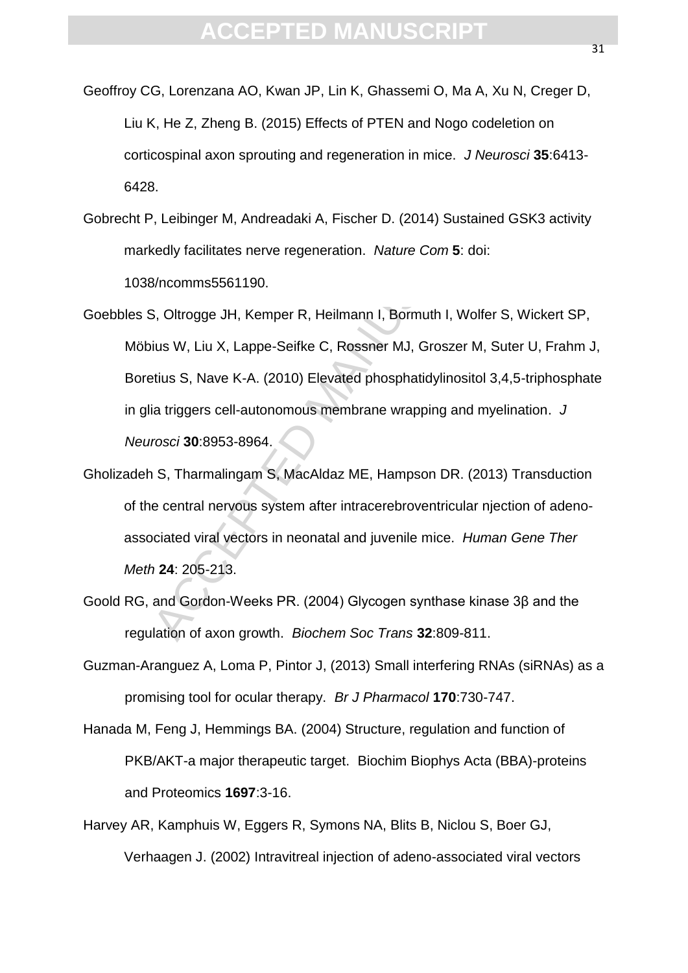- Geoffroy CG, Lorenzana AO, Kwan JP, Lin K, Ghassemi O, Ma A, Xu N, Creger D, Liu K, He Z, Zheng B. (2015) Effects of PTEN and Nogo codeletion on corticospinal axon sprouting and regeneration in mice. *J Neurosci* **35**:6413- 6428.
- Gobrecht P, Leibinger M, Andreadaki A, Fischer D. (2014) Sustained GSK3 activity markedly facilitates nerve regeneration. *Nature Com* **5**: doi: 1038/ncomms5561190.
- Solential distributed and regeneration. The thingstone of the Unitative Comparation<br>
2. Leibinger M, Andreadaki A, Fischer D. (2014) Sustained G<br>
4. Leibinger M, Andreadaki A, Fischer D. (2014) Sustained G<br>
4. Shtronoms556 Goebbles S, Oltrogge JH, Kemper R, Heilmann I, Bormuth I, Wolfer S, Wickert SP, Möbius W, Liu X, Lappe-Seifke C, Rossner MJ, Groszer M, Suter U, Frahm J, Boretius S, Nave K-A. (2010) Elevated phosphatidylinositol 3,4,5-triphosphate in glia triggers cell-autonomous membrane wrapping and myelination. *J Neurosci* **30**:8953-8964.
- Gholizadeh S, Tharmalingam S, MacAldaz ME, Hampson DR. (2013) Transduction of the central nervous system after intracerebroventricular njection of adenoassociated viral vectors in neonatal and juvenile mice. *Human Gene Ther Meth* **24**: 205-213.
- Goold RG, and Gordon-Weeks PR. (2004) Glycogen synthase kinase 3β and the regulation of axon growth. *Biochem Soc Trans* **32**:809-811.
- Guzman-Aranguez A, Loma P, Pintor J, (2013) Small interfering RNAs (siRNAs) as a promising tool for ocular therapy. *Br J Pharmacol* **170**:730-747.
- Hanada M, Feng J, Hemmings BA. (2004) Structure, regulation and function of PKB/AKT-a major therapeutic target. Biochim Biophys Acta (BBA)-proteins and Proteomics **1697**:3-16.
- Harvey AR, Kamphuis W, Eggers R, Symons NA, Blits B, Niclou S, Boer GJ, Verhaagen J. (2002) Intravitreal injection of adeno-associated viral vectors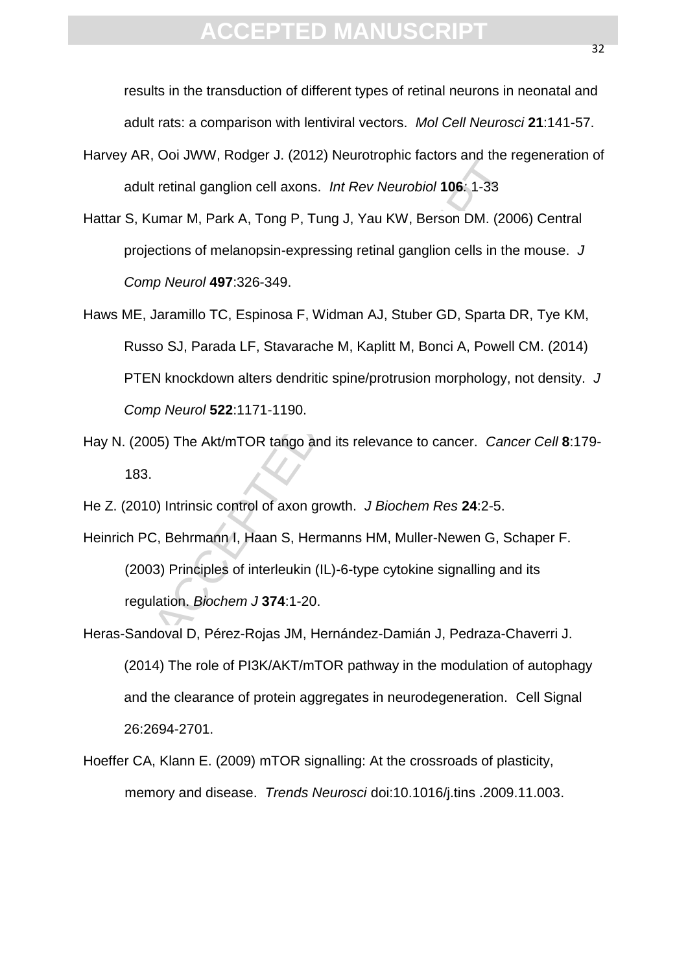results in the transduction of different types of retinal neurons in neonatal and adult rats: a comparison with lentiviral vectors. *Mol Cell Neurosci* **21**:141-57.

- Harvey AR, Ooi JWW, Rodger J. (2012) Neurotrophic factors and the regeneration of adult retinal ganglion cell axons. *Int Rev Neurobiol* **106***:* 1-33
- Hattar S, Kumar M, Park A, Tong P, Tung J, Yau KW, Berson DM. (2006) Central projections of melanopsin-expressing retinal ganglion cells in the mouse.*J Comp Neurol* **497**:326-349.
- 1. etinal ganglion cell axons. Int Rev Neurobiol 106: 1-33<br>1. etinal ganglion cell axons. Int Rev Neurobiol 106: 1-33<br>1. etinal ganglion cell axons. Int Rev Neurobiol 106: 1-33<br>1. etinal ganglion cell axons. The Neurobiol Haws ME, Jaramillo TC, Espinosa F, Widman AJ, Stuber GD, Sparta DR, Tye KM, Russo SJ, Parada LF, Stavarache M, Kaplitt M, Bonci A, Powell CM. (2014) PTEN knockdown alters dendritic spine/protrusion morphology, not density. *J Comp Neurol* **522**:1171-1190.
- Hay N. (2005) The Akt/mTOR tango and its relevance to cancer. *Cancer Cell* **8**:179- 183.
- He Z. (2010) Intrinsic control of axon growth. *J Biochem Res* **24**:2-5.
- Heinrich PC, Behrmann I, Haan S, Hermanns HM, Muller-Newen G, Schaper F. (2003) Principles of interleukin (IL)-6-type cytokine signalling and its regulation. *Biochem J* **374**:1-20.
- Heras-Sandoval D, Pérez-Rojas JM, Hernández-Damián J, Pedraza-Chaverri J. (2014) The role of PI3K/AKT/mTOR pathway in the modulation of autophagy and the clearance of protein aggregates in neurodegeneration.Cell Signal 26:2694-2701.
- Hoeffer CA, Klann E. (2009) mTOR signalling: At the crossroads of plasticity, memory and disease. *Trends Neurosci* doi:10.1016/j.tins .2009.11.003.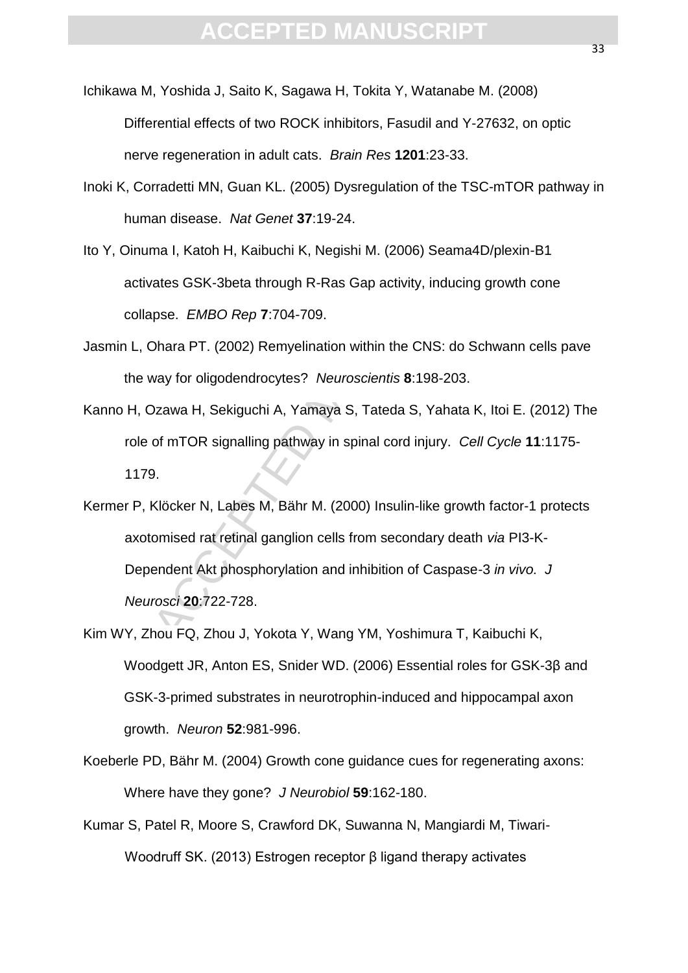- Ichikawa M, Yoshida J, Saito K, Sagawa H, Tokita Y, Watanabe M. (2008) Differential effects of two ROCK inhibitors, Fasudil and Y-27632, on optic nerve regeneration in adult cats.*Brain Res* **1201**:23-33.
- Inoki K, Corradetti MN, Guan KL. (2005) Dysregulation of the TSC-mTOR pathway in human disease.*Nat Genet* **37**:19-24.
- Ito Y, Oinuma I, Katoh H, Kaibuchi K, Negishi M. (2006) Seama4D/plexin-B1 activates GSK-3beta through R-Ras Gap activity, inducing growth cone collapse. *EMBO Rep* **7**:704-709.
- Jasmin L, Ohara PT. (2002) Remyelination within the CNS: do Schwann cells pave the way for oligodendrocytes? *Neuroscientis* **8**:198-203.
- Kanno H, Ozawa H, Sekiguchi A, Yamaya S, Tateda S, Yahata K, Itoi E. (2012) The role of mTOR signalling pathway in spinal cord injury. *Cell Cycle* **11**:1175- 1179.
- rradetti MN, Guan KL. (2005) Dysregulation of the TSC-mTr<br>an disease. *Nat Genet* 37:19-24.<br>ma I, Katoh H, Kaibuchi K, Negishi M. (2006) Seama4D/pley<br>ates GSK-3beta through R-Ras Gap activity, inducing grow<br>prese. *EMBO Re* Kermer P, Klöcker N, Labes M, Bähr M. (2000) Insulin-like growth factor-1 protects axotomised rat retinal ganglion cells from secondary death *via* PI3-K-Dependent Akt phosphorylation and inhibition of Caspase-3 *in vivo. J Neurosci* **20**:722-728.
- Kim WY, Zhou FQ, Zhou J, Yokota Y, Wang YM, Yoshimura T, Kaibuchi K, Woodgett JR, Anton ES, Snider WD. (2006) Essential roles for GSK-3β and GSK-3-primed substrates in neurotrophin-induced and hippocampal axon growth. *Neuron* **52**:981-996.
- Koeberle PD, Bähr M. (2004) Growth cone guidance cues for regenerating axons: Where have they gone? *J Neurobiol* **59**:162-180.
- Kumar S, Patel R, Moore S, Crawford DK, Suwanna N, Mangiardi M, Tiwari-Woodruff SK. (2013) Estrogen receptor β ligand therapy activates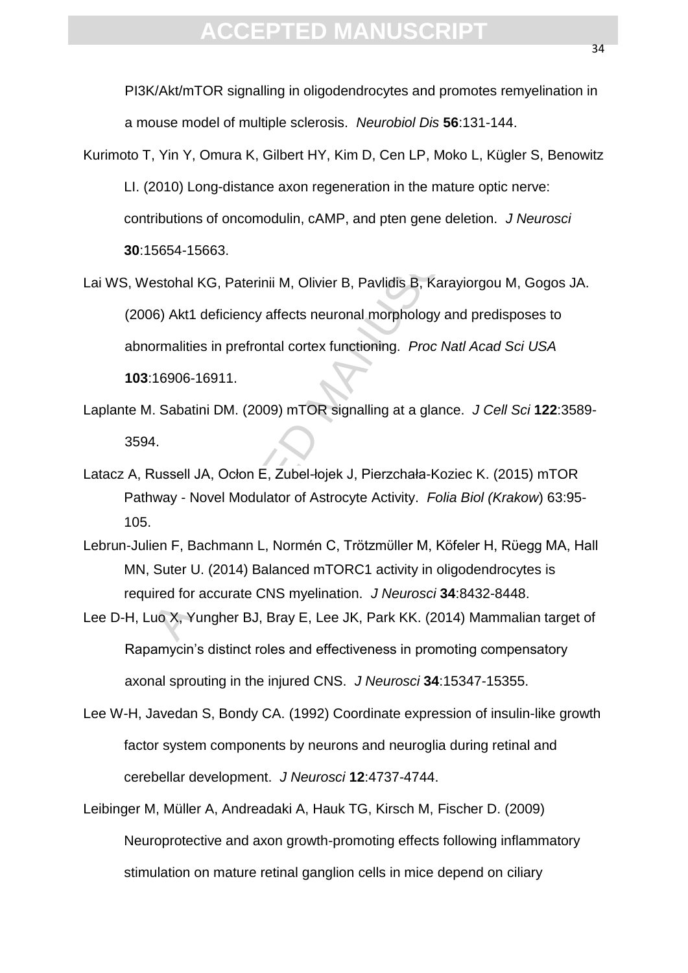PI3K/Akt/mTOR signalling in oligodendrocytes and promotes remyelination in a mouse model of multiple sclerosis. *Neurobiol Dis* **56**:131-144.

- Kurimoto T, Yin Y, Omura K, Gilbert HY, Kim D, Cen LP, Moko L, Kügler S, Benowitz LI. (2010) Long-distance axon regeneration in the mature optic nerve: contributions of oncomodulin, cAMP, and pten gene deletion. *J Neurosci* **30**:15654-15663.
- 1. The matter, ensert in the matter period in the matter optic ributions of oncomodulin, cAMP, and pten gene deletion. J<br>16654-15663.<br>16654-15663.<br>16654-15663.<br>16864-15663.<br>16964-15663.<br>1696-16911.<br>16906-16911.<br>16906-16911 Lai WS, Westohal KG, Paterinii M, Olivier B, Pavlidis B, Karayiorgou M, Gogos JA. (2006) Akt1 deficiency affects neuronal morphology and predisposes to abnormalities in prefrontal cortex functioning. *Proc Natl Acad Sci USA* **103**:16906-16911.
- Laplante M. Sabatini DM. (2009) mTOR signalling at a glance. *J Cell Sci* **122**:3589- 3594.
- Latacz A, Russell JA, Ocłon E, Zubel-łojek J, Pierzchała-Koziec K. (2015) mTOR Pathway - Novel Modulator of Astrocyte Activity. *Folia Biol (Krakow*) 63:95- 105.
- Lebrun-Julien F, Bachmann L, Normén C, Trötzmϋller M, Köfeler H, Rϋegg MA, Hall MN, Suter U. (2014) Balanced mTORC1 activity in oligodendrocytes is required for accurate CNS myelination. *J Neurosci* **34**:8432-8448.
- Lee D-H, Luo X, Yungher BJ, Bray E, Lee JK, Park KK. (2014) Mammalian target of Rapamycin's distinct roles and effectiveness in promoting compensatory axonal sprouting in the injured CNS. *J Neurosci* **34**:15347-15355.
- Lee W-H, Javedan S, Bondy CA. (1992) Coordinate expression of insulin-like growth factor system components by neurons and neuroglia during retinal and cerebellar development. *J Neurosci* **12**:4737-4744.
- Leibinger M, Müller A, Andreadaki A, Hauk TG, Kirsch M, Fischer D. (2009) Neuroprotective and axon growth-promoting effects following inflammatory stimulation on mature retinal ganglion cells in mice depend on ciliary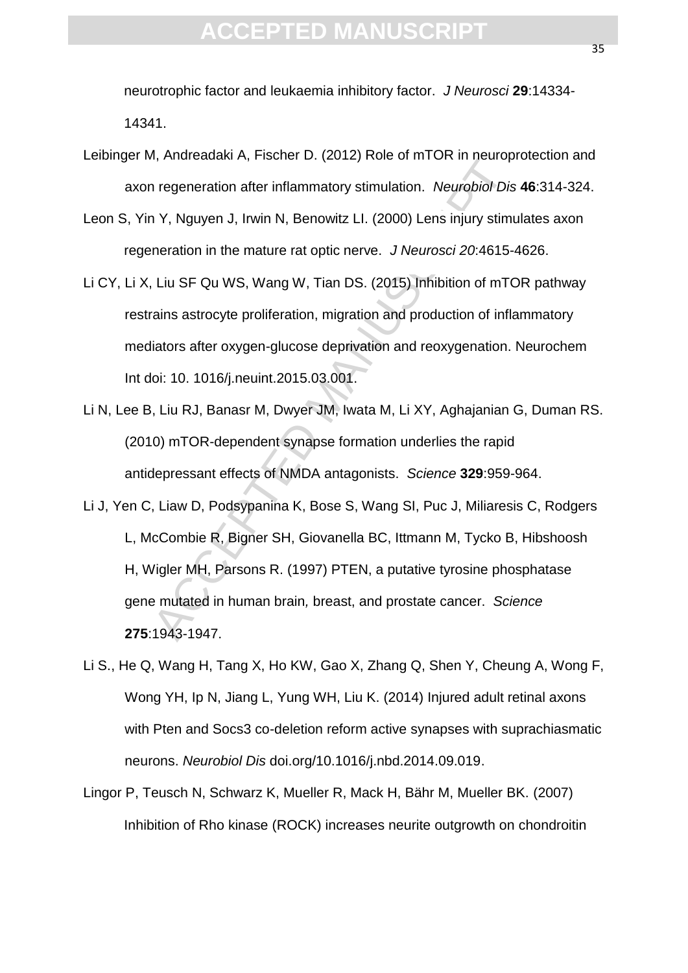neurotrophic factor and leukaemia inhibitory factor. *J Neurosci* **29**:14334- 14341.

- Leibinger M, Andreadaki A, Fischer D. (2012) Role of mTOR in neuroprotection and axon regeneration after inflammatory stimulation. *Neurobiol Dis* **46**:314-324.
- Leon S, Yin Y, Nguyen J, Irwin N, Benowitz LI. (2000) Lens injury stimulates axon regeneration in the mature rat optic nerve.*J Neurosci 20*:4615-4626.
- Li CY, Li X, Liu SF Qu WS, Wang W, Tian DS. (2015) Inhibition of mTOR pathway restrains astrocyte proliferation, migration and production of inflammatory mediators after oxygen-glucose deprivation and reoxygenation. Neurochem Int doi: 10. 1016/j.neuint.2015.03.001.
- Li N, Lee B, Liu RJ, Banasr M, Dwyer JM, Iwata M, Li XY, Aghajanian G, Duman RS. (2010) mTOR-dependent synapse formation underlies the rapid antidepressant effects of NMDA antagonists. *Science* **329**:959-964.
- n, Androadam A, Historic D. (2012) Robert B. Historic B. Historic D. Neurobiol Dis<br>
1 Y, Nguyen J, Irwin N, Benowitz LI. (2000) Lens injury stimulation.<br>
Interaction in the mature rat optic nerve. JNeurosci 20:4615-<br>
Liu S Li J, Yen C, Liaw D, Podsypanina K, Bose S, Wang SI, Puc J, Miliaresis C, Rodgers L, McCombie R, Bigner SH, Giovanella BC, Ittmann M, Tycko B, Hibshoosh H, Wigler MH, Parsons R. (1997) PTEN, a putative tyrosine phosphatase gene mutated in human brain*,* breast, and prostate cancer. *Science*  **275**:1943-1947.
- Li S., He Q, Wang H, Tang X, Ho KW, Gao X, Zhang Q, Shen Y, Cheung A, Wong F, Wong YH, Ip N, Jiang L, Yung WH, Liu K. (2014) Injured adult retinal axons with Pten and Socs3 co-deletion reform active synapses with suprachiasmatic neurons. *Neurobiol Dis* doi.org/10.1016/j.nbd.2014.09.019.
- Lingor P, Teusch N, Schwarz K, Mueller R, Mack H, Bähr M, Mueller BK. (2007) Inhibition of Rho kinase (ROCK) increases neurite outgrowth on chondroitin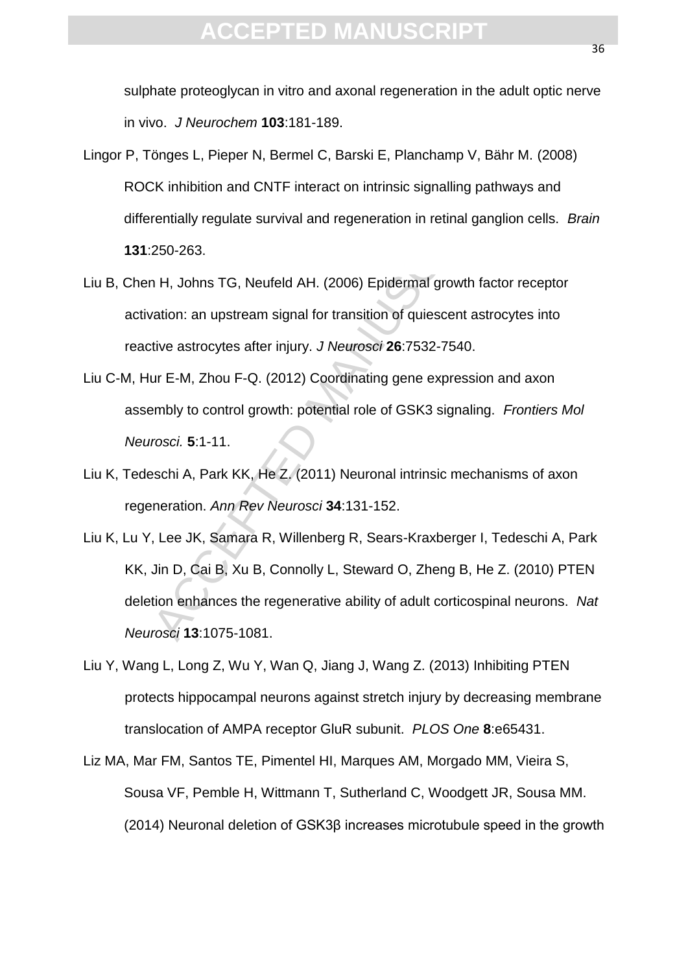sulphate proteoglycan in vitro and axonal regeneration in the adult optic nerve in vivo. *J Neurochem* **103**:181-189.

- Lingor P, Tönges L, Pieper N, Bermel C, Barski E, Planchamp V, Bähr M. (2008) ROCK inhibition and CNTF interact on intrinsic signalling pathways and differentially regulate survival and regeneration in retinal ganglion cells. *Brain* **131**:250-263.
- Liu B, Chen H, Johns TG, Neufeld AH. (2006) Epidermal growth factor receptor activation: an upstream signal for transition of quiescent astrocytes into reactive astrocytes after injury. *J Neurosci* **26**:7532-7540.
- Liu C-M, Hur E-M, Zhou F-Q. (2012) Coordinating gene expression and axon assembly to control growth: potential role of GSK3 signaling. *Frontiers Mol Neurosci.* **5**:1-11.
- Liu K, Tedeschi A, Park KK, He Z. (2011) Neuronal intrinsic mechanisms of axon regeneration. *Ann Rev Neurosci* **34**:131-152.
- orgeo L<sub>1</sub>, Hopen N<sub>1</sub>, Bernich O<sub>1</sub>, Bandar L<sub>1</sub>, Handaranp V<sub>1</sub>, Bandar<br>CK inhibition and CNTF interact on intrinsic signalling pathwarentially regulate survival and regeneration in retinal ganglio<br>250-263.<br>N H, Johns TG Liu K, Lu Y, Lee JK, Samara R, Willenberg R, Sears-Kraxberger I, Tedeschi A, Park KK, Jin D, Cai B, Xu B, Connolly L, Steward O, Zheng B, He Z. (2010) PTEN deletion enhances the regenerative ability of adult corticospinal neurons. *Nat Neurosci* **13**:1075-1081.
- Liu Y, Wang L, Long Z, Wu Y, Wan Q, Jiang J, Wang Z. (2013) Inhibiting PTEN protects hippocampal neurons against stretch injury by decreasing membrane translocation of AMPA receptor GluR subunit. *PLOS One* **8**:e65431.
- Liz MA, Mar FM, Santos TE, Pimentel HI, Marques AM, Morgado MM, Vieira S, Sousa VF, Pemble H, Wittmann T, Sutherland C, Woodgett JR, Sousa MM. (2014) Neuronal deletion of GSK3β increases microtubule speed in the growth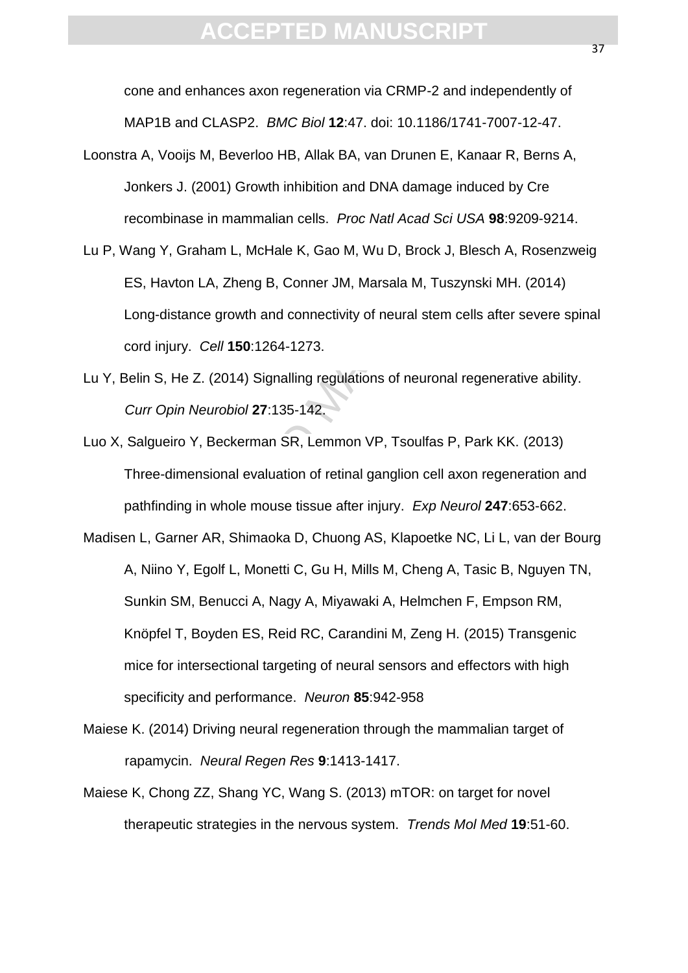cone and enhances axon regeneration via CRMP-2 and independently of MAP1B and CLASP2.*BMC Biol* **12**:47. doi: 10.1186/1741-7007-12-47.

- Loonstra A, Vooijs M, Beverloo HB, Allak BA, van Drunen E, Kanaar R, Berns A, Jonkers J. (2001) Growth inhibition and DNA damage induced by Cre recombinase in mammalian cells.*Proc Natl Acad Sci USA* **98**:9209-9214.
- Lu P, Wang Y, Graham L, McHale K, Gao M, Wu D, Brock J, Blesch A, Rosenzweig ES, Havton LA, Zheng B, Conner JM, Marsala M, Tuszynski MH. (2014) Long-distance growth and connectivity of neural stem cells after severe spinal cord injury. *Cell* **150**:1264-1273.
- Lu Y, Belin S, He Z. (2014) Signalling regulations of neuronal regenerative ability. *Curr Opin Neurobiol* **27**:135-142.
- Luo X, Salgueiro Y, Beckerman SR, Lemmon VP, Tsoulfas P, Park KK. (2013) Three-dimensional evaluation of retinal ganglion cell axon regeneration and pathfinding in whole mouse tissue after injury. *Exp Neurol* **247**:653-662.
- (and 2011) Consumer Hand Canadian Active, the U.C. (and Dinase induced b<br>
mbinase in mammalian cells. Proc Natl Acad Sci USA 98:9<br>
9 Y, Graham L, McHale K, Gao M, Wu D, Brock J, Blesch A,<br>
Havton LA, Zheng B, Conner JM, Ma Madisen L, Garner AR, Shimaoka D, Chuong AS, Klapoetke NC, Li L, van der Bourg A, Niino Y, Egolf L, Monetti C, Gu H, Mills M, Cheng A, Tasic B, Nguyen TN, Sunkin SM, Benucci A, Nagy A, Miyawaki A, Helmchen F, Empson RM, Knöpfel T, Boyden ES, Reid RC, Carandini M, Zeng H. (2015) Transgenic mice for intersectional targeting of neural sensors and effectors with high specificity and performance. *Neuron* **85**:942-958
- Maiese K. (2014) Driving neural regeneration through the mammalian target of rapamycin. *Neural Regen Res* **9**:1413-1417.
- Maiese K, Chong ZZ, Shang YC, Wang S. (2013) mTOR: on target for novel therapeutic strategies in the nervous system. *Trends Mol Med* **19**:51-60.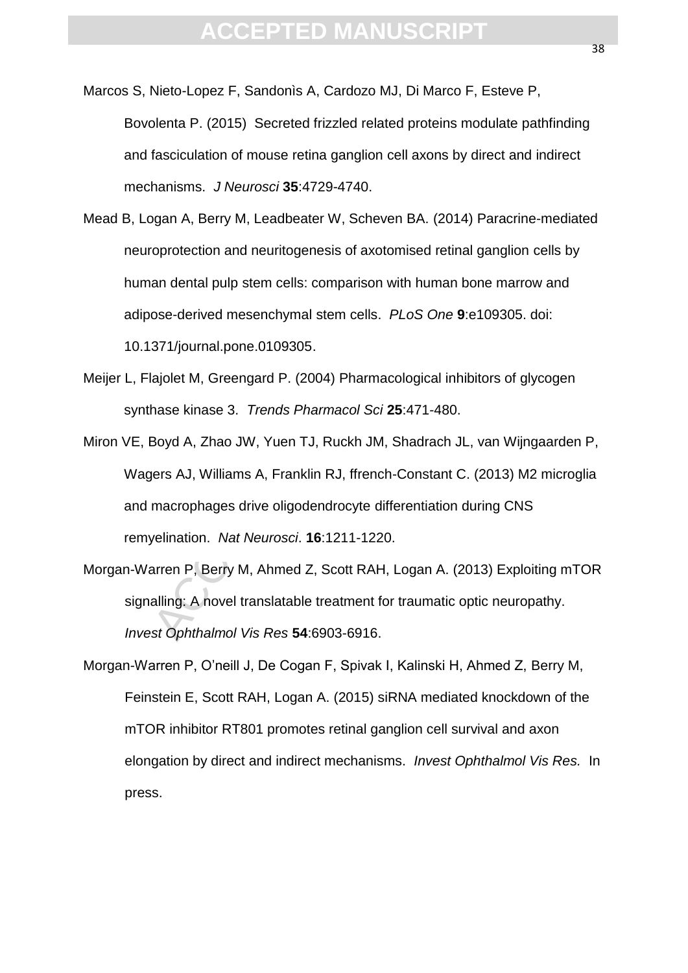- Marcos S, Nieto-Lopez F, Sandonìs A, Cardozo MJ, Di Marco F, Esteve P, Bovolenta P. (2015) Secreted frizzled related proteins modulate pathfinding and fasciculation of mouse retina ganglion cell axons by direct and indirect mechanisms. *J Neurosci* **35**:4729-4740.
- Manisms. J Neurosci 15.4729-4740.<br>
Manisms. J Neurosci 35:4729-4740.<br>
Ogan A, Berry M, Leadbeater W, Scheven BA. (2014) Paractoprotection and neuritogenesis of axotomised retinal ganglian<br>
an dental pulp stem cells: compar Mead B, Logan A, Berry M, Leadbeater W, Scheven BA. (2014) Paracrine-mediated neuroprotection and neuritogenesis of axotomised retinal ganglion cells by human dental pulp stem cells: comparison with human bone marrow and adipose-derived mesenchymal stem cells. *PLoS One* **9**:e109305. doi: 10.1371/journal.pone.0109305.
- Meijer L, Flajolet M, Greengard P. (2004) Pharmacological inhibitors of glycogen synthase kinase 3. *Trends Pharmacol Sci* **25**:471-480.
- Miron VE, Boyd A, Zhao JW, Yuen TJ, Ruckh JM, Shadrach JL, van Wijngaarden P, Wagers AJ, Williams A, Franklin RJ, ffrench-Constant C. (2013) M2 microglia and macrophages drive oligodendrocyte differentiation during CNS remyelination. *Nat Neurosci*. **16**:1211-1220.
- Morgan-Warren P, Berry M, Ahmed Z, Scott RAH, Logan A. (2013) Exploiting mTOR signalling: A novel translatable treatment for traumatic optic neuropathy. *Invest Ophthalmol Vis Res* **54**:6903-6916.
- Morgan-Warren P, O'neill J, De Cogan F, Spivak I, Kalinski H, Ahmed Z, Berry M, Feinstein E, Scott RAH, Logan A. (2015) siRNA mediated knockdown of the mTOR inhibitor RT801 promotes retinal ganglion cell survival and axon elongation by direct and indirect mechanisms. *Invest Ophthalmol Vis Res.* In press.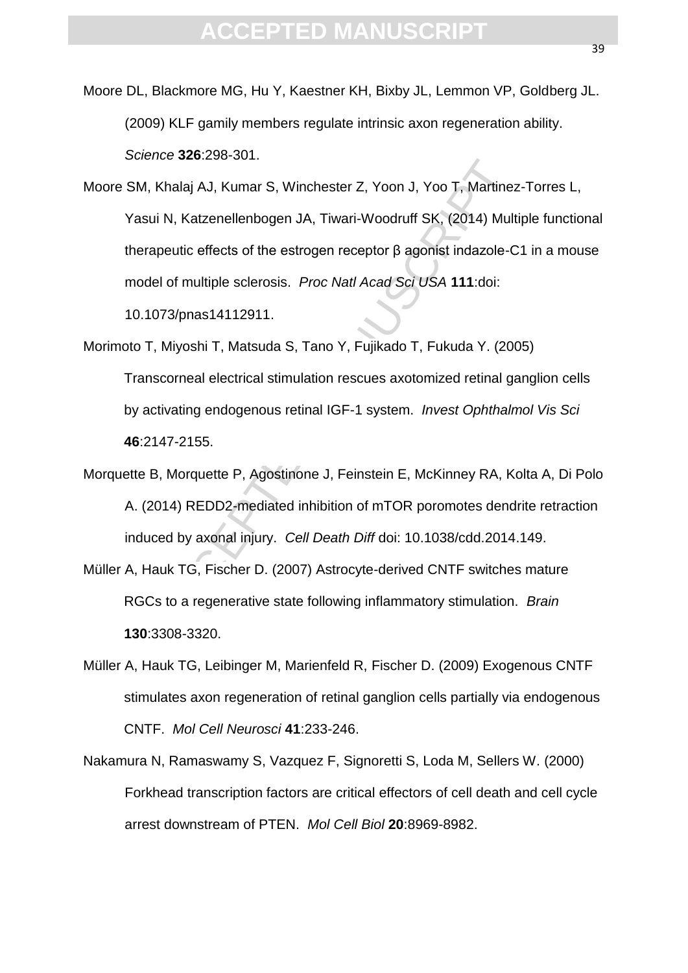Moore DL, Blackmore MG, Hu Y, Kaestner KH, Bixby JL, Lemmon VP, Goldberg JL. (2009) KLF gamily members regulate intrinsic axon regeneration ability. *Science* **326**:298-301.

Khalaj AJ, Kumar S, Winchester Z, Yoon J, Yoo T, Martine:<br>ui N, Katzenellenbogen JA, Tiwari-Woodruff SK, (2014) Mult<br>apeutic effects of the estrogen receptor β agonist indazole-C<br>lel of multiple sclerosis. *Proc Natl Acad* Moore SM, Khalaj AJ, Kumar S, Winchester Z, Yoon J, Yoo T, Martinez-Torres L, Yasui N, Katzenellenbogen JA, Tiwari-Woodruff SK, (2014) Multiple functional therapeutic effects of the estrogen receptor β agonist indazole-C1 in a mouse model of multiple sclerosis. *Proc Natl Acad Sci USA* **111**:doi: 10.1073/pnas14112911.

- Morimoto T, Miyoshi T, Matsuda S, Tano Y, Fujikado T, Fukuda Y. (2005) Transcorneal electrical stimulation rescues axotomized retinal ganglion cells by activating endogenous retinal IGF-1 system. *Invest Ophthalmol Vis Sci* **46**:2147-2155.
- Morquette B, Morquette P, Agostinone J, Feinstein E, McKinney RA, Kolta A, Di Polo A. (2014) REDD2-mediated inhibition of mTOR poromotes dendrite retraction induced by axonal injury. *Cell Death Diff* doi: 10.1038/cdd.2014.149.
- Müller A, Hauk TG, Fischer D. (2007) Astrocyte-derived CNTF switches mature RGCs to a regenerative state following inflammatory stimulation. *Brain* **130**:3308-3320.
- Müller A, Hauk TG, Leibinger M, Marienfeld R, Fischer D. (2009) Exogenous CNTF stimulates axon regeneration of retinal ganglion cells partially via endogenous CNTF. *Mol Cell Neurosci* **41**:233-246.
- Nakamura N, Ramaswamy S, Vazquez F, Signoretti S, Loda M, Sellers W. (2000) Forkhead transcription factors are critical effectors of cell death and cell cycle arrest downstream of PTEN. *Mol Cell Biol* **20**:8969-8982.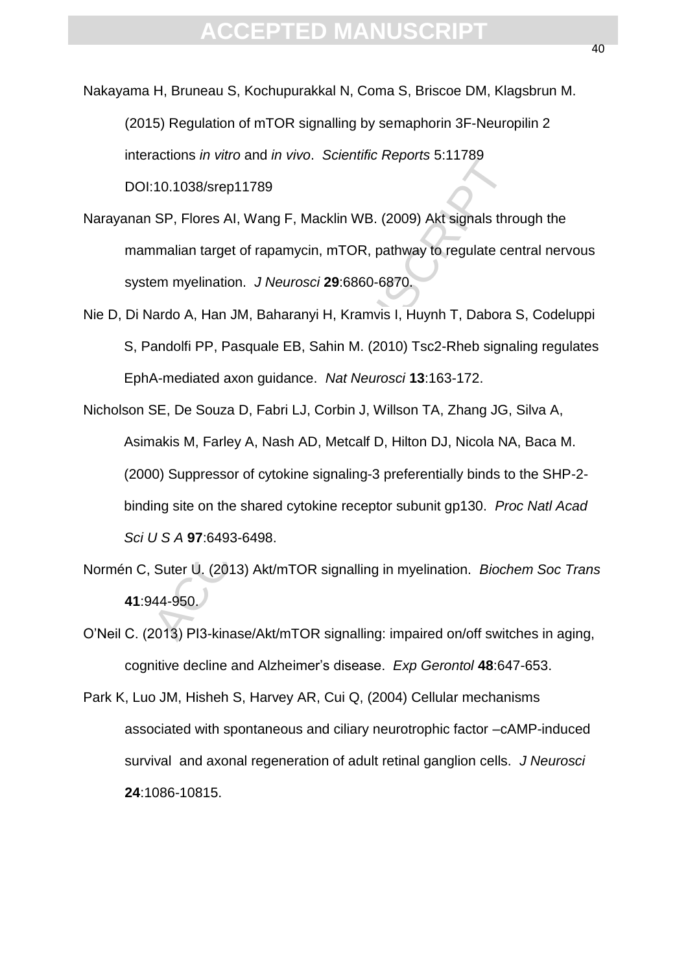Nakayama H, Bruneau S, Kochupurakkal N, Coma S, Briscoe DM, Klagsbrun M. (2015) Regulation of mTOR signalling by semaphorin 3F-Neuropilin 2 interactions *in vitro* and *in vivo*. *Scientific Reports* 5:11789 DOI:10.1038/srep11789

Narayanan SP, Flores AI, Wang F, Macklin WB. (2009) Akt signals through the mammalian target of rapamycin, mTOR, pathway to regulate central nervous system myelination. *J Neurosci* **29**:6860-6870.

Nie D, Di Nardo A, Han JM, Baharanyi H, Kramvis I, Huynh T, Dabora S, Codeluppi S, Pandolfi PP, Pasquale EB, Sahin M. (2010) Tsc2-Rheb signaling regulates EphA-mediated axon guidance.*Nat Neurosci* **13**:163-172.

10.1038/srep11789<br>
SP, Flores AI, Wang F, Macklin WB. (2009) Akt signals three<br>
manilian target of rapamycin, mTOR, pathway to regulate cerem<br>
manilian target of rapamycin, mTOR, pathway to regulate cerem<br>
emmylelination. Nicholson SE, De Souza D, Fabri LJ, Corbin J, Willson TA, Zhang JG, Silva A, Asimakis M, Farley A, Nash AD, Metcalf D, Hilton DJ, Nicola NA, Baca M. (2000) Suppressor of cytokine signaling-3 preferentially binds to the SHP-2 binding site on the shared cytokine receptor subunit gp130. *Proc Natl Acad Sci U S A* **97**:6493-6498.

Normén C, Suter U. (2013) Akt/mTOR signalling in myelination. *Biochem Soc Trans* **41**:944-950.

O'Neil C. (2013) PI3-kinase/Akt/mTOR signalling: impaired on/off switches in aging, cognitive decline and Alzheimer's disease. *Exp Gerontol* **48**:647-653.

Park K, Luo JM, Hisheh S, Harvey AR, Cui Q, (2004) Cellular mechanisms associated with spontaneous and ciliary neurotrophic factor –cAMP-induced survival and axonal regeneration of adult retinal ganglion cells. *J Neurosci* **24**:1086-10815.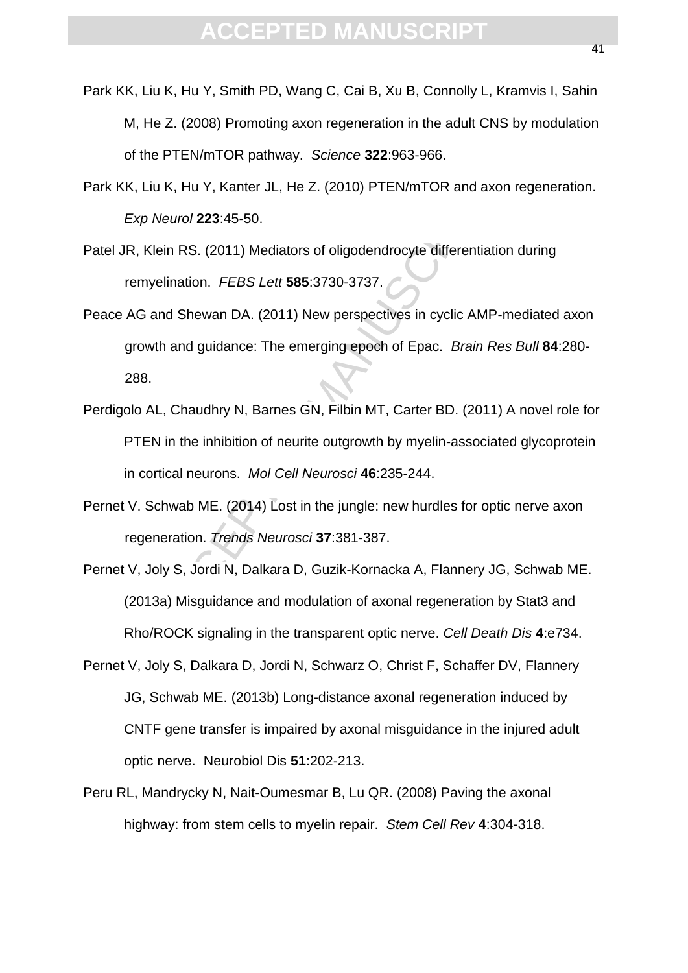- Park KK, Liu K, Hu Y, Smith PD, Wang C, Cai B, Xu B, Connolly L, Kramvis I, Sahin M, He Z. (2008) Promoting axon regeneration in the adult CNS by modulation of the PTEN/mTOR pathway. *Science* **322**:963-966.
- Park KK, Liu K, Hu Y, Kanter JL, He Z. (2010) PTEN/mTOR and axon regeneration. *Exp Neurol* **223**:45-50.
- Patel JR, Klein RS. (2011) Mediators of oligodendrocyte differentiation during remyelination. *FEBS Lett* **585**:3730-3737.
- Peace AG and Shewan DA. (2011) New perspectives in cyclic AMP-mediated axon growth and guidance: The emerging epoch of Epac. *Brain Res Bull* **84**:280- 288.
- Perdigolo AL, Chaudhry N, Barnes GN, Filbin MT, Carter BD. (2011) A novel role for PTEN in the inhibition of neurite outgrowth by myelin-associated glycoprotein in cortical neurons.*Mol Cell Neurosci* **46**:235-244.
- Pernet V. Schwab ME. (2014) Lost in the jungle: new hurdles for optic nerve axon regeneration. *Trends Neurosci* **37**:381-387.
- or FERNIFFOR paintigy. Solohos SEERSS Soc.<br>iu K, Hu Y, Kanter JL, He Z. (2010) PTEN/mTOR and axon<br>*Neurol* 223:45-50.<br>Ilein RS. (2011) Mediators of oligodendrocyte differentiation<br>yelination. *FEBS Lett* 585:3730-3737.<br>and Pernet V, Joly S, Jordi N, Dalkara D, Guzik-Kornacka A, Flannery JG, Schwab ME. (2013a) Misguidance and modulation of axonal regeneration by Stat3 and Rho/ROCK signaling in the transparent optic nerve. *Cell Death Dis* **4**:e734.
- Pernet V, Joly S, Dalkara D, Jordi N, Schwarz O, Christ F, Schaffer DV, Flannery JG, Schwab ME. (2013b) Long-distance axonal regeneration induced by CNTF gene transfer is impaired by axonal misguidance in the injured adult optic nerve. Neurobiol Dis **51**:202-213.
- Peru RL, Mandrycky N, Nait-Oumesmar B, Lu QR. (2008) Paving the axonal highway: from stem cells to myelin repair. *Stem Cell Rev* **4**:304-318.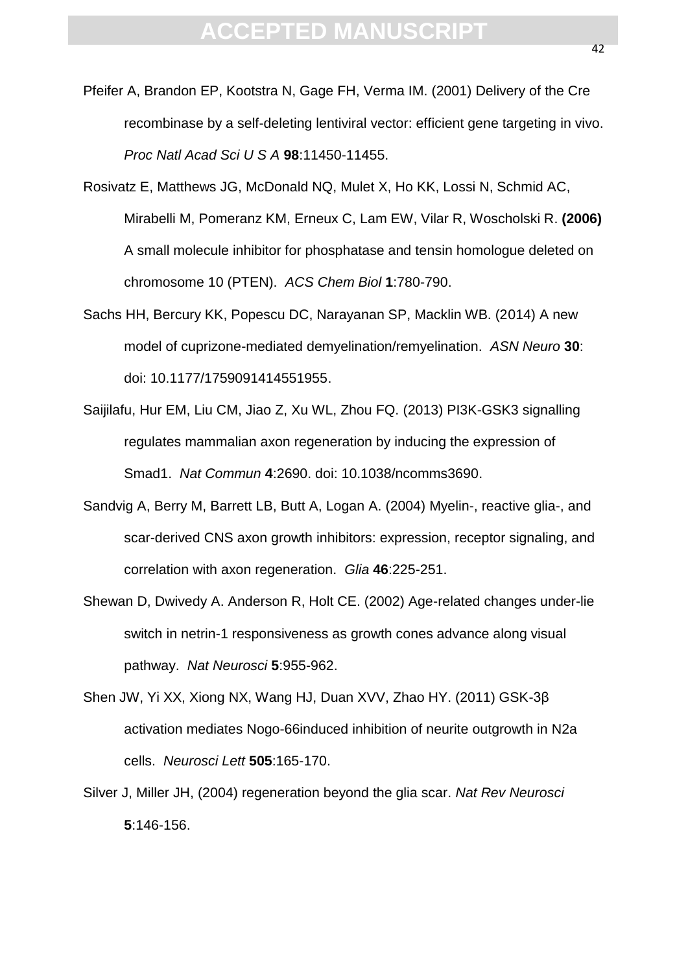- Pfeifer A, Brandon EP, Kootstra N, Gage FH, Verma IM. (2001) Delivery of the Cre recombinase by a self-deleting lentiviral vector: efficient gene targeting in vivo. *Proc Natl Acad Sci U S A* **98**:11450-11455.
- Man Neas Serve Street, Helio 11460.<br>
Matthews JG, McDonald NQ, Mulet X, Ho KK, Lossi N, Schooli M, Pomeranz KM, Erneux C, Lam EW, Vilar R, Woscho<br>
all molecule inhibitor for phosphatase and tensin homologu<br>
mosome 10 (PTEN Rosivatz E, Matthews JG, McDonald NQ, Mulet X, Ho KK, Lossi N, Schmid AC, Mirabelli M, Pomeranz KM, Erneux C, Lam EW, Vilar R, Woscholski R. **(2006)**  A small molecule inhibitor for phosphatase and tensin homologue deleted on chromosome 10 (PTEN). *ACS Chem Biol* **1**:780-790.
- Sachs HH, Bercury KK, Popescu DC, Narayanan SP, Macklin WB. (2014) A new model of cuprizone-mediated demyelination/remyelination. *ASN Neuro* **30**: doi: 10.1177/1759091414551955.
- Saijilafu, Hur EM, Liu CM, Jiao Z, Xu WL, Zhou FQ. (2013) PI3K-GSK3 signalling regulates mammalian axon regeneration by inducing the expression of Smad1. *Nat Commun* **4**:2690. doi: 10.1038/ncomms3690.
- Sandvig A, Berry M, Barrett LB, Butt A, Logan A. (2004) Myelin-, reactive glia-, and scar-derived CNS axon growth inhibitors: expression, receptor signaling, and correlation with axon regeneration.*Glia* **46**:225-251.
- Shewan D, Dwivedy A. Anderson R, Holt CE. (2002) Age-related changes under-lie switch in netrin-1 responsiveness as growth cones advance along visual pathway. *Nat Neurosci* **5**:955-962.
- Shen JW, Yi XX, Xiong NX, Wang HJ, Duan XVV, Zhao HY. (2011) GSK-3β activation mediates Nogo-66induced inhibition of neurite outgrowth in N2a cells. *Neurosci Lett* **505**:165-170.
- Silver J, Miller JH, (2004) regeneration beyond the glia scar. *Nat Rev Neurosci* **5**:146-156.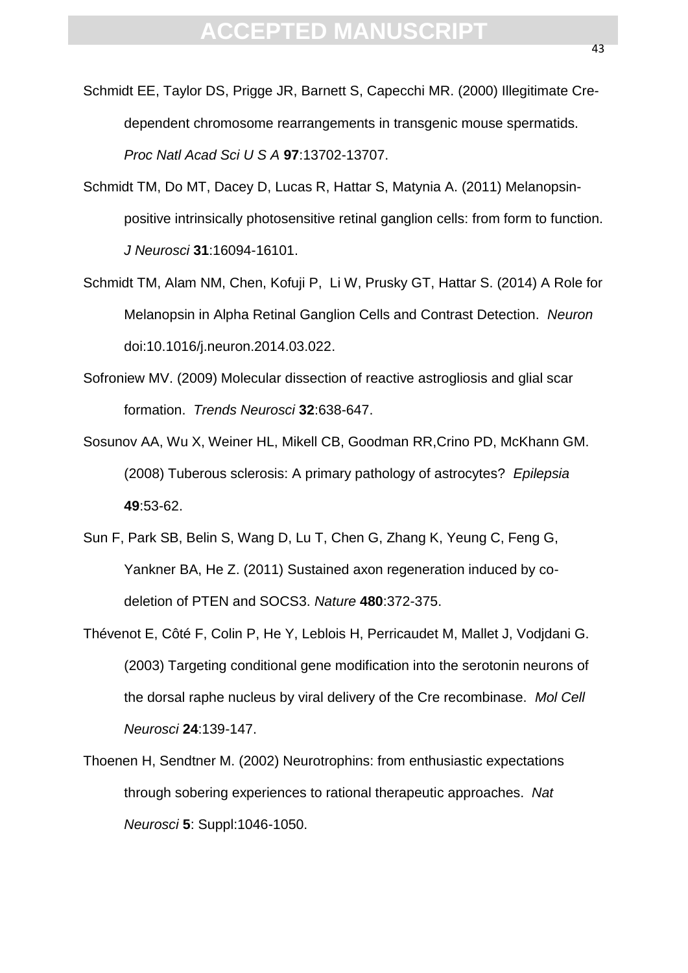- Schmidt EE, Taylor DS, Prigge JR, Barnett S, Capecchi MR. (2000) Illegitimate Credependent chromosome rearrangements in transgenic mouse spermatids. *Proc Natl Acad Sci U S A* **97**:13702-13707.
- Man Xida Sure of Man Xida Sure of Man Xida Sure of Man Xida Sure of Man A, (2011) M<br>tive intrinsically photosensitive retinal ganglion cells: from fo<br>turosci 31:16094-16101.<br>A, Alam NM, Chen, Kofuji P, Li W, Prusky GT, Hat Schmidt TM, Do MT, Dacey D, Lucas R, Hattar S, Matynia A. (2011) Melanopsinpositive intrinsically photosensitive retinal ganglion cells: from form to function. *J Neurosci* **31**:16094-16101.
- Schmidt TM, Alam NM, Chen, Kofuji P, Li W, Prusky GT, Hattar S. (2014) A Role for Melanopsin in Alpha Retinal Ganglion Cells and Contrast Detection. *Neuron* doi:10.1016/j.neuron.2014.03.022.
- Sofroniew MV. (2009) Molecular dissection of reactive astrogliosis and glial scar formation. *Trends Neurosci* **32**:638-647.
- Sosunov AA, Wu X, Weiner HL, Mikell CB, Goodman RR,Crino PD, McKhann GM. (2008) Tuberous sclerosis: A primary pathology of astrocytes? *Epilepsia*  **49**:53-62.
- Sun F, Park SB, Belin S, Wang D, Lu T, Chen G, Zhang K, Yeung C, Feng G, Yankner BA, He Z. (2011) Sustained axon regeneration induced by codeletion of PTEN and SOCS3. *Nature* **480**:372-375.
- Thévenot E, Côté F, Colin P, He Y, Leblois H, Perricaudet M, Mallet J, Vodjdani G. (2003) Targeting conditional gene modification into the serotonin neurons of the dorsal raphe nucleus by viral delivery of the Cre recombinase. *Mol Cell Neurosci* **24**:139-147.
- Thoenen H, Sendtner M. (2002) Neurotrophins: from enthusiastic expectations through sobering experiences to rational therapeutic approaches.*Nat Neurosci* **5**: Suppl:1046-1050.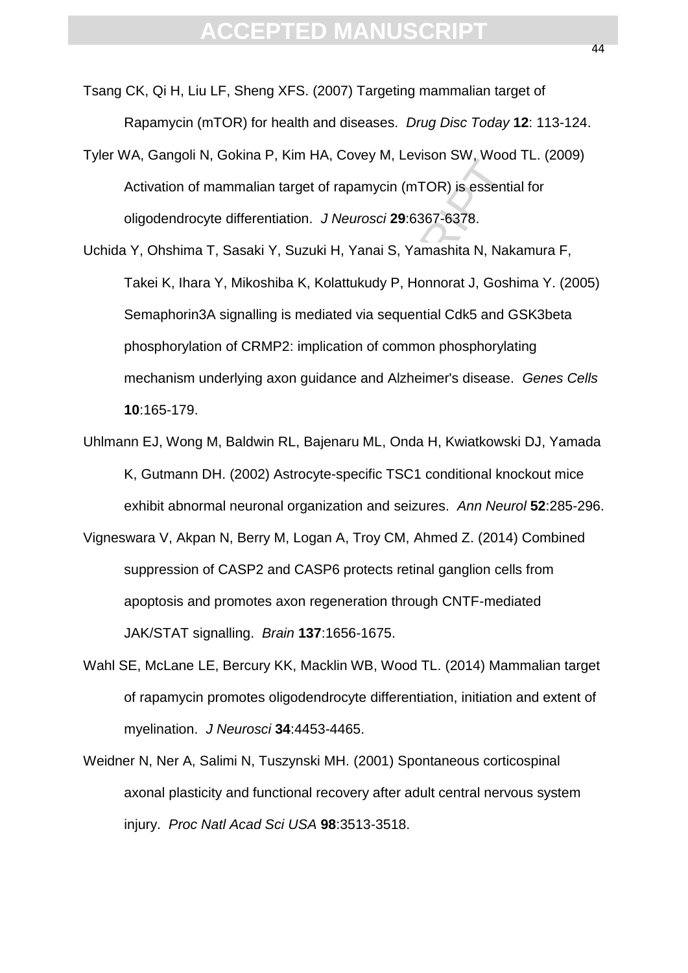- Tsang CK, Qi H, Liu LF, Sheng XFS. (2007) Targeting mammalian target of Rapamycin (mTOR) for health and diseases. *Drug Disc Today* **12**: 113-124.
- Tyler WA, Gangoli N, Gokina P, Kim HA, Covey M, Levison SW, Wood TL. (2009) Activation of mammalian target of rapamycin (mTOR) is essential for oligodendrocyte differentiation. *J Neurosci* **29**:6367-6378.
- bangur N, Scialia 1, Hammar, Scieg alt, Belasci Str., Hosta<br>attion of mammalian target of rapamycin (mTOR) is essential<br>dendrocyte differentiation. J Neurosci 29:6367-6378.<br>Dhshima T, Sasaki Y, Suzuki H, Yanai S, Yamashita Uchida Y, Ohshima T, Sasaki Y, Suzuki H, Yanai S, Yamashita N, Nakamura F, Takei K, Ihara Y, Mikoshiba K, Kolattukudy P, Honnorat J, Goshima Y. (2005) Semaphorin3A signalling is mediated via sequential Cdk5 and GSK3beta phosphorylation of CRMP2: implication of common phosphorylating mechanism underlying axon guidance and Alzheimer's disease. *Genes Cells* **10**:165-179.
- Uhlmann EJ, Wong M, Baldwin RL, Bajenaru ML, Onda H, Kwiatkowski DJ, Yamada K, Gutmann DH. (2002) Astrocyte-specific TSC1 conditional knockout mice exhibit abnormal neuronal organization and seizures.*Ann Neurol* **52**:285-296.
- Vigneswara V, Akpan N, Berry M, Logan A, Troy CM, Ahmed Z. (2014) Combined suppression of CASP2 and CASP6 protects retinal ganglion cells from apoptosis and promotes axon regeneration through CNTF-mediated JAK/STAT signalling. *Brain* **137**:1656-1675.
- Wahl SE, McLane LE, Bercury KK, Macklin WB, Wood TL. (2014) Mammalian target of rapamycin promotes oligodendrocyte differentiation, initiation and extent of myelination. *J Neurosci* **34**:4453-4465.
- Weidner N, Ner A, Salimi N, Tuszynski MH. (2001) Spontaneous corticospinal axonal plasticity and functional recovery after adult central nervous system injury. *Proc Natl Acad Sci USA* **98**:3513-3518.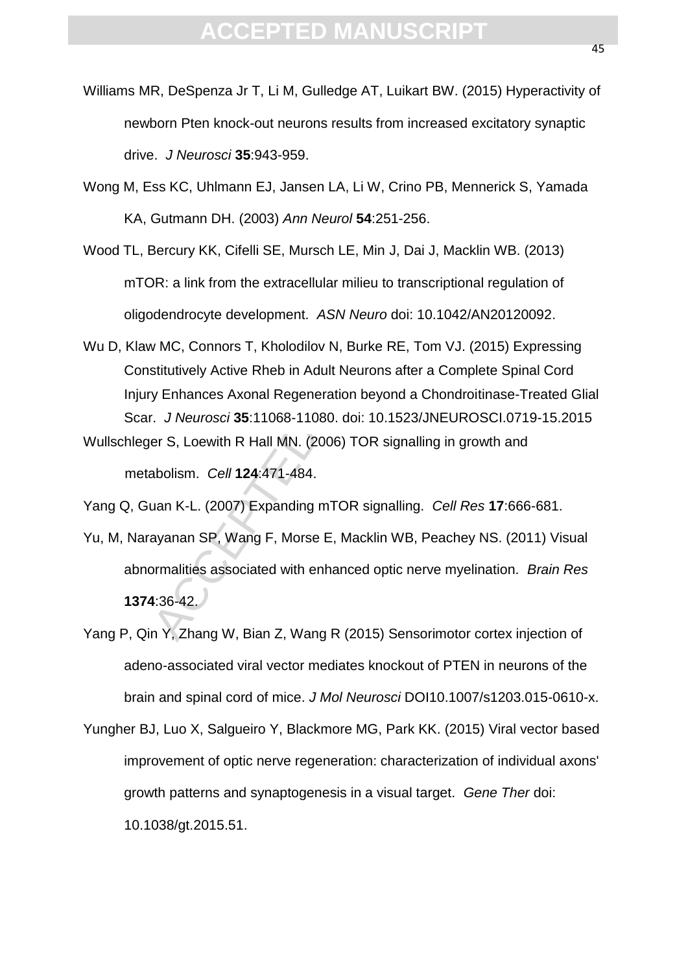- Williams MR, DeSpenza Jr T, Li M, Gulledge AT, Luikart BW. (2015) Hyperactivity of newborn Pten knock-out neurons results from increased excitatory synaptic drive. *J Neurosci* **35**:943-959.
- Wong M, Ess KC, Uhlmann EJ, Jansen LA, Li W, Crino PB, Mennerick S, Yamada KA, Gutmann DH. (2003) *Ann Neurol* **54**:251-256.
- Wood TL, Bercury KK, Cifelli SE, Mursch LE, Min J, Dai J, Macklin WB. (2013) mTOR: a link from the extracellular milieu to transcriptional regulation of oligodendrocyte development. *ASN Neuro* doi: 10.1042/AN20120092.
- It is the<br>and DH. (2003) Ann Neurol 54:251-256.<br>Star Cutmann DH. (2003) Ann Neurol 54:251-256.<br>Bercury KK, Cifelli SE, Mursch LE, Min J, Dai J, Macklin WB<br>DR: a link from the extracellular milieu to transcriptional regu<br>de Wu D, Klaw MC, Connors T, Kholodilov N, Burke RE, Tom VJ. (2015) Expressing Constitutively Active Rheb in Adult Neurons after a Complete Spinal Cord Injury Enhances Axonal Regeneration beyond a Chondroitinase-Treated Glial Scar. *J Neurosci* **35**:11068-11080. doi: 10.1523/JNEUROSCI.0719-15.2015
- Wullschleger S, Loewith R Hall MN. (2006) TOR signalling in growth and metabolism. *Cell* **124**:471-484.
- Yang Q, Guan K-L. (2007) Expanding mTOR signalling. *Cell Res* **17**:666-681.
- Yu, M, Narayanan SP, Wang F, Morse E, Macklin WB, Peachey NS. (2011) Visual abnormalities associated with enhanced optic nerve myelination. *Brain Res* **1374**:36-42.
- Yang P, Qin Y, Zhang W, Bian Z, Wang R (2015) Sensorimotor cortex injection of adeno-associated viral vector mediates knockout of PTEN in neurons of the brain and spinal cord of mice. *J Mol Neurosci* DOI10.1007/s1203.015-0610-x.
- Yungher BJ, Luo X, Salgueiro Y, Blackmore MG, Park KK. (2015) Viral vector based improvement of optic nerve regeneration: characterization of individual axons' growth patterns and synaptogenesis in a visual target.*Gene Ther* doi: 10.1038/gt.2015.51.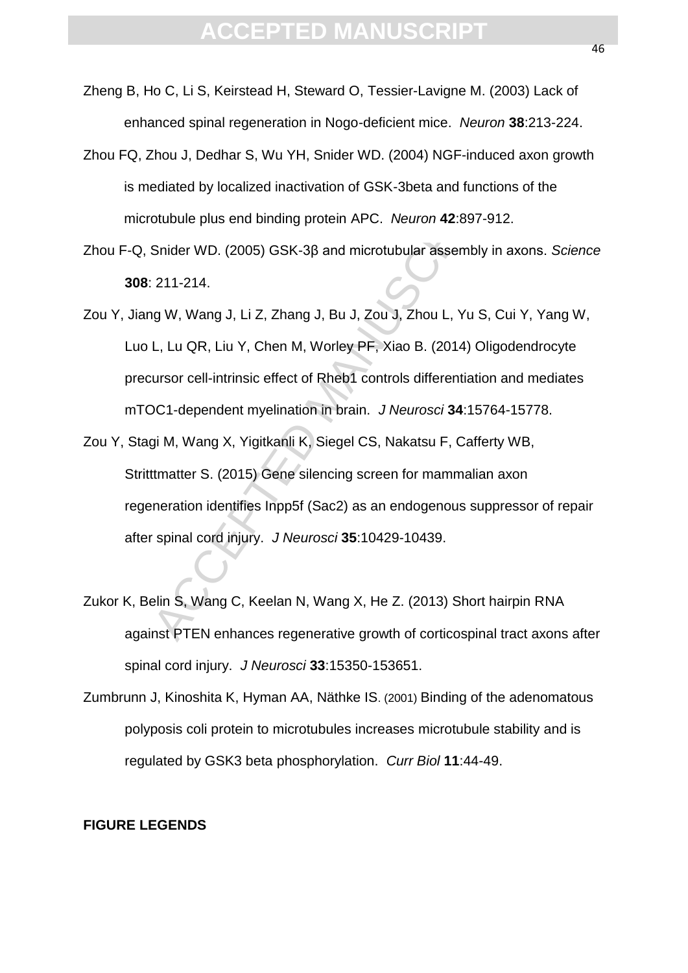- Zheng B, Ho C, Li S, Keirstead H, Steward O, Tessier-Lavigne M. (2003) Lack of enhanced spinal regeneration in Nogo-deficient mice. *Neuron* **38**:213-224.
- Zhou FQ, Zhou J, Dedhar S, Wu YH, Snider WD. (2004) NGF-induced axon growth is mediated by localized inactivation of GSK-3beta and functions of the microtubule plus end binding protein APC. *Neuron* **42**:897-912.
- Zhou F-Q, Snider WD. (2005) GSK-3β and microtubular assembly in axons. *Science* **308**: 211-214.
- and or, beanal or, vie 111, officer W.P. (2004) Not madeculated by localized inactivation of GSK-3beta and functions<br>otubule plus end binding protein APC. *Neuron* 42:897-912.<br>Snider WD. (2005) GSK-3β and microtubular ass Zou Y, Jiang W, Wang J, Li Z, Zhang J, Bu J, Zou J, Zhou L, Yu S, Cui Y, Yang W, Luo L, Lu QR, Liu Y, Chen M, Worley PF, Xiao B. (2014) Oligodendrocyte precursor cell-intrinsic effect of Rheb1 controls differentiation and mediates mTOC1-dependent myelination in brain. *J Neurosci* **34**:15764-15778.
- Zou Y, Stagi M, Wang X, Yigitkanli K, Siegel CS, Nakatsu F, Cafferty WB, Stritttmatter S. (2015) Gene silencing screen for mammalian axon regeneration identifies Inpp5f (Sac2) as an endogenous suppressor of repair after spinal cord injury. *J Neurosci* **35**:10429-10439.
- Zukor K, Belin S, Wang C, Keelan N, Wang X, He Z. (2013) Short hairpin RNA against PTEN enhances regenerative growth of corticospinal tract axons after spinal cord injury. *J Neurosci* **33**:15350-153651.
- Zumbrunn J, Kinoshita K, Hyman AA, Näthke IS. (2001) Binding of the adenomatous polyposis coli protein to microtubules increases microtubule stability and is regulated by GSK3 beta phosphorylation. *Curr Biol* **11**:44-49.

### **FIGURE LEGENDS**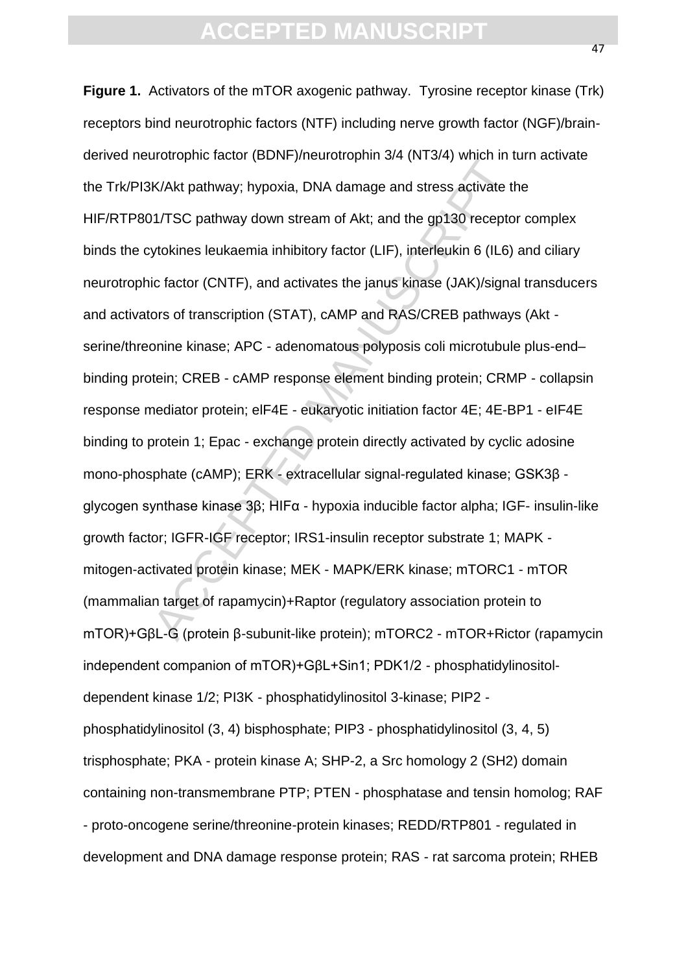K/Akt pathway; hypoxia, DNA damage and stress activate the MAK pathway; hypoxia, DNA damage and stress activate the MACCEPTED MANUSCRIPTED VION-1 (TIST) interfeuking 6 (IL6) ic factor (CNTF), and activates the janus kinase **Figure 1.** Activators of the mTOR axogenic pathway. Tyrosine receptor kinase (Trk) receptors bind neurotrophic factors (NTF) including nerve growth factor (NGF)/brainderived neurotrophic factor (BDNF)/neurotrophin 3/4 (NT3/4) which in turn activate the Trk/PI3K/Akt pathway; hypoxia, DNA damage and stress activate the HIF/RTP801/TSC pathway down stream of Akt; and the gp130 receptor complex binds the cytokines leukaemia inhibitory factor (LIF), interleukin 6 (IL6) and ciliary neurotrophic factor (CNTF), and activates the janus kinase (JAK)/signal transducers and activators of transcription (STAT), cAMP and RAS/CREB pathways (Akt serine/threonine kinase; APC - adenomatous polyposis coli microtubule plus-end– binding protein; CREB - cAMP response element binding protein; CRMP - collapsin response mediator protein; elF4E - eukaryotic initiation factor 4E; 4E-BP1 - eIF4E binding to protein 1; Epac - exchange protein directly activated by cyclic adosine mono-phosphate (cAMP); ERK - extracellular signal-regulated kinase; GSK3β glycogen synthase kinase 3β; HIFα - hypoxia inducible factor alpha; IGF- insulin-like growth factor; IGFR-IGF receptor; IRS1-insulin receptor substrate 1; MAPK mitogen-activated protein kinase; MEK - MAPK/ERK kinase; mTORC1 - mTOR (mammalian target of rapamycin)+Raptor (regulatory association protein to mTOR)+GβL-G (protein β-subunit-like protein); mTORC2 - mTOR+Rictor (rapamycin independent companion of mTOR)+GβL+Sin1; PDK1/2 - phosphatidylinositoldependent kinase 1/2; PI3K - phosphatidylinositol 3-kinase; PIP2 phosphatidylinositol (3, 4) bisphosphate; PIP3 - phosphatidylinositol (3, 4, 5) trisphosphate; PKA - protein kinase A; SHP-2, a Src homology 2 (SH2) domain containing non-transmembrane PTP; PTEN - phosphatase and tensin homolog; RAF - proto-oncogene serine/threonine-protein kinases; REDD/RTP801 - regulated in development and DNA damage response protein; RAS - rat sarcoma protein; RHEB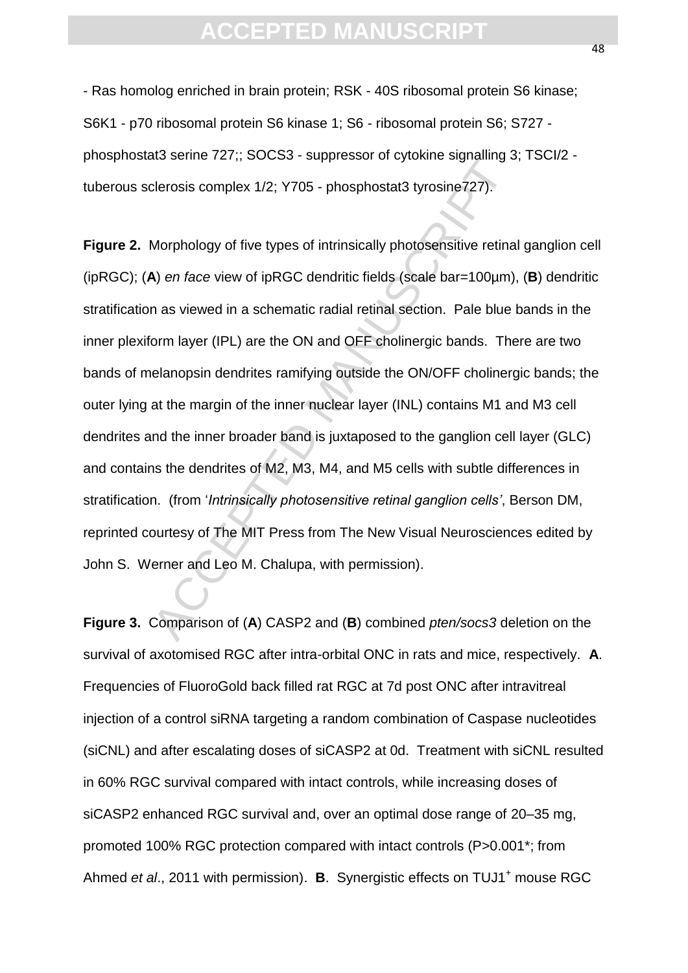- Ras homolog enriched in brain protein; RSK - 40S ribosomal protein S6 kinase; S6K1 - p70 ribosomal protein S6 kinase 1; S6 - ribosomal protein S6; S727 phosphostat3 serine 727;; SOCS3 - suppressor of cytokine signalling 3; TSCI/2 tuberous sclerosis complex 1/2; Y705 - phosphostat3 tyrosine727).

clerosis complex 1/2; Y705 - phosphostat3 tyrosine727).<br>Clerosis complex 1/2; Y705 - phosphostat3 tyrosine727).<br>Morphology of five types of intrinsically photosensitive retina<br>A) *en face* view of ipRGC dendritic fields (s **Figure 2.** Morphology of five types of intrinsically photosensitive retinal ganglion cell (ipRGC); (**A**) *en face* view of ipRGC dendritic fields (scale bar=100µm), (**B**) dendritic stratification as viewed in a schematic radial retinal section. Pale blue bands in the inner plexiform layer (IPL) are the ON and OFF cholinergic bands. There are two bands of melanopsin dendrites ramifying outside the ON/OFF cholinergic bands; the outer lying at the margin of the inner nuclear layer (INL) contains M1 and M3 cell dendrites and the inner broader band is juxtaposed to the ganglion cell layer (GLC) and contains the dendrites of M2, M3, M4, and M5 cells with subtle differences in stratification. (from '*Intrinsically photosensitive retinal ganglion cells'*, Berson DM, reprinted courtesy of The MIT Press from The New Visual Neurosciences edited by John S. Werner and Leo M. Chalupa, with permission).

**Figure 3.** Comparison of (**A**) CASP2 and (**B**) combined *pten/socs3* deletion on the survival of axotomised RGC after intra-orbital ONC in rats and mice, respectively. **A**. Frequencies of FluoroGold back filled rat RGC at 7d post ONC after intravitreal injection of a control siRNA targeting a random combination of Caspase nucleotides (siCNL) and after escalating doses of siCASP2 at 0d. Treatment with siCNL resulted in 60% RGC survival compared with intact controls, while increasing doses of siCASP2 enhanced RGC survival and, over an optimal dose range of 20–35 mg, promoted 100% RGC protection compared with intact controls (P>0.001\*; from Ahmed *et al.*, 2011 with permission). **B**. Synergistic effects on TUJ1<sup>+</sup> mouse RGC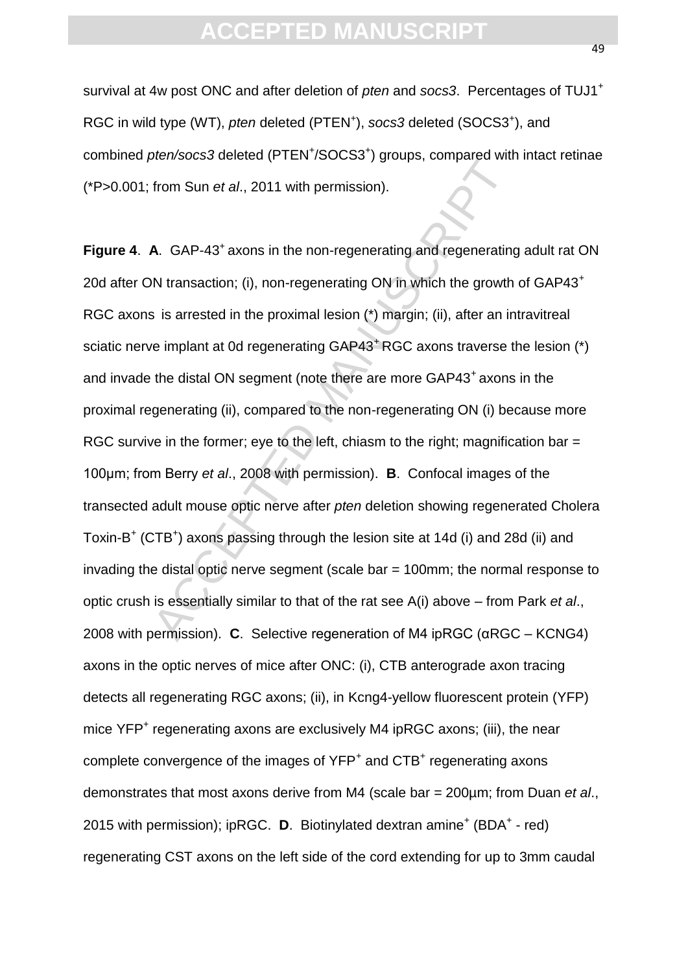survival at 4w post ONC and after deletion of *pten* and *socs3*. Percentages of TUJ1<sup>+</sup> RGC in wild type (WT), pten deleted (PTEN<sup>+</sup>), socs3 deleted (SOCS3<sup>+</sup>), and combined pten/socs3 deleted (PTEN<sup>+</sup>/SOCS3<sup>+</sup>) groups, compared with intact retinae (\*P>0.001; from Sun *et al*., 2011 with permission).

from Sun *et al.*, 2011 with permission).<br> **A.** GAP-43<sup>+</sup> axons in the non-regenerating and regenerating<br>
NN transaction; (i), non-regenerating ON in which the growth<br>
is is arrested in the proximal lesion (\*) margin; (ii Figure 4. A. GAP-43<sup>+</sup> axons in the non-regenerating and regenerating adult rat ON 20d after ON transaction; (i), non-regenerating ON in which the growth of GAP43<sup>+</sup> RGC axons is arrested in the proximal lesion (\*) margin; (ii), after an intravitreal sciatic nerve implant at 0d regenerating GAP43<sup>+</sup> RGC axons traverse the lesion (\*) and invade the distal ON segment (note there are more GAP43<sup>+</sup> axons in the proximal regenerating (ii), compared to the non-regenerating ON (i) because more RGC survive in the former; eye to the left, chiasm to the right; magnification bar = 100μm; from Berry *et al*., 2008 with permission). **B**. Confocal images of the transected adult mouse optic nerve after *pten* deletion showing regenerated Cholera Toxin-B<sup>+</sup> (CTB<sup>+</sup>) axons passing through the lesion site at 14d (i) and 28d (ii) and invading the distal optic nerve segment (scale bar = 100mm; the normal response to optic crush is essentially similar to that of the rat see A(i) above – from Park *et al*., 2008 with permission). **C**. Selective regeneration of M4 ipRGC (αRGC – KCNG4) axons in the optic nerves of mice after ONC: (i), CTB anterograde axon tracing detects all regenerating RGC axons; (ii), in Kcng4-yellow fluorescent protein (YFP) mice YFP<sup>+</sup> regenerating axons are exclusively M4 ipRGC axons; (iii), the near complete convergence of the images of YFP<sup>+</sup> and CTB<sup>+</sup> regenerating axons demonstrates that most axons derive from M4 (scale bar = 200µm; from Duan *et al*., 2015 with permission); ipRGC. D. Biotinylated dextran amine<sup>+</sup> (BDA<sup>+</sup> - red) regenerating CST axons on the left side of the cord extending for up to 3mm caudal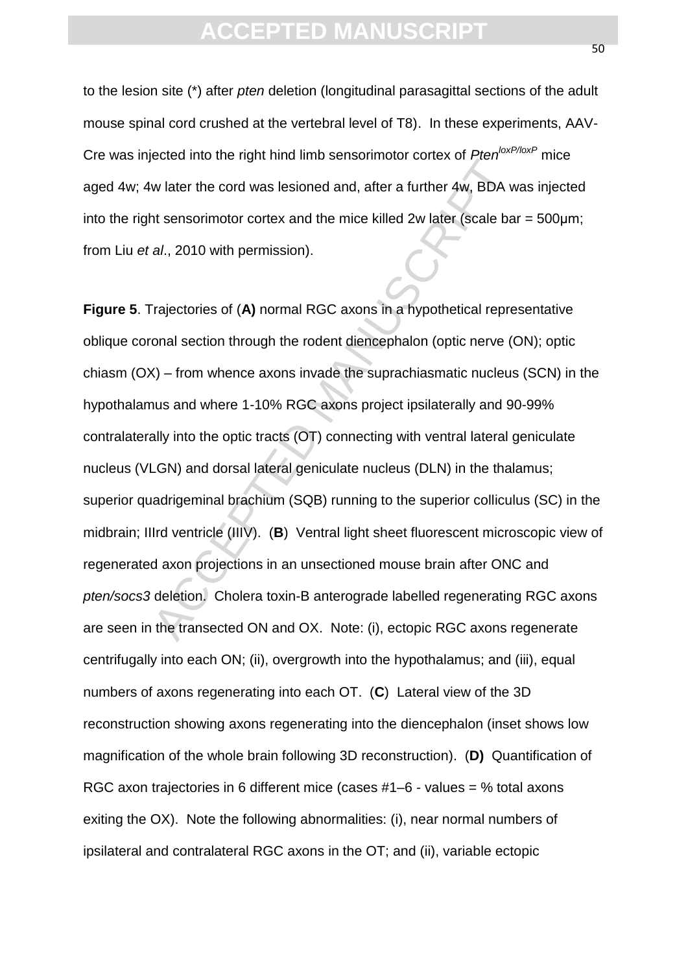to the lesion site (\*) after *pten* deletion (longitudinal parasagittal sections of the adult mouse spinal cord crushed at the vertebral level of T8). In these experiments, AAV-Cre was injected into the right hind limb sensorimotor cortex of *PtenloxP/loxP* mice aged 4w; 4w later the cord was lesioned and, after a further 4w, BDA was injected into the right sensorimotor cortex and the mice killed 2w later (scale bar = 500μm; from Liu *et al*., 2010 with permission).

books and the right mind and school and, after a further 4w, BDA w<br>w later the cord was lesioned and, after a further 4w, BDA w<br>at sensorimotor cortex and the mice killed 2w later (scale ba<br>al., 2010 with permission).<br>Traj **Figure 5**. Trajectories of (**A)** normal RGC axons in a hypothetical representative oblique coronal section through the rodent diencephalon (optic nerve (ON); optic chiasm (OX) – from whence axons invade the suprachiasmatic nucleus (SCN) in the hypothalamus and where 1-10% RGC axons project ipsilaterally and 90-99% contralaterally into the optic tracts (OT) connecting with ventral lateral geniculate nucleus (VLGN) and dorsal lateral geniculate nucleus (DLN) in the thalamus; superior quadrigeminal brachium (SQB) running to the superior colliculus (SC) in the midbrain; IIIrd ventricle (IIIV). (**B**) Ventral light sheet fluorescent microscopic view of regenerated axon projections in an unsectioned mouse brain after ONC and *pten/socs3* deletion. Cholera toxin-B anterograde labelled regenerating RGC axons are seen in the transected ON and OX. Note: (i), ectopic RGC axons regenerate centrifugally into each ON; (ii), overgrowth into the hypothalamus; and (iii), equal numbers of axons regenerating into each OT. (**C**) Lateral view of the 3D reconstruction showing axons regenerating into the diencephalon (inset shows low magnification of the whole brain following 3D reconstruction). (**D)** Quantification of RGC axon trajectories in 6 different mice (cases #1–6 - values = % total axons exiting the OX). Note the following abnormalities: (i), near normal numbers of ipsilateral and contralateral RGC axons in the OT; and (ii), variable ectopic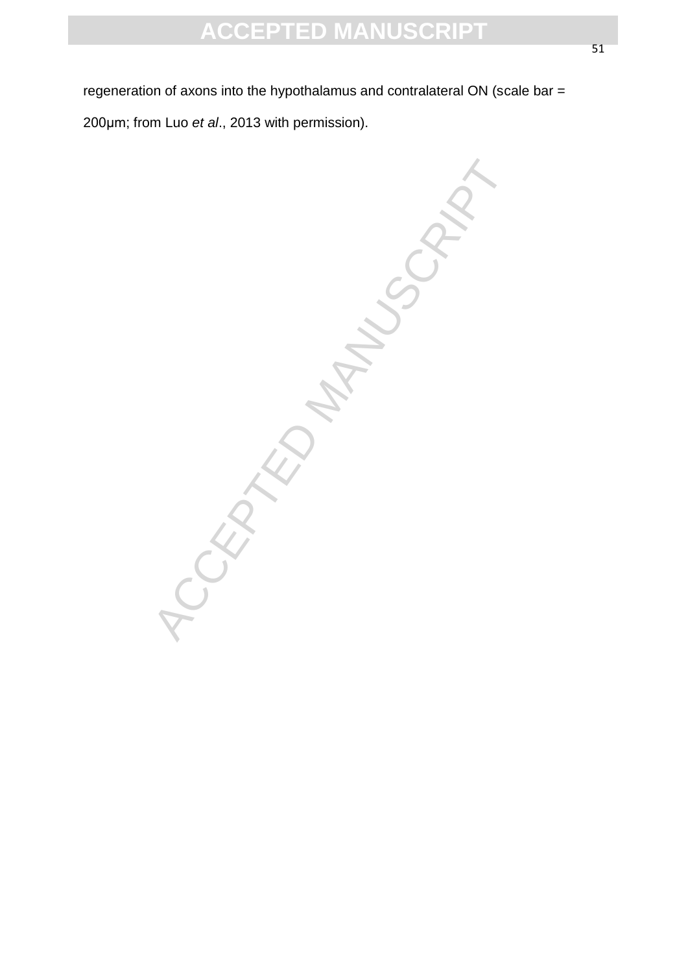regeneration of axons into the hypothalamus and contralateral ON (scale bar = 200μm; from Luo *et al*., 2013 with permission).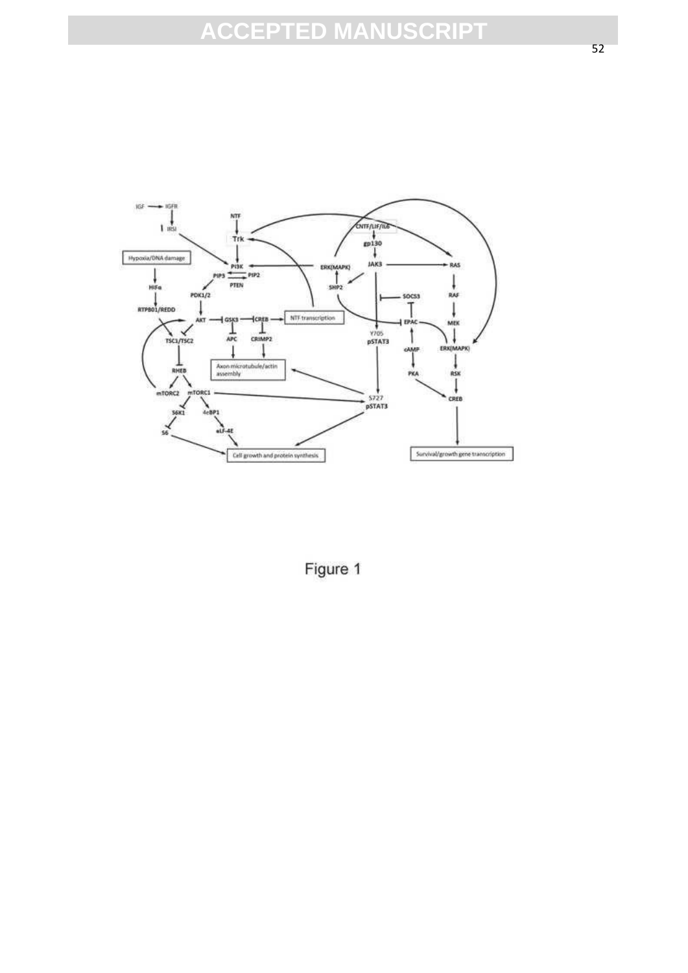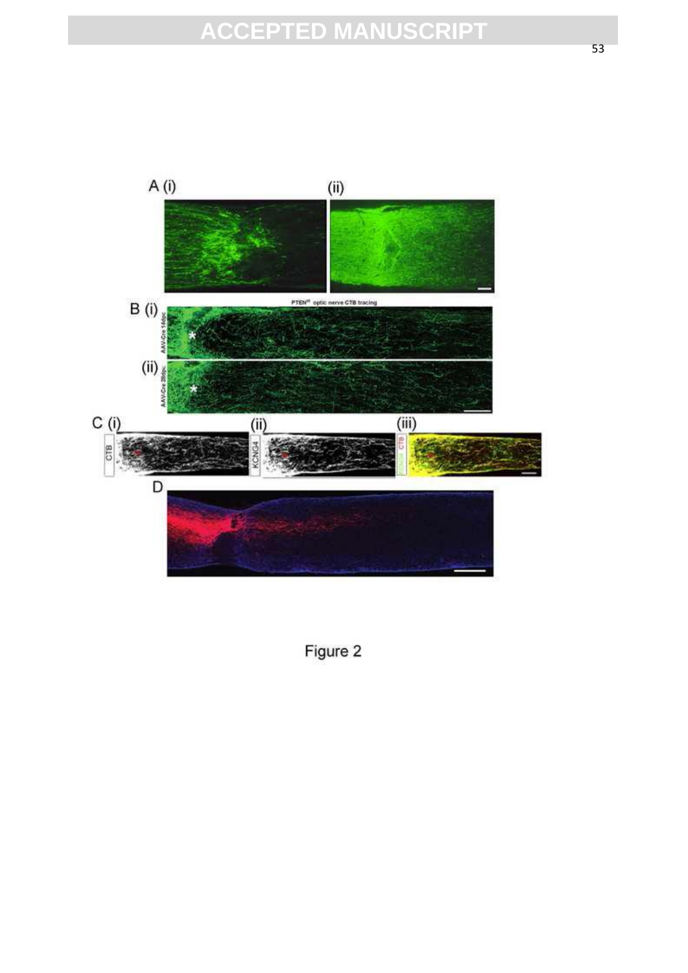

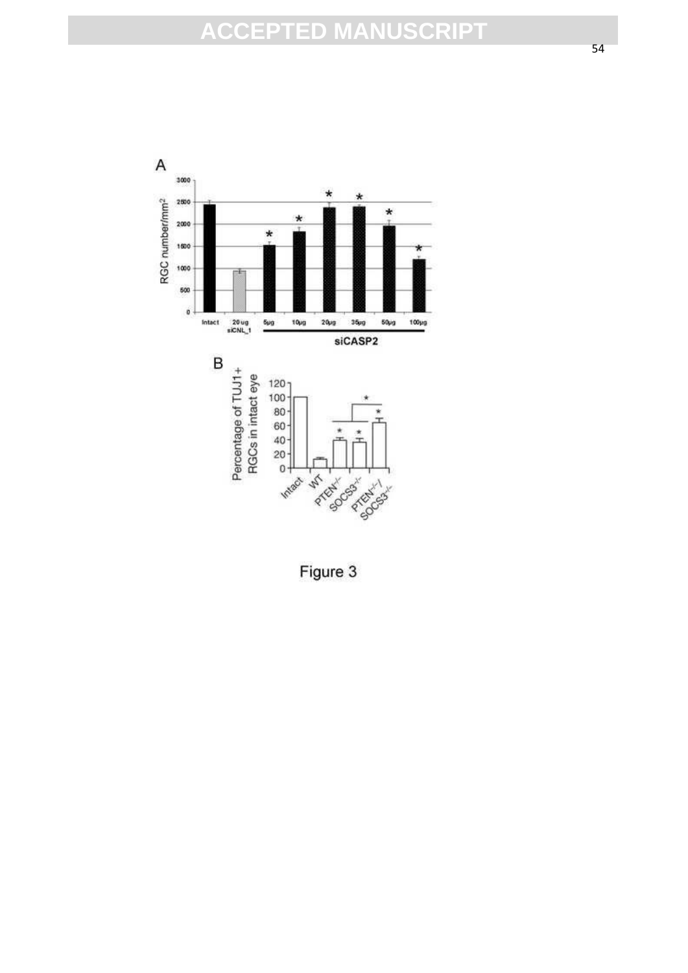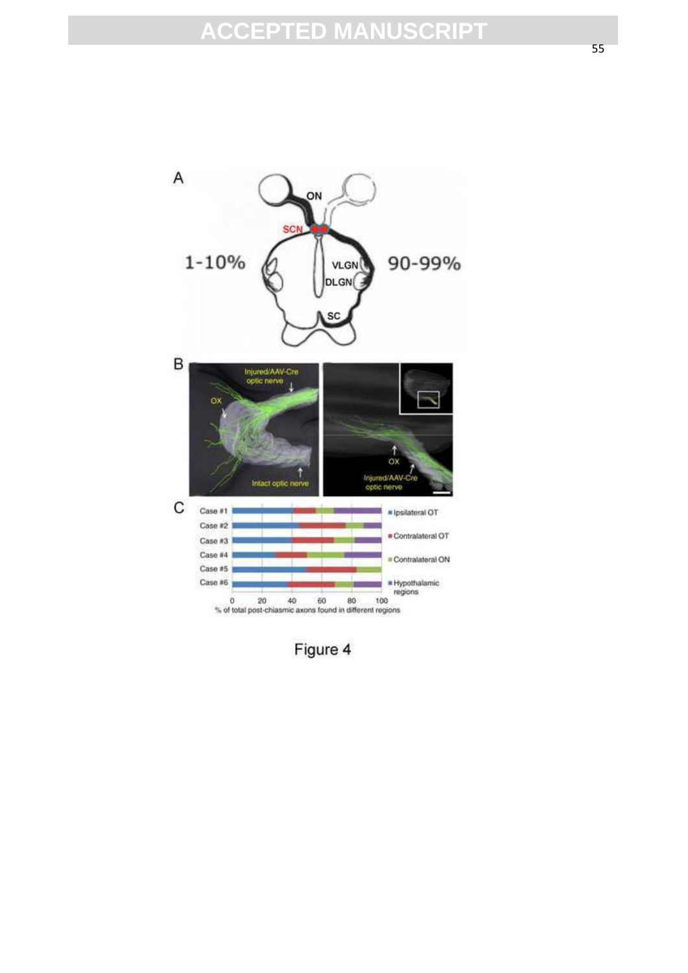